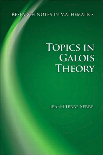### RESEARCH NOTES IN MATHEMATICS

# **TOPICS IN GALOIS THEORY**

**JEAN-PIERRE SERRE**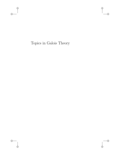Topics in Galois Theory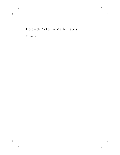## Research Notes in Mathematics Volume 1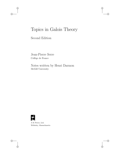## Topics in Galois Theory

Second Edition

Jean-Pierre Serre Collège de France

Notes written by Henri Darmon McGill University



A K Peters, Ltd. Wellesley, Massachusetts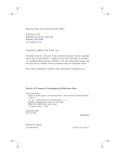Editorial, Sales, and Customer Service Office

A K Peters, Ltd. 888 Worcester Street, Suite 230 Wellesley, MA 02482 www.akpeters.com

Copyright  $\odot$  2008 by A K Peters, Ltd.

All rights reserved. No part of the material protected by this copyright notice may be reproduced or utilized in any form, electronic or mechanical, including photocopying, recording, or by any information storage and retrieval system, without written permission from the copyright owner.

First edition published in 1992 by Jones and Bartlett Publishers, Inc.

### **Library of Congress Cataloging-in-Publication Data**

Serre, Jean-Pierre.

Topics in Galois theory / Jean-Pierre Serre ; notes written by Henri Darmon. -- 2nd ed.

p. cm. – (Research notes in mathematics ; v 1) Includes bibliographical references and index. ISBN 978-1-56881-412-4 (alk. paper)

1. Galois theory. I. Title.

QA214.S47 2007 512 .32--dc22

2007030849

Printed in Canada 11 10 09 08 07 10 9 8 7 6 5 4 3 2 1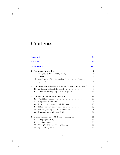## <span id="page-5-0"></span>**Contents**

| <b>Foreword</b>       |                                                       |                                                                                                                                                                  |                                                    |  |  |
|-----------------------|-------------------------------------------------------|------------------------------------------------------------------------------------------------------------------------------------------------------------------|----------------------------------------------------|--|--|
| <b>Notation</b><br>хi |                                                       |                                                                                                                                                                  |                                                    |  |  |
|                       |                                                       | <b>Introduction</b>                                                                                                                                              | xiii                                               |  |  |
| $\mathbf{1}$          | 1.1<br>1.2<br>1.3                                     | Examples in low degree<br>The groups $\mathbb{Z}/2\mathbb{Z}$ , $\mathbb{Z}/3\mathbb{Z}$ , and $S_3$<br>Application of tori to abelian Galois groups of exponent | $\mathbf 1$<br>$\mathbf{1}$<br>$\overline{2}$<br>6 |  |  |
| $\mathbf 2$           | Nilpotent and solvable groups as Galois groups over Q |                                                                                                                                                                  |                                                    |  |  |
|                       | 2.1                                                   | A theorem of Scholz-Reichardt                                                                                                                                    | 9                                                  |  |  |
|                       | 2.2                                                   | The Frattini subgroup of a finite group $\ldots \ldots \ldots$                                                                                                   | 16                                                 |  |  |
| 3                     |                                                       | Hilbert's irreducibility theorem                                                                                                                                 | 19                                                 |  |  |
|                       | 3.1                                                   |                                                                                                                                                                  | 19                                                 |  |  |
|                       | 3.2                                                   |                                                                                                                                                                  | 21                                                 |  |  |
|                       | 3.3                                                   | Irreducibility theorem and thin sets                                                                                                                             | 23                                                 |  |  |
|                       | 3.4                                                   | Hilbert's irreducibility theorem                                                                                                                                 | 25                                                 |  |  |
|                       | 3.5                                                   | Hilbert property and weak approximation                                                                                                                          | 28                                                 |  |  |
|                       | 3.6                                                   |                                                                                                                                                                  | 31                                                 |  |  |
| 4                     |                                                       | Galois extensions of $Q(T)$ : first examples                                                                                                                     | 35                                                 |  |  |
|                       | 4.1                                                   |                                                                                                                                                                  | 35                                                 |  |  |
|                       | 4.2                                                   |                                                                                                                                                                  | 36                                                 |  |  |
|                       | 4.3                                                   | Example: the quaternion group $Q_8$                                                                                                                              | 38                                                 |  |  |
|                       | 4.4                                                   | Symmetric groups $\ldots \ldots \ldots \ldots \ldots \ldots \ldots$                                                                                              | 39                                                 |  |  |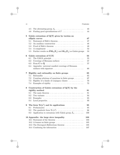|           | 4.5                                                | The alternating group $A_n$                                                                          | 43  |  |  |  |
|-----------|----------------------------------------------------|------------------------------------------------------------------------------------------------------|-----|--|--|--|
|           | 4.6                                                | Finding good specializations of $T \dots \dots \dots \dots$                                          | 44  |  |  |  |
| ${\bf 5}$ |                                                    | Galois extensions of $Q(T)$ given by torsion on                                                      |     |  |  |  |
|           |                                                    | elliptic curves                                                                                      | 47  |  |  |  |
|           | 5.1                                                |                                                                                                      | 47  |  |  |  |
|           | 5.2                                                |                                                                                                      | 48  |  |  |  |
|           | 5.3                                                |                                                                                                      | 49  |  |  |  |
|           | 5.4                                                |                                                                                                      | 52  |  |  |  |
|           | 5.5                                                | Further results on $\mathbf{PSL}_2(\mathbf{F}_q)$ and $\mathbf{SL}_2(\mathbf{F}_q)$ as Galois groups | 53  |  |  |  |
| 6         | 55<br>Galois extensions of $C(T)$                  |                                                                                                      |     |  |  |  |
|           | 6.1                                                |                                                                                                      | 55  |  |  |  |
|           | 6.2                                                | Coverings of Riemann surfaces $\hfill\ldots\ldots\ldots\ldots\ldots\ldots\ldots$                     | 57  |  |  |  |
|           | 6.3                                                |                                                                                                      | 57  |  |  |  |
|           | 6.4                                                | Appendix: universal ramified coverings of Riemann                                                    |     |  |  |  |
|           |                                                    | surfaces with signature $\dots \dots \dots \dots \dots \dots \dots$                                  | 60  |  |  |  |
| 7         | Rigidity and rationality on finite groups<br>65    |                                                                                                      |     |  |  |  |
|           | 7.1                                                |                                                                                                      | 65  |  |  |  |
|           | 7.2                                                | Counting solutions of equations in finite groups $\ldots \ldots$                                     | 67  |  |  |  |
|           | 7.3                                                | Rigidity of a family of conjugacy classes                                                            | 70  |  |  |  |
|           | 7.4                                                |                                                                                                      | 72  |  |  |  |
| 8         | Construction of Galois extensions of $Q(T)$ by the |                                                                                                      |     |  |  |  |
|           |                                                    | rigidity method                                                                                      | 81  |  |  |  |
|           | 8.1                                                | The main theorem $\dots \dots \dots \dots \dots \dots \dots \dots$                                   | 81  |  |  |  |
|           | 8.2                                                |                                                                                                      | 84  |  |  |  |
|           | 8.3                                                |                                                                                                      | 85  |  |  |  |
|           | 8.4                                                |                                                                                                      | 89  |  |  |  |
| 9         | The form $Tr(x^2)$ and its applications<br>95      |                                                                                                      |     |  |  |  |
|           | 9.1                                                |                                                                                                      | 95  |  |  |  |
|           | 9.2                                                | The quadratic form $\text{Tr}(x^2) \dots \dots \dots \dots \dots \dots$                              | 98  |  |  |  |
|           | 9.3                                                | Application to extensions with Galois group $\tilde{A}_n$                                            | 100 |  |  |  |
|           |                                                    | 10 Appendix: the large sieve inequality                                                              | 103 |  |  |  |
|           |                                                    | 10.1 Statement of the theorem                                                                        | 103 |  |  |  |
|           |                                                    |                                                                                                      | 105 |  |  |  |
|           |                                                    | 10.3 The Davenport-Halberstam theorem                                                                | 105 |  |  |  |
|           |                                                    | 10.4 Combining the information                                                                       | 107 |  |  |  |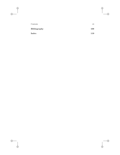| Contents     | vii |
|--------------|-----|
| Bibliography | 109 |
| Index        | 119 |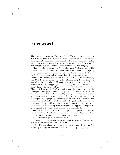### <span id="page-9-0"></span>**[Foreword](#page-5-0)**

These notes are based on "Topics in Galois Theory," a course given by J-P. Serre at Harvard University in the Fall semester of 1988 and written down by H. Darmon. The course focused on the inverse problem of Galois theory: the construction of field extensions having a given finite group G as Galois group, typically over **Q** but also over fields such as **Q**(T).

Chapter 1 discusses examples for certain groups  $G$  of small order. The method of Scholz and Reichardt, which works over  $Q$  when  $G$  is a p-group of odd order, is given in chapter 2. Chapter 3 is devoted to the Hilbert irreducibility theorem and its connection with weak approximation and the large sieve inequality. Chapters 4 and 5 describe methods for showing that G is the Galois group of a regular extension of  $\mathbf{Q}(T)$  (one then says that G has property  $Gal_T$ ). Elementary constructions (e.g. when G is a symmetric or alternating group) are given in chapter 4, while the method of Shih, which works for  $G = \mathbf{PSL}_2(p)$  in some cases, is outlined in chapter 5. Chapter 6 describes the GAGA principle and the relation between the topological and algebraic fundamental groups of complex curves. Chapters 7 and 8 are devoted to the rationality and rigidity criterions and their application to proving the property  $Gal_T$  for certain groups (notably, many of the sporadic simple groups, including the Fischer-Griess Monster). The relation between the Hasse-Witt invariant of the quadratic form  $\text{Tr} (x^2)$  and certain embedding problems is the topic of chapter 9, and an application to showing that  $A_n$  has property Gal<sub>T</sub> is given. An appendix (chapter 10) gives a proof of the large sieve inequality used in chapter 3.

The reader should be warned that most proofs only give the main ideas; details have been left out. Moreover, a number of relevant topics have been omitted, for lack of time (and understanding), namely:

a) The theory of generic extensions, cf. [Sa1].

b) Shafarevich's theorem on the existence of extensions of **Q** with a given solvable Galois group, cf. [NSW], chap. IX.

c) The Hurwitz schemes which parametrize extensions with a given Galois group and a given ramification structure, cf. [Fr1], [Fr2], [Ma3].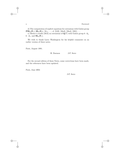d) The computation of explicit equations for extensions with Galois group **PSL**<sub>2</sub>( $\mathbf{F}_7$ ), **SL**<sub>2</sub>( $\mathbf{F}_8$ ),  $M_{11}$ , ..., cf. [LM], [Ma3], [Ma4], [Ml1], ...

e) Mestre's results [Me3] on extensions of  $\mathbf{Q}(T)$  with Galois group  $6 \cdot A_6$ ,  $6 \cdot A_7$ , and  $SL_2(\mathbf{F}_7)$ .

We wish to thank Larry Washington for his helpful comments on an earlier version of these notes.

Paris, August 1991.

H. Darmon J-P. Serre

For the second edition of these Notes, some corrections have been made, and the references have been updated.

Paris, June 2004

J-P. Serre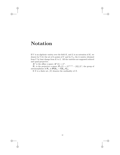## <span id="page-11-0"></span>**[Notation](#page-5-0)**

If  $V$  is an algebraic variety over the field  $K$ , and  $L$  is an extension of  $K$ , we denote by  $V(L)$  the set of L-points of V and by  $V_{/L}$  the L-variety obtained from  $V$  by base change from  $K$  to  $L$ . All the varieties are supposed reduced and quasi-projective.

 $\mathbf{A}^n$  is the affine *n*-space;  $\mathbf{A}^n(L) = L^n$ .

 $\mathbf{P}_n$  is the projective *n*-space;  $\mathbf{P}_n(L)=(L^{(n+1)} - \{0\})/L^*$ ; the group of automorphisms of  $P_n$  is  $PGL_n = GL_n/G_m$ .

If X is a finite set,  $|X|$  denotes the cardinality of X.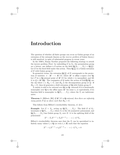## <span id="page-13-0"></span>**[Introduction](#page-5-0)**

The question of whether all finite groups can occur as Galois groups of an extension of the rationals (known as the *inverse problem* of Galois theory) is still unsolved, in spite of substantial progress in recent years.

In the 1930's, Emmy Noether proposed the following strategy to attack the inverse problem [Noe]: by embedding G in  $S_n$ , the permutation group on *n* letters, one defines a *G*-action on the field  $\mathbf{Q}(X_1,\ldots,X_n) = \mathbf{Q}(X)$ . Let E be the fixed field under this action. Then  $Q(X)$  is a Galois extension of  $E$  with Galois group  $G$ .

In geometric terms, the extension  $\mathbf{Q}(\underline{X})$  of E corresponds to the projection of varieties:  $\pi : \mathbf{A}^n \longrightarrow \mathbf{A}^n/G$ , where  $\mathbf{A}^n$  is affine *n*-space over **Q**. Let P be a **Q**-rational point of  $\mathbf{A}^n/G$  for which  $\pi$  is unramified, and lift it to  $Q \in \mathbf{A}^n(\mathbf{Q})$ . The conjugates of Q under the action of Gal( $\mathbf{Q}/\mathbf{Q}$ ) are the sQ where  $s \in H_Q \subset G$ , and  $H_Q$  is the decomposition group at Q. If  $H_Q = G$ , then Q generates a field extension of **Q** with Galois group G.

A variety is said to be *rational over* **Q** (or **Q**- *rational*) if it is birationally isomorphic over **Q** to the affine space  $\mathbf{A}^n$  for some n, or equivalently, if its function field is isomorphic to  $\mathbf{Q}(T_1,\ldots,T_n)$ , where the  $T_i$  are indeterminates.

**Theorem 1** (Hilbert, [Hi]) *If*  $\mathbf{A}^n/G$  *is* **Q***-rational, then there are infinitely many points*  $P, Q$  *as above such that*  $H_Q = G$ *.* 

This follows from Hilbert's irreducibility theorem, cf. §3.4.

**Example:** Let  $G = S_n$ , acting on  $\mathbf{Q}(X_1, \ldots, X_n)$ . The field E of  $S_n$ invariants is  $\mathbf{Q}(T_1,\ldots,T_n)$ , where  $T_i$  is the *i*<sup>th</sup> symmetric polynomial, and  $\mathbf{Q}(X_1,\ldots,X_n)$  has Galois group  $S_n$  over E: it is the splitting field of the polynomial

$$
X^{n} - T_{1}X^{n-1} + T_{2}X^{n-2} + \cdots + (-1)^{n}T_{n}.
$$

Hilbert's irreducibility theorem says that the  $T_i$  can be specialized to infinitely many values  $t_i \in \mathbf{Q}$  (or even  $t_i \in \mathbf{Z}$ ) such that the equation

$$
X^{n} - t_1 X^{n-1} + t_2 X^{n-2} + \dots + (-1)^{n} t_n = 0
$$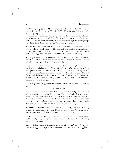has Galois group  $S_n$  over **Q**. In fact, "most"  $t_i$  work: of the  $N^n$  n-tuples  $(t_i)$  with  $t_i \in \mathbf{Z}, 1 \leq t_i \leq N$ , only  $O(N^{n-\frac{1}{2}} \log N)$  may fail to give  $S_n$ , cf. [Ga], [Coh], [Se9].

In addition to the symmetric groups, the method works for the alternating groups  $A_n$  with  $n \leq 5$ , cf. [Mae] (For  $n \geq 6$ , it is not known whether the field of  $A_n$ -invariants is rational.) Somewhat surprisingly, there are groups for which the method fails (i.e.  $\mathbf{A}^n/G$  is not **Q**-rational):

• Swan  $[Sw1]$  has shown that the field of G-invariants is not rational when G is a cyclic group of order 47. The obstruction is related to the automorphism group of G which is a cyclic group of order  $46 = 2 \times 23$ , and to the fact that  $\mathbf{Q}(\zeta_{23})$  does not have class number 1 (since  $h(-23) = 3$ ).

• In [Le] H. Lenstra gives a general criterion for the field of G-invariants to be rational when  $G$  is an abelian group: in particular, he shows that this criterion is not satisfied when  $G$  is cyclic of order 8.

(The above counter-examples are over **Q**. Counter-examples over **C** (involving a non-abelian group  $G$ ) are given by the following result of Saltman [Sa2]: if there is a non-zero  $\alpha \in H^2(G, \mathbf{Q}/\mathbf{Z})$  such that  $\text{Res}_H^G(\alpha) = 0$ for all abelian subgroups H generated by two elements, then  $\mathbf{A}^n/G$  is not **C**-rational. It is not hard to construct groups G satisfying the hypothesis of Saltman's theorem: for example, one may take a suitable extension of abelian groups of type  $(p, \ldots, p)$ .

It is easy to see (e.g., using the normal basis theorem) that the covering map

$$
\pi: \mathbf{A}^n \longrightarrow \mathbf{A}^n/G
$$

is *generic* (or *versal*) in the sense that every extension of **Q** (or of any field of characteristic zero) with Galois group  $G$  can be obtained by taking the π-fibre of a rational point of **A**<sup>n</sup>/G over which π is unramified. Hence, if  $\mathbf{A}^n/G$  is **Q**-rational, then the set of all G-extensions of **Q** can be described by a system of  $n$  rational parameters. Such a parametrization implies the following property of extensions with Galois group  $G$  [Sa1]:

**Theorem 2** Assume  $\mathbf{A}^n/G$  is **Q**-rational. Let  $\{p_i\}$  be a finite set of *primes,*  $L_i$  *extensions of*  $\mathbf{Q}_{p_i}$  *with Galois group G. Then there is an extension* L of **Q** with  $Gal(L/Q) = G$  *such that*  $L \otimes \mathbf{Q}_{p_i} = L_i$ .

**Remark:** There is a more general statement, where the  $L_i$  are allowed to be Galois algebras, and **Q** is replaced by a field endowed with finitely many independent absolute values.

**Proof** (sketch): Each  $L_i$  is parametrized by  $(\underline{X}^{(i)}) \in \mathbf{A}^n(\mathbf{Q}_{p_i})$ . A "global" parameter  $(\underline{X}) \in \mathbf{A}^n(\mathbf{Q})$  which is sufficiently close to each of the  $(\underline{X}^{(i)})$  in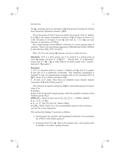the  $\mathbf{Q}_{p_i}$ -topology gives an extension of  $\mathbf{Q}$  with group G having the desired local behaviour (Krasner's lemma). QED.

The cyclic group of order 8 does not satisfy the property of th. 2. Indeed, if  $L_2/Q_2$  is the unique unramified extension of  $Q_2$  of degree 8, there is no cyclic extension L of degree 8 over **Q** such that  $L_2 \simeq L \otimes \mathbf{Q}_2$  (an easy exercise on characters, see [Wa]).

One could perhaps extend Hilbert's theorem to a more general class of varieties. There is an interesting suggestion of Ekedahl and Colliot-Thélène in this direction [Ek], [CT] (see §3.5).

Since  $A^n/G$  is not always **Q**-rational, one has to settle for less:

**Question:** *If* G *is a finite group, can it be realized as a Galois group of some* **Q**-regular extension F of  $\mathbf{Q}(T)$ ? (Recall that "F is **Q**-regular" means that  $F \cap \mathbf{Q} = \mathbf{Q}$ ; in what follows we shall usually write "regular" instead of "**Q**-regular".)

### **Remarks**:

1. If F is a function field of a variety V defined over **Q**, then F is regular if and only if  $V$  is absolutely irreducible. The regularity assumption is included to rule out uninteresting examples such as the extension  $E(T)$  of **Q**(T) where E is a Galois extension of **Q**.

2. If such an  $F$  exists, then there are infinitely many linearly disjoint extensions of **Q** with Galois group G.

The existence of regular extensions of  $\mathbf{Q}(T)$  with Galois group G is known when  $G$  is:

• Abelian;

• One of the 26 sporadic simple groups, (with the possible exception of the Mathieu group  $M_{23}$ ;

**•PSL**<sub>2</sub>( $\mathbf{F}_p$ ), where at least one of  $(\frac{2}{p}),(\frac{3}{p}),(\frac{7}{p})$  is −1 [Shih1], [Shih2];

- $A_n$ , or  $S_n$ , cf. [Hi];
- $A_n$ , cf. N. Vila [Vi] and J-F. Mestre [Me2];

•  $G_2(\mathbf{F}_p)$  [Th2], where  $G_2$  is the automorphism group of the octonions, and the list is not exhaustive.

The method for finding  $F$  proceeds as follows:

- 1. Construction (by analytic and topological methods) of an extension  $F_{\mathbf{C}}$  of  $\mathbf{C}(T)$  with Galois group  $G$ .
- 2. A descent from **C** to **Q**. This is the hardest part, and requires that G satisfies a so-called *rigidity* criterion.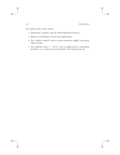The outline of the course will be:

- 1. Elementary examples, and the Scholz-Reichardt theorem.
- 2. Hilbert's irreducibility theorem and applications.
- 3. The "rigidity method" used to obtain extensions of  $\mathbf{Q}(T)$  with given Galois groups.
- 4. The quadratic form  $x \mapsto \text{Tr}(x^2)$ , and its applications to embedding problems, e.g., construction of extensions with Galois group  $\tilde{A}_n$ .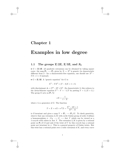### **Chapter 1**

### **Examples in low degree**

### **1.1 The groups Z***/***2Z, Z***/***3Z, and** *S***<sup>3</sup>**

•  $G = \mathbb{Z}/2\mathbb{Z}$ : all quadratic extensions can be obtained by taking square roots: the map  $P_1 \longrightarrow P_1$  given by  $X \mapsto X^2$  is generic (in characteristic different from 2 - for a characteristic-free equation, one should use  $X^2$  −  $TX + 1 = 0$  instead).

•  $G = \mathbf{Z}/3\mathbf{Z}$ : A "generic equation" for G is:

$$
X^3 - TX^2 + (T - 3)X + 1 = 0,
$$

with discriminant  $\Delta = (T^2 - 3T + 9)^2$ . (In characteristic 3, this reduces to the Artin-Schreier equation  $Y^3 - Y = -1/T$  by putting  $Y = 1/(X + 1)$ .) The group G acts on  $P_1$  by

$$
\sigma X = \frac{1}{1 - X},
$$

where  $\sigma$  is a generator of G. The function

$$
T = X + \sigma X + \sigma^2 X = \frac{X^3 - 3X + 1}{X^2 - X}
$$

is G-invariant and gives a map  $Y = \mathbf{P}_1 \longrightarrow \mathbf{P}_1/G$ . To check genericity, observe that any extension  $L/K$  with cyclic Galois group of order 3 defines a homomorphism  $\phi: G_K \longrightarrow G \longrightarrow$  Aut Y which can be viewed as a 1-cocycle with values in Aut Y. The extension  $L/K$  is given by a rational point on  $P_1/G$  if and only if the twist of Y by this cocycle has a rational point not invariant by  $\sigma$ . This is a general property of Galois twists. But this twist has a rational point over a cubic extension of  $K$ , and every curve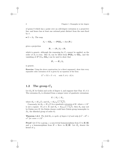of genus 0 which has a point over an odd-degree extension is a projective line, and hence has at least one rational point distinct from the ones fixed by σ.

•  $G = S_3$ : The map

$$
S_3 \hookrightarrow \mathbf{GL}_2 \longrightarrow \mathbf{PGL}_2 = \mathrm{Aut}\,(\mathbf{P}_1)
$$

gives a projection

$$
\mathbf{P}_1 \longrightarrow \mathbf{P}_1/S_3 = \mathbf{P}_1
$$

which is generic, although the reasoning for  $C_3$  cannot be applied, as the order of  $S_3$  is even. But  $S_3$  can be lifted from  $PGL_2$  to  $GL_2$ , and the vanishing of  $H^1(G_K, GL_2)$  can be used to show that

$$
\mathbf{P}_1 \longrightarrow \mathbf{P}_1/S_3
$$

is generic.

**Exercise:** Using the above construction (or a direct argument), show that every separable cubic extension of  $K$  is given by an equation of the form

$$
X^3 + TX + T = 0, \quad \text{with } T \neq 0, -27/4.
$$

### 1.2 The group  $C_4$

Let  $K_4/K$  be Galois and cyclic of degree 4, and suppose that Char  $K \neq 2$ . The extension  $K_4$  is obtained from a unique tower of quadratic extensions:

$$
K\subset K_2\subset K_4,
$$

where  $K_2 = K(\sqrt{\epsilon})$ , and  $K_4 = K_2(\sqrt{a+b\sqrt{\epsilon}})$ .

Conversely, let  $K_2 = K(\sqrt{\epsilon})$  be a quadratic extension of K, where  $\epsilon \in K^*$ is not a square. If  $a, b \in K$  and  $K_4 = K_2(\sqrt{a+b\sqrt{\epsilon}})$ , then  $K_4$  may not be Galois over  $K$  (its Galois closure could have Galois group isomorphic to  $D_4$ , the dihedral group of order 8).

**Theorem 1.2.1** *The field*  $K_4$  *is cyclic of degree* 4 *if and only if*  $a^2 - \epsilon b^2 =$  $\epsilon c^2$  *for some*  $c \in K^*$ .

**Proof**: Let G be a group,  $\epsilon$  a non-trivial homomorphism from G to  $\mathbf{Z}/2\mathbf{Z}$ , and  $\chi$  a homomorphism from  $H = \text{Ker } \epsilon$  to **Z**/2**Z**. Let  $H_{\chi}$  denote the kernel of  $\chi$ .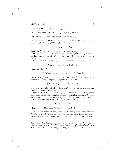#### **Lemma 1.2.2** *The following are equivalent*:

- (a)  $H_X$  *is normal in G, and*  $G/H_X$  *is cyclic of order* 4*.*
- **(b)**  $\text{Cor}^G_H \chi = \epsilon$ , where  $\text{Cor}^G_H$  is the corestriction map.

(We abbreviate  $H^1(G, \mathbf{Z}/2\mathbf{Z}) = \text{Hom}(G, \mathbf{Z}/2\mathbf{Z})$  to  $H^1(G)$ . The corestriction map  $H^1(H) \longrightarrow H^1(G)$  can be defined by

$$
(\mathrm{Cor}^G_H \chi)(g) = \chi(\mathrm{Ver}^G_H g),
$$

where  $\text{Ver}_{H}^{G}: G/(G,G) \longrightarrow H/(H,H)$  is the *transfer*.)

The proof that (a)  $\Rightarrow$  (b) is immediate: replacing G by  $G/H_{\chi}$ , it suffices to check that the transfer  $C_4 \longrightarrow C_2$  is onto: but this map is given by  $s \mapsto s^2$ .

Now, assume (b). Select  $s \in G - H$ . The transfer is given by:

$$
\operatorname{Ver}^G_H(h) = h \cdot shs^{-1} \text{ mod } (H, H).
$$

Hence for all  $h \in H$ :

$$
\chi(\operatorname{Ver}_{H}^{G}h) = \chi(h) + \chi(shs^{-1}) = \epsilon(h) \equiv 0 \pmod{2}.
$$

But if  $h \in H_{\chi}$ , then  $\chi(h) = 0$ . It follows that  $\chi(shs^{-1}) = 0$ , so that  $H_{\chi}$  is normal in  $G$ . Now, applying the hypothesis to  $s$  shows

$$
\chi(s^2) = \text{Cor}^G_H \chi(s) = \epsilon(s) \equiv 1 \pmod{2},
$$

so  $s^2 \neq 1 \pmod{H_\chi}$ . It follows that  $G/H_\chi$  is cyclic of order 4, and this completes the proof of lemma 1.2.2.

Now, let  $G = G_K = \text{Gal}(\bar{K}/K)$ . The extensions  $K_2$  and  $K_4$  define homomorphisms  $\epsilon$  and  $\chi$  as in the lemma. Via the identification of  $H^1(G_K)$ with  $K^*/K^{*2}$ , the corestriction map Cor :  $H^1(G_{K_2}) \longrightarrow H^1(G_K)$  is equal to the norm, and the criterion  $Cor_{H}\mathcal{X} = \epsilon$  becomes:

$$
N(a+b\sqrt{\epsilon})=\epsilon c^2,
$$

where  $c \in K^*$ . This completes the proof of th. 1.2.1.

**Remark:** In characteristic 2, Artin-Schreier theory gives an isomorphism  $H^1(G_K) \simeq K/\wp K$ , where  $\wp x = x^2 + x$ , and the corestriction map corresponds to the trace. Hence the analogue of th. 1.2.1 in characteristic 2 is:

**Theorem 1.2.3** *Suppose* Char  $K = 2$ *, and let*  $K_2 = K(x)$ ,  $K_4 = K_2(y)$ *, where*  $\varphi x = \epsilon$ ,  $\varphi y = a + bx$ . *Then*  $K_4$  *is Galois over* K *and cyclic of degree* 4 *if and only if*  $\text{Tr}(a+bx)(=b)$  *is of the form*  $\epsilon + z^2 + z$ *, with*  $z \in K$ *.*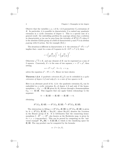Observe that the variables  $\epsilon, a, z$  of th. 1.2.3 parametrize  $C_4$ -extensions of K. In particular, it is possible in characteristic 2 to embed any quadratic extension in a cyclic extension of degree 4. This is a special case of a general result: the embedding problem for p-groups always has a solution in characteristic p (as can be seen from the triviality of  $H^2(G, P)$  when G is the absolute Galois group of a field of characteristic  $p$  and  $P$  is an abelian  $p$ -group with *G*-action. See for example  $[Se1]$ .)

The situation is different in characteristic  $\neq 2$ : the criterion  $a^2-b^2\epsilon = \epsilon c^2$ implies that  $\epsilon$  must be a sum of 2 squares in K: if  $b^2 + c^2 \neq 0$ , then:

$$
\epsilon = \left(\frac{ab}{b^2 + c^2}\right)^2 + \left(\frac{ac}{b^2 + c^2}\right)^2.
$$

Otherwise  $\sqrt{-1} \in K$ , and any element of K can be expressed as a sum of 2 squares. Conversely, if  $\epsilon$  is the sum of two squares,  $\epsilon = \lambda^2 + \mu^2$ , then setting

$$
a = \lambda^2 + \mu^2, \quad b = \lambda, \quad c = \mu,
$$

solves the equation  $a^2 - b^2 \epsilon = c^2 \epsilon$ . Hence we have shown:

**Theorem 1.2.4** *A quadratic extension*  $K(\sqrt{\epsilon})$  *can be embedded in a cyclic extension of degree* 4 *if and only if*  $\epsilon$  *is a sum of two squares in* K.

Here is an alternate proof of th. 1.2.4: the quadratic extension  $K_2$  can be embedded in a cyclic extension  $K_4$  of degree 4 if and only if the homomorphism  $\epsilon: G_K \longrightarrow \mathbf{Z}/2\mathbf{Z}$  given by  $K_2$  factors through a homomorphism  $G_K \longrightarrow \mathbf{Z}/4\mathbf{Z}$ . This suggests that one apply Galois cohomology to the sequence:

$$
0 \longrightarrow \mathbf{Z}/2\mathbf{Z} \longrightarrow \mathbf{Z}/4\mathbf{Z} \longrightarrow \mathbf{Z}/2\mathbf{Z} \longrightarrow 0,
$$

obtaining:

$$
H^1(G_K, \mathbf{Z}/4\mathbf{Z}) \longrightarrow H^1(G_K, \mathbf{Z}/2\mathbf{Z}) \stackrel{\delta}{\longrightarrow} H^2(G_K, \mathbf{Z}/2\mathbf{Z}).
$$

The obstruction to lifting  $\epsilon \in H^1(G_K, \mathbf{Z}/2\mathbf{Z})$  to  $H^1(G_K, \mathbf{Z}/4\mathbf{Z})$  is given by  $\delta \epsilon \in H^2(G_K, \mathbf{Z}/2\mathbf{Z}) = \text{Br}_2(K)$ , where  $\text{Br}_2(K)$  denotes the 2-torsion in the Brauer group of  $K$ . It is well-known that the connecting homomorphism  $\delta : H^1 \longrightarrow H^2$ , also known as the Bockstein map, is given by  $\delta x = x \cdot x$  (cup-product). This can be proved by computing on the "universal example"  $P_{\infty}(\mathbf{R}) = K(\mathbf{Z}/2\mathbf{Z}, 1)$  which is the classifying space for **Z**/2**Z**. The cup product can be computed by the formula:

$$
\alpha \cdot \beta = (\alpha, \beta),
$$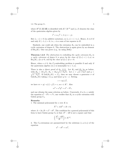where  $H^1(G, \mathbf{Z}/2\mathbf{Z})$  is identified with  $K^*/K^{*2}$  and  $(\alpha, \beta)$  denotes the class of the quaternion algebra given by

$$
i^2 = \alpha, j^2 = \beta, ij = -ji.
$$

But  $(\epsilon, -\epsilon) = 0$  (in additive notation), so  $(\epsilon, \epsilon) = (-1, \epsilon)$ . Hence,  $\delta \epsilon$  is 0 if and only if  $(-1, \epsilon) = 0$ , i.e.,  $\epsilon$  is a sum of two squares in K.

Similarly, one could ask when the extension  $K_4$  can be embedded in a cyclic extension of degree 8. The obstruction is again given by an element of  $Br_2(K)$ . One can prove (e.g., by using [Se6]):

**Theorem 1.2.5** *The obstruction to embedding the cyclic extension*  $K_4$  *in a cyclic extension of degree* 8 *is given by the class of*  $(2, \epsilon) + (-1, a)$  *in*  $Br_2(K)$ *, if*  $a \neq 0$ *, and by the class of*  $(2, \epsilon)$  *if*  $a = 0$ *.* 

Hence, when  $a \neq 0$ , the  $C_8$ -embedding problem is possible if and only if the quaternion algebra  $(2, \epsilon)$  is isomorphic to  $(-1, a)$ .

There is also a direct proof of th. 1.2.1. Let  $K_2$  and  $K_4$  be as before, with  $K_2 = K(\sqrt{\epsilon})$ ,  $K_4 = K_2(\sqrt{a+b\sqrt{\epsilon}})$ . Let  $x = \sqrt{a+b\sqrt{\epsilon}}$ with  $K_2 = K(\sqrt{\epsilon})$ ,  $K_4 = K_2(\sqrt{a} + b\sqrt{\epsilon})$ . Let  $x = \sqrt{a} + b\sqrt{\epsilon}$  and  $y = \sqrt{a - b\sqrt{\epsilon}}$ . If Gal $(K_4/K) = C_4$ , then we may choose a generator  $\sigma$  of  $Gal(K_4/K)$  taking x to y, and hence y to  $-x$ . Setting

 $c = \frac{xu}{\sqrt{\epsilon}}$ 

we have  $\sigma c = y(-x)/(-\sqrt{\epsilon}) = c$ , so  $c \in K^*$ . Also

$$
\epsilon c^2 = x^2 y^2 = a^2 - b^2 \epsilon,
$$

and one obtains the same criterion as before. Conversely, if  $a, b, c, \epsilon$  satisfy the equation  $a^2 - b^2 \epsilon = c^2 \epsilon$ , one verifies that  $K_4$  is a cyclic extension with Galois group  $C_4$ .

#### **Remarks**:

1. The minimal polynomial for x over  $K$  is

$$
X^4 + AX^2 + B = 0,
$$

where  $A = 2a$ ,  $B = a^2 - \epsilon b^2$ . The condition for a general polynomial of this form to have Galois group  $C_4$  is that  $A^2 - 4B$  is not a square and that

$$
\left(\frac{A^2 - 4B}{B}\right) \in K^{*2}.
$$

2. The  $C_4$ -extensions are parametrized by the solutions  $(\epsilon, a, b, u)$  of the equation

$$
a^2 - \epsilon b^2 = \epsilon u^2,
$$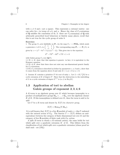with  $u \neq 0$  and  $\epsilon$  not a square. This represents a rational variety: one can solve for  $\epsilon$  in terms of a, b, and u. Hence the class of  $C_4$ -extensions of **Q** satisfies the conclusion of th. 2: there are  $C_4$ -extensions of **Q** with arbitrarily prescribed local behaviour at finitely many places; recall that this is not true for the cyclic group of order 8.

#### **Exercises:**

1. The group  $C_4$  acts faithfully on  $P_1$  via the map  $C_4 \longrightarrow PGL_2$  which sends a generator  $\sigma$  of  $C_4$  to  $\begin{pmatrix} 1 & 1 \\ -1 & 1 \end{pmatrix}$ . The corresponding map  $P_1 \longrightarrow P_1/C_4$  is given by  $z \mapsto (z^4 - 6z^2 + 1)/(z(z^2 - 1))$ . This gives rise to the equation:

$$
Z^4 - TZ^3 - 6Z^2 + TZ + 1 = 0
$$

with Galois group  $C_4$  over  $\mathbf{Q}(T)$ .

1.1 If  $i \in K$ , show that this equation is generic: in fact, it is equivalent to the Kummer equation.

1.2 If  $i \notin K$ , show that there does not exist any one-dimensional generic family for <sup>C</sup>4-extensions.

1.3 If a  $C_4$ -extension is described as before by parameters  $\epsilon$ ,  $a$ ,  $b$  and  $c$ , show that it comes from the equation above if and only if  $(-1, a) = 0$  or  $a = 0$ .

2. Assume K contains a primitive  $2^n$ -th root of unity z. Let  $L = K(\sqrt[2^n]{a})$  be a cyclic extension of  $K$  of degree  $2^n$ . Show that the obstruction to the embedding of L in a cyclic extension of degree  $2^{n+1}$  is  $(a, z)$  in  $Br_2(K)$ .

### **1.3 Application of tori to abelian Galois groups of exponent 2***,* **3***,* **4***,* **6**

A  $K$ -torus is an algebraic group over  $K$  which becomes isomorphic to a product of multiplicative groups  $\mathbf{G}_m \times \ldots \times \mathbf{G}_m$  over the algebraic closure K of K. If this isomorphism is defined over K, then the torus is said to be *split*.

Let T be a K-torus and denote by  $X(T)$  its *character group*,

$$
X(T) = \text{Hom}_{\bar{K}}(T, \mathbf{G}_{\mathrm{m}}).
$$

It is well known that  $X(T)$  is a free **Z**-module of rank  $n = \dim T$  endowed with the natural action of  $G_K$ . The functor  $T \mapsto X(T)$  defines an antiequivalence between the category of finite dimensional tori over  $K$  and the category of free **Z**-modules of finite rank with  $G_K$  action.

A split K-torus is clearly a K-rational variety; the same holds for tori which split over a quadratic extension  $K'$  of K. This follows from the classification of tori which split over a quadratic extension (whose proof we shall omit - see [CR]):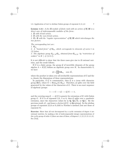**Lemma 1.3.1** *A free* **Z***-module of finite rank with an action of* **Z**/2**Z** *is a direct sum of indecomposable modules of the form* :

*1.* **Z** *with trivial action.*

*2.* **Z** *with the non-trivial action.*

*3.*  $\mathbf{Z} \times \mathbf{Z}$  *with the "regular representation" of*  $\mathbf{Z}/2\mathbf{Z}$  *which interchanges the two factors.*

*The corresponding tori are* :

*1.* **G**<sup>m</sup>

*2. A "twisted form" of* **G**m*, which corresponds to elements of norm* 1 *in (3) below.*

*3. The algebraic group*  $R_{K'/K}$ **G**<sub>m</sub> *obtained from*  $G_{m/K'}$  *by "restriction of scalars" to* K ( *cf.* §*3.2.1*)*.*

It is not difficult to show that the three cases give rise to  $K$ -rational varieties, and the result follows.

If G is a finite group, the group  $\mathcal G$  of invertible elements of the group algebra  $\Lambda = K[G]$  defines an algebraic group over K. In characteristic 0, we have

 $\mathcal{G} \simeq \prod \mathbf{GL}_{n_i}$  over  $\bar{K}$ ,

where the product is taken over all irreducible representations of  $G$  and the  $n_i$  denote the dimensions of these representations.

In particular, if  $G$  is commutative, then  $G$  is a torus with character group  $\mathbf{Z}[\tilde{G}]$ , where  $\tilde{G} = \text{Hom}_{\bar{K}}(G, \mathbf{G}_{\text{m}})$ . Therefore,  $\mathcal G$  splits over the field generated by the values of the characters of G. There is an exact sequence of algebraic groups:

$$
1 \longrightarrow G \longrightarrow \mathcal{G} \longrightarrow \mathcal{G}/G \longrightarrow 1,
$$

and the covering map  $\mathcal{G} \longrightarrow \mathcal{G}/G$  is generic for extensions of K with Galois group G. If G is of exponent 2,3, 4 or 6, then  $\mathcal G$  splits over a quadratic extension, since the characters values lie in  $Q$ ,  $Q(\sqrt{3})$ , or  $Q(i)$ . By the previous result,  $\mathcal{G}$  - and hence *a fortiori*  $\mathcal{G}/G$  - is **Q**-rational. So the abelian groups of exponent 2,3,4 or 6 yield to Noether's method (but not those of exponent 8).

**Exercise:** Show that all tori decomposed by a cyclic extension of degree 4 are rational varieties, by making a list of indecomposable integer representations of the cyclic group of order 4 (there are nine of these, of degrees  $1, 1, 2, 2, 3, 3, 4, 4, 4$ ). See [Vo2].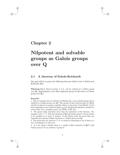### **Chapter 2**

## **Nilpotent and solvable groups as Galois groups over Q**

### **2.1 A theorem of Scholz-Reichardt**

Our goal will be to prove the following theorem which is due to Scholz and Reichardt [Re]:

**Theorem 2.1.1** *Every l*-group,  $l \neq 2$ , can be realized as a Galois group *over* **Q***.* (Equivalently, every finite nilpotent group of odd order is a Galois group over **Q**.)

#### **Remarks**:

1. This is a special case of a theorem of Shafarevich: every solvable group can be realized as a Galois group over **Q**. [The proofs of that theorem given in [Sha1] and [Is] are known to contain a mistake relative to the prime 2 (see [Sha3]). In the notes appended to his Collected Papers, p.752, Shafarevich sketches a method to correct this. For a complete proof, see [NSW], ch.IX, §5.]

2. The proof yields somewhat more than the statement of the theorem. For example, if  $|G| = l^N$ , then the extension of **Q** with Galois group G can be chosen to be ramified at at most  $N$  primes. It also follows from the proof that any separable pro-l-group of finite exponent is a Galois group over **Q**.

3. The proof does not work for  $l = 2$ . It would be interesting to see if there is a way of adapting it to this case.

4. It is not known whether there is a regular Galois extension of **Q**(T) with Galois group  $G$  for an arbitrary *l*-group  $G$ .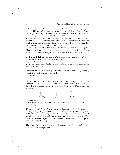An l-group can be built up from a series of central extensions by groups of order l. The natural approach to the problem of realizing an l-group  $G$  as a Galois group over **Q** is to construct a tower of extensions of degree l which ultimately give the desired G-extension. When carried out naively, this approach does not work, because the embedding problem cannot always be solved. The idea of Scholz and Reichardt is to introduce more stringent conditions on the extensions which are made at each stage, ensuring that the embedding problem has a positive answer.

Let  $K/Q$  be an extension with Galois group  $G$ , where  $G$  is an *l*-group. Choose  $N \geq 1$  such that  $l^N$  is a multiple of the exponent of G, i.e.,  $s^{l^N} = 1$ for all  $s \in G$ . The property introduced by Scholz is the following:

**Definition 2.1.2** *The extension*  $L/Q$  *is said to have property*  $(S_N)$  *if every prime* p *which is ramified in* L/**Q** *satisfies* : *1.*  $p \equiv 1 \pmod{l^N}$ .

2. If  $v$  *is a place of*  $L$  *dividing*  $p$ *, the inertia group*  $I_v$  *at*  $v$  *is equal to the*  $decomposition$  *group*  $D_n$ .

Condition 2 is equivalent to saying that the local extension  $L_v/\mathbf{Q}_p$  is totally ramified, or that its residue field is  $\mathbf{F}_p$ .

Now, let

$$
1 \longrightarrow C_l \longrightarrow \tilde{G} \longrightarrow G \longrightarrow 1
$$

be an exact sequence of *l*-groups with  $C_l$  central, cyclic of order *l*. The "embedding problem" for  $\tilde{G}$  is to find a Galois extension  $\tilde{L}$  of K containing L, with isomorphisms Gal( $\tilde{L}/L$ )  $\simeq C_l$  and Gal( $\tilde{L}/K$ )  $\simeq \tilde{G}$  such that the diagram

$$
\begin{array}{ccccccc}\n1 & \longrightarrow & C_l & \longrightarrow & \tilde{G} & \longrightarrow & G & \longrightarrow & 1 \\
\parallel & & & \parallel & & \parallel & & \parallel \\
1 & \longrightarrow & \text{Gal}(\tilde{L}/L) & \longrightarrow & \text{Gal}(\tilde{L}/K) & \longrightarrow & \text{Gal}(L/K) & \longrightarrow & 1\n\end{array}
$$

is commutative.

The Scholz-Reichardt theorem is a consequence of the following (applied inductively):

**Theorem 2.1.3** *Let* L/**Q** *be Galois with Galois group* G*, and assume that* L has property  $(S_N)$ . Assume further that  $l^N$  is a multiple of the exponent *of*  $\tilde{G}$ *. Then the embedding problem for* L and  $\tilde{G}$  has a solution  $\tilde{L}$ *, which satisfies*  $(S_N)$  *and is ramified at at most one more prime than* L. (Furthermore, one can require that this prime be taken from any set of prime numbers of density one.)

The proof of th. 2.1.3 will be divided into two parts: first, for split extensions, then for non-split ones.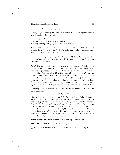### **First part:** the case  $\tilde{G} \simeq G \times C_l$

Let  $(p_1, \ldots, p_m)$  be the prime numbers ramified in L. Select a prime number q with the following properties:

- 1.  $q \equiv 1 \pmod{l^N}$ ,
- 2. q splits completely in the extension  $L/\mathbf{Q}$ ,
- 3. Every prime  $p_i$ ,  $(1 \leq i \leq m)$  is an *l*-th power in  $\mathbf{F}_q$ .

Taken together, these conditions mean that the prime  $q$  splits completely in the field  $L\left(\sqrt[l]{1}, \sqrt[l]{p_1}, \ldots, \sqrt[l]{p_m}\right)$ . The following well-known lemma guarantees the existence of such a q:

**Lemma 2.1.4** *If* E/**Q** *is a finite extension of* **Q***, then there are infinitely many primes which split completely in* E*. In fact, every set of density one contains such a prime.*

*Proof:* The second statement in the lemma is a consequence of Chebotarev's density theorem; the first part can be proved by a direct argument, without invoking Chebotarev. Assume  $E$  is Galois, and let  $f$  be a minimal polynomial with integral coefficients of a primitive element of E. Suppose there are only finitely many primes  $p_i$  which split completely in  $E$  or are ramified. Then  $f(x)$  is of the form  $\pm p_1^{m_1} \dots p_k^{m_k}$ , for  $x \in \mathbf{Z}$ . When x is between 1 and X, the number of distinct values taken by  $f(x)$  is at least  $\frac{1}{n}X$ . But the number of values of  $f(x)$  which can be written in the form  $\mathbb{L}^n p_1^{m_1} \dots p_k^{m_k}$  is bounded by a power of log X. This yields a contradiction.

Having chosen a  $q$  which satisfies the conditions above, fix a surjective homomorphism

$$
\lambda: (\mathbf{Z}/q\mathbf{Z})^* \longrightarrow C_l.
$$

(Such a  $\lambda$  exists because  $q \equiv 1 \pmod{l}$ .) We view  $\lambda$  as a Galois character. This defines a  $C_l$ -extension  $M_\lambda$  of **Q** which is ramified only at q, and is linearly disjoint from L. The compositum  $LM<sub>\lambda</sub>$  therefore has Galois group  $\tilde{G} = G \times C_l$ . Let us check that  $LM_\lambda$  satisfies property  $(S_N)$ . By our choice of q, we have  $q \equiv 1 \pmod{l^N}$ . It remains to show that  $I_v = D_v$  at all ramified primes. If p is ramified in  $L/Q$ , it splits completely in  $M_\lambda$ , and hence  $D_v = I_v$  for all primes  $v|p$ . The only prime ramified in  $M_\lambda$  is q, and q splits completely in  $L$  by assumption. Hence, for all primes  $v$  which are ramified in  $LM_{\lambda}$ , we have  $D_v = I_v$  as desired.

### Second part: the case where  $\tilde{G}$  is a non-split extension

The proof will be carried out in three stages:

(i) Existence of an extension  $\tilde{L}$  giving a solution to the embedding problem.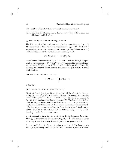- (ii) Modifying  $\tilde{L}$  so that it is ramified at the same places as  $L$ .
- (iii) Modifying  $\tilde{L}$  further so that it has property  $(S_N)$ , with at most one additional ramified prime.

### **(i) Solvability of the embedding problem**

The field extension L determines a surjective homomorphism  $\phi : G_{\mathbf{Q}} \to G$ . The problem is to lift  $\phi$  to a homomorphism  $\tilde{\phi}: G_{\mathbf{Q}} \to \tilde{G}$ . (Such a  $\tilde{\phi}$  is automatically surjective because of our assumption that  $\tilde{G}$  does not split.) Let  $\xi \in H^2(G, C_l)$  be the class of the extension  $\tilde{G}$ , and let

$$
\phi^*: H^2(G, C_l) \longrightarrow H^2(G_{\mathbf{Q}}, C_l)
$$

be the homomorphism defined by  $\phi$ . The existence of the lifting  $\tilde{\phi}$  is equivalent to the vanishing of  $\phi^*(\xi)$  in  $H^2(G_{\mathbf{Q}}, C_l)$ . As usual in Galois cohomology, we write  $H^2(G_{\mathbf{Q}},-)$  as  $H^2(\mathbf{Q},-)$ , and similarly for other fields. The following well-known lemma reduces the statement  $\phi^* \xi = 0$  to a purely local question:

**Lemma 2.1.5** *The restriction map*

$$
H^2(\mathbf{Q},C_l)\longrightarrow \prod_p H^2(\mathbf{Q}_p,C_l)
$$

*is injective.*

(A similar result holds for any number field.)

*Sketch of Proof*: Let  $K = \mathbf{Q}(\mu_l)$ . Since  $[K : \mathbf{Q}]$  is prime to l, the map  $H^2(\mathbf{Q}, C_l) \longrightarrow H^2(K, \mathbf{C}_l)$  is injective. Hence, it is enough to prove the lemma with **Q** replaced by K. In that case,  $H^2(K, C_l)$  is isomorphic to  $Br<sub>l</sub>(K)$ , the *l*-torsion of the Brauer group of K. The lemma then follows from the Brauer-Hasse-Noether theorem: an element of  $Br(K)$  which is 0 locally is 0. (Note that, since  $l \neq 2$ , the archimedean places can be ignored.)

By the above lemma, it suffices to show that  $\phi^* \xi = 0$  locally at all primes. In other words, we must lift the map  $\phi_p : G_{\mathbf{Q}_p} \longrightarrow D_p \subset G$  to  $\tilde{\phi}_p : G_{\mathbf{Q}_p} \longrightarrow \tilde{G}$ . There are two cases:

1. p is unramified in L, i.e.,  $\phi_p$  is trivial on the inertia group  $I_p$  of  $G_{\mathbf{Q}_p}$ . Then  $\phi_p$  factors through the quotient  $G_{\mathbf{Q}_p} / I_p = \hat{\mathbf{Z}}$ . But one can always lift a map  $\hat{\mathbf{Z}} \longrightarrow G$  to a map  $\hat{\mathbf{Z}} \longrightarrow \tilde{G}$ : just lift the generator of  $\hat{\mathbf{Z}}$ .

2. p is ramified in L. By construction,  $p \equiv 1 \pmod{l^N}$ , hence  $p \neq l$ and  $L_v/\mathbf{Q}_p$  is tamely ramified (as in 2.1.2, v denotes a place of L above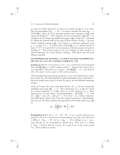p); since its Galois group  $D_v$  is equal to its inertia group  $I_v$ , it is cyclic. The homomorphism  $G_{\mathbf{Q}_p} \longrightarrow D_v \subset G$  factors through the map  $G_{\mathbf{Q}_p} \longrightarrow$  $Gal(E/\mathbf{Q}_p)$ , where E is the maximal abelian tame extension of  $\mathbf{Q}_p$  with exponent dividing  $l^N$ . The extension E can be described explicitly: it is composed of the unique unramified extension of  $\mathbf{Q}_p$  of degree  $l^N$ , (obtained by taking the fraction field of the ring of Witt vectors over  $\mathbf{F}_{p^{l}}(N)$  and the totally ramified extension  $\mathbf{Q}_p\left(\sqrt[n]{p}\right)$  (which is a Kummer extension since  $p \equiv 1 \pmod{l^N}$ ). It follows that  $Gal(E/Q_p)$  is an abelian group of type  $(l^N, l^N)$ ; it is projective in the category of abelian groups of exponent dividing  $l^N$ . The inverse image of  $D_v$  in  $\tilde{G}$  belongs to that category (a central extension of a cyclic group is abelian). This shows that the local lifting is possible.

### (ii) Modifying the extension L so that it becomes unramified outside the set  $\text{ram}(L/\mathbf{Q})$  of primes ramified in  $L/\mathbf{Q}$

**Lemma 2.1.6** For every prime p, let  $\epsilon_p$  be a continuous homomorphism *from* Gal( $\bar{\mathbf{Q}}_p/\mathbf{Q}_p$ ) *to a finite abelian group* C. Suppose that almost all  $\epsilon_p$ *are unramified. Then there is a unique*  $\epsilon$  : Gal( $\mathbf{Q}/\mathbf{Q}$ )  $\longrightarrow$  C, such that for *all* p, the maps  $\epsilon$  and  $\epsilon_p$  agree on the inertia groups  $I_p$ .

(The decomposition and inertia groups  $D_p$ ,  $I_p$  are only defined up to conjugacy inside  $G_Q$ . We shall implicitly assume throughout that a fixed place  $v$ has been chosen above each  $p$ , so that  $D_p$  and  $I_p$  are well-defined subgroups of  $G_{\mathbf{Q}}$ .

*Proof of lemma:* By local class field theory, the  $\epsilon_p$  can be canonically identified with maps  $\mathbf{Q}_p^* \longrightarrow C$ . The restrictions of  $\epsilon_p$  to  $\mathbf{Z}_p^*$  are trivial on a closed subgroup  $1 + p^{n_p} \mathbb{Z}_p$ , where  $n_p$  is the *conductor* of  $\epsilon_p$ . Since almost all  $n_p$  are zero, there is a homomorphism  $\epsilon : (\mathbf{Z}/M\mathbf{Z})^* \longrightarrow C$ , with  $M = \prod p^{n_p}$ , and  $\epsilon(k) = \prod \epsilon_p(k^{-1})$ . If we view  $\epsilon$  as a Galois character, class field theory shows that it has the required properties. (Equivalently, one may use the direct product decomposition of the idèle group  $I_{\mathbf{Q}}$  of  $\mathbf{Q}$ , as:

$$
I_{\mathbf{Q}} = \left(\prod_{p} \mathbf{Z}_{p}^{*} \times \mathbf{R}_{+}^{*}\right) \times \mathbf{Q}^{*}.)
$$

**Proposition 2.1.7** *Let*  $1 \rightarrow C \rightarrow \Phi \rightarrow \Phi \rightarrow 1$  *be a central extension of a group*  $\Phi$ *, and*  $\phi$  *be a continuous homomorphism from*  $G_{\mathbf{Q}}$  *to*  $\Phi$  *which has a lifting*  $\psi$  :  $G_{\mathbf{Q}} \longrightarrow \tilde{\Phi}$ *. Let*  $\tilde{\phi}_p$  :  $G_{\mathbf{Q}_p} \longrightarrow \tilde{\Phi}$  *be liftings of*  $\phi_p = \phi|_{D_p}$ *, such that the*  $\tilde{\phi}_p$  *are unramified for almost all p. Then there is a lifting*  $\tilde{\phi}: G_{\bf{Q}} \longrightarrow \tilde{\Phi}$  *such that, for every* p,  $\tilde{\phi}$  *is equal to*  $\tilde{\phi}_p$  *on the inertia group at* p*. Such a lifting is unique.*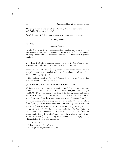This proposition is also useful for relating Galois representations in **GL**<sup>n</sup> and  $\mathbf{PGL}_n$  (Tate, see [Se7, §6]).)

*Proof of prop. 2.1.7:* For every p, there is a unique homomorphism

$$
\epsilon_p: G_{\mathbf{Q}_p} \longrightarrow C
$$

such that

$$
\psi(s) = \epsilon_p(s)\tilde{\phi}_p(s)
$$

for all  $s \in G_{\mathbf{Q}_p}$ . By the previous lemma, there exists a unique  $\epsilon : G_{\mathbf{Q}} \longrightarrow C$ which agrees with  $\epsilon_p$  on  $I_p$ . The homomorphism  $\phi = \psi \epsilon^{-1}$  has the required property. This proves the existence assertion. The uniqueness is proved similarly.

**Corollary 2.1.8** *Assuming the hypotheses of prop. 2.1.7, a lifting of*  $\phi$  *can be chosen unramified at every prime where*  $\phi$  *is unramified.* 

*Proof:* Choose local liftings  $\phi_p$  of  $\phi$  which are unramified where  $\phi$  is; this is possible since there is no obstruction to lifting a homomorphism defined on **Z**. Then, apply prop. 2.1.7.

The corollary completes the proof of part (ii):  $L$  can be modified so that it is ramified at the same places as L.

### (iii) Modifying  $\tilde{L}$  so that it satisfies property  $(S_N)$

We have obtained an extension  $\tilde{L}$  which is ramified at the same places as L and which solves the extension problem for  $\tilde{G}$ . Let p be in ram( $L/\mathbf{Q}$ ) = ram( $\tilde{L}/\mathbf{Q}$ ). Denote by  $D_p$ ,  $I_p$  (resp  $\tilde{D}_p$ ,  $\tilde{I}_p$ ) the decomposition and inertia groups for L (resp  $\tilde{L}$ ) at p. We have  $I_p = D_p \subset G$ ; this is a cyclic group of order  $l^{\alpha}$ , say. Let  $I'_p$  be the inverse image of  $I_p$  in  $\tilde{G}$ . We have  $\tilde{I}_p \subset \tilde{D}_p \subset I'_p$ . If  $I_p'$  is a non-split extension of  $I_p$  (i.e., is cyclic of order  $l^{\alpha+1}$ ) we even have  $\tilde{I}_p = \tilde{D}_p = I'_p$ , and the Scholz condition is satisfied at p. Let S be the set of  $p \in \text{ram}(L/\mathbf{Q})$  for which  $I'_p$  is a split extension of  $I_p$ ; since  $\tilde{I}_p$  is cyclic, we have  $I_p' = \tilde{I}_p \times C_l$ . The Frobenius element Frob<sub>p</sub>  $\in \tilde{D}_p / \tilde{I}_p \subset I_p' / \tilde{I}_p$  may be identified with an element  $c_p$  of  $C_l$ ; the Scholz condition is satisfied at p if and only if  $c_p = 1$ . If all  $c_p$ 's are equal to 1,  $\tilde{L}$  satisfies  $(S_N)$ . If not, we need to correct  $\tilde{\phi}: G_{\mathbf{Q}} \longrightarrow \tilde{G}$  by a Galois character  $\chi: (\mathbf{Z}/q\mathbf{Z})^* \longrightarrow C_l$ which satisfies the following properties:

- 1.  $q \equiv 1 \pmod{l^N}$ .
- 2. For every p in S,  $\chi(p) = c_p$ .
- 3. The prime q splits completely in L/**Q**.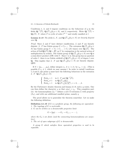Conditions 1, 2, and 3 impose conditions on the behaviour of  $q$  in the fields  $\mathbf{Q}(\sqrt[l]{1}), \mathbf{Q}(\sqrt[l]{1}, \sqrt[r]{p}, p \in S)$ , and L respectively. Write  $\mathbf{Q}(\sqrt[l]{1}) =$  $\mathbf{Q}(\sqrt{1}) \cdot F$ , where *F* is cyclic of order  $l^{N-1}$  and totally ramified at *l*.

**Lemma 2.1.9** *The fields L, F, and*  $\mathbf{Q}(\sqrt[l]{1}, \sqrt[l]{p}, p \in S)$  *are linearly disjoint over* **Q***.*

*Proof:* Since L and F have distinct ramification, L and F are linearly *Proof:* Since *L* and *P* have distinct randication, *L* and *P* are infearily disjoint:  $L \cdot F$  has Galois group  $G \times C_{l^{N-1}}$ . The extension  $\mathbf{Q}(\sqrt{l}, \sqrt{l})$ ,  $\sqrt{l}p, p \in \mathbb{R}$ S) has Galois group  $V = C_l \times C_l \dots \times C_l$  (|S| times) over  $\mathbf{Q}(\sqrt{l}, \sqrt{l})$ . The between the Gal( $\mathbf{Q}(\sqrt{1})/\mathbf{Q}$ ) =  $\mathbf{F}_l^*$  on V by conjugation is the natural action of Gal( $\mathbf{Q}(\sqrt{l})/\mathbf{Q}$ ) =  $\mathbf{F}_l^*$  on V by conjugation is the natural action of action of Gal( $Q(V1)/Q$ ) =  $\mathbf{F}_l$  on V by conjugation is the natural action of  $Q(\sqrt{l}, \sqrt{l}p, p \in S)$  over Q is multiplication by scalars. The Galois group of  $Q(\sqrt{l}, \sqrt{l}p, p \in S)$  over Q is a semi-direct product of  $\mathbf{F}_l^*$  with V. Since  $l \neq 2$ , this group has no quotient a semi-direct product of  $\mathbf{r}_i$  with v. Since  $i \neq 2$ , this group has no quotient of order l: there is no Galois subfield of  $\mathbf{Q}(\sqrt{l} \cdot \mathbf{I}, \sqrt{l} \cdot \mathbf{p}, p \in S)$  of degree l over **Q**. This implies that  $L \cdot F$  and  $\mathbf{Q}(\sqrt{l}, \sqrt{l}p, p \in S)$  are linearly disjoint. QED.

If  $S = \{p_1, \ldots, p_k\}$ , define integers  $\nu_i, 2 \leq i \leq k$ , by  $c_{p_i} = c_{p_i}^{\nu_i}$ . (This is possible if  $c_1 \neq 1$ , which we may assume.) In order to satisfy conditions 1, 2 and 3, the prime  $q$  must have the following behaviour in the extension 1, 2 and 3, the prime q n<br>  $L \cdot F \cdot \mathbf{Q}(\sqrt[l]{1}, \sqrt[l]{p}, p \in S)$ :

$$
\begin{cases}\n\text{Frob}_q = 1 & \text{in } L \cdot F \text{ and } \mathbf{Q}(\sqrt[l]{1}); \\
\text{Frob}_q \neq 1 & \text{in } \mathbf{Q}(\sqrt[l]{1}, \sqrt[l]{p_1}); \\
\text{Frob}_q = 1 & \text{in } \mathbf{Q}(\sqrt[l]{1}, \sqrt[l]{p_1/p_i^{v_i}}), i = 2, \dots, k.\n\end{cases}
$$

By the Chebotarev density theorem and lemma 2.1.9, such a  $q$  exists. One can then define the character  $\chi$  so that  $\chi(p_i) = c_{p_i}$ . This completes part (ii): the homomorphism  $\tilde{\phi}\chi^{-1}$  defines a new  $\tilde{G}$ -extension  $\tilde{L}$  with property  $(S_N)$ , and with one additional ramified prime, namely q.

The proof allows us to generalize the theorem somewhat. Let us make the following definition:

**Definition 2.1.10** *If* G *is a profinite group, the following are equivalent*: *1. The topology of* G *is metrizable.*

*2.* G *can be written as a denumerable projective limit*

$$
G = \lim_{n \to \infty} (\cdots \to G_n \to G_{n-1} \to \cdots),
$$

where the  $G_n$ 's are finite (and the connecting homomorphisms are surjection*tive).*

*3. The set of open subgroups of* G *is denumerable.*

*A group* G *which satisfies these equivalent properties is said to be separable.*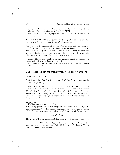If  $G = \text{Gal}(L/K)$ , these properties are equivalent to  $[L: K] \leq \aleph_0$ ; if G is a pro-l-group, they are equivalent to dim  $H^1(G, \mathbf{Z}/l\mathbf{Z}) \leq \aleph_0$ .

The proof that the three properties in the definition are equivalent is elementary.

**Theorem 2.1.11** *If* G *is a separable pro-*l*-group of finite exponent, then there is a Galois extension of* **Q** *with Galois group* G*.*

*Proof:* If  $l^N$  is the exponent of G, write G as  $proj.dim(G_n)$  where each  $G_n$ is a finite l-group, the connecting homomorphism being surjective, with kernel of order  $l$ . By th. 2.1.3, one can construct inductively an increasing family of Galois extensions  $L_n/\mathbf{Q}$  with Galois group  $G_n$  which have the  $(S_N)$  property; the union of the  $L_n$ 's has Galois group G.

**Remark:** The finiteness condition on the exponent cannot be dropped: for example,  $\mathbf{Z}_l \times \mathbf{Z}_l$  is not a Galois group over **Q**.

A more general result has been proved by Neukirch [Ne] for pro-solvable groups of odd order and finite exponent.

### **2.2 The Frattini subgroup of a finite group**

Let  $G$  be a finite group.

**Definition 2.2.1** *The* Frattini subgroup Φ *of* G *is the intersection of the maximal subgroups of* G*.*

The Frattini subgroup is normal. If  $G \neq 1$ , then  $\Phi \neq G$ . If  $G_1 \subset G$ satisfies  $\Phi \cdot G_1 = G$ , then  $G_1 = G$ . (Otherwise, choose a maximal subgroup M such that  $G_1 \subset M \subset G$ . Since  $\Phi \subset M$ , it follows that  $\Phi G_1 \subset M$ , which is a contradiction.) In other words, a subset of  $G$  generates  $G$  if and only if it generates  $G/\Phi$ : elements of  $\Phi$  are sometimes referred to as "non-generators".

#### **Examples:**

1. If G is a simple group, then  $\Phi = 1$ .

2. If  $G$  is a p-group, the maximal subgroups are the kernels of the surjective homomorphisms  $G \longrightarrow C_p$ . Hence  $\Phi$  is generated by  $(G, G)$  and  $G^p$ , where  $(G, G)$  denotes the commutator subgroup of G; more precisely, we have

$$
\Phi = (G, G) \cdot G^p.
$$

The group  $G/\Phi$  is the maximal abelian quotient of G of type  $(p, p, \ldots, p)$ .

**Proposition 2.2.2** ( [Hu], p. 168) *Let* G *be a finite group,* Φ *its Frattini subgroup,* N *a normal subgroup of* G *with*  $\Phi \subset N \subset G$ *. Assume*  $N/\Phi$  *is nilpotent. Then* N *is nilpotent.*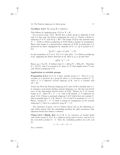#### **Corollary 2.2.3** *The group* Φ *is nilpotent.*

This follows by applying prop. 2.2.2 to  $N = \Phi$ .

Let us prove prop. 2.2.2. Recall that a finite group is nilpotent if and only if it has only one Sylow  $p$ -subgroup for every  $p$ . Choose a Sylow  $p$ subgroup P of N, and let  $Q = \Phi P$ . The image of Q by the quotient map  $N \longrightarrow N/\Phi$  is a Sylow p-subgroup of  $N/\Phi$  which is unique by assumption. Hence this image is a characteristic subgroup of  $N/\Phi$ ; in particular it is preserved by inner conjugation by elements of  $G$ , i.e.,  $Q$  is normal in  $G$ . Let

$$
N_G(P) = \{ g | g \in G, gPg^{-1} = P \}
$$

be the normalizer of P in G. If  $g \in G$ , then  $gPg^{-1}$  is a Sylow p-subgroup of Q. Applying the Sylow theorems in Q, there is a  $q \in Q$  such that

$$
qgPg^{-1}q^{-1} = P.
$$

Hence  $qq \in N_G(P)$ . It follows that  $G = QN_G(P) = \Phi N_G(P)$ . Therefore  $G = N_G(P)$ , and P is normal in G, hence in N; this implies that P is the only Sylow p-subgroup of N.

### **Application to solvable groups**

**Proposition 2.2.4** *Let*  $G$  *be a finite solvable group*  $\neq$  1*. Then*  $G$  *is isomorphic to a quotient of a group*  $H$  *which is a semi-direct product*  $U \cdot S$ , *where* U *is a nilpotent normal subgroup of* H*, and* S *is solvable with*  $|S| < |G|$ *.* 

*Proof:* Let  $\Phi$  be the Frattini subgroup of G; since  $G/\Phi$  is solvable and  $\neq 1$ , it contains a non-trivial abelian normal subgroup, e.g., the last non-trivial term of the descending derived series of  $G/\Phi$ . Denote by U its inverse image in G. Since  $\Phi \subset U \subset G$ , with  $U/\Phi$  abelian, U is nilpotent by prop. 2.2.2. Choose a maximal subgroup  $S$  of  $G$  which does not contain  $U$ : this is possible since  $U \neq \Phi$ . Since  $U \cdot S \neq S$  and S is maximal,  $G = U \cdot S$ . Hence, writing  $H = U \cdot S$  (with S acting by conjugation on the normal subgroup U), there is a surjective map  $H \longrightarrow G$ .

The relevance of prop. 2.2.4 to Galois theory lies in the following result which asserts that the embedding problem for split extensions with nilpotent kernel has always a solution.

**Claim 2.2.5 ( [Sha2], [Is])** *Let* L/K *be an extension of number fields with Galois group* S*, let* U *be a nilpotent group with* S*-action, and let* G *be the semi-direct product*  $U \cdot S$ *. Then the embedding problem for*  $L/K$  *and for*

$$
1 \to U \to G \to S \to 1
$$

*has a solution.*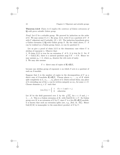**Theorem 2.2.6** *Claim 2.2.5 implies the existence of Galois extensions of* **Q** *with given solvable Galois group.*

*Proof:* Let G be a solvable group. We proceed by induction on the order of G. We may asume  $G \neq 1$ . By prop. 2.2.4, write G as a quotient of  $U \cdot S$ with U nilpotent and S solvable,  $|S| < |G|$ . The induction hypothesis gives a Galois extension  $L/Q$  with Galois group S. By the claim above,  $U \cdot S$ can be realized as a Galois group; hence, so can its quotient G.

Let us give a proof of claim  $2.2.5$  in the elementary case where  $U$  is abelian of exponent  $n$ . Observe that:

1. If claim 2.2.5 is true for an extension  $L'$  of  $L$ , it is true for  $L$ : for, if  $S' = \text{Gal}(L/K)$ , there is a natural quotient map  $US' \rightarrow US$ . Hence we may assume  $\mu_n \subset L$ , where  $\mu_n$  denotes the *n*th roots of unity. 2. We may also assume

 $U \simeq$  direct sum of copies of  $\mathbf{Z}/n\mathbf{Z}[S]$ ,

because any abelian group of exponent  $n$  on which  $S$  acts is a quotient of such an S-module.

Suppose that  $h$  is the number of copies in the decomposition of  $U$  as a direct sum of S-modules  $\mathbf{Z}/n\mathbf{Z}[S]$ . Choose places  $v_1, \ldots, v_h$  of K which split completely in  $L, w_1, \ldots, w_h$  places of L which extend them; any place of L extending one of the  $v_i$  can be written uniquely as  $sw_i$ , for some  $s \in S$ . Choose elements  $\phi_j \in L^*$  such that

$$
(sw_i)(\phi_j) = \begin{cases} 1 & \text{if } s = 1 \text{ and } i = j. \\ 0 & \text{otherwise.} \end{cases}
$$

Let M be the field generated over L by the  $\sqrt[n]{s\phi_i}$ , for  $s \in S$  and  $j =$  $1,\ldots,h$ . This is a Galois extension of K, with  $Gal(M/L) \simeq U$ . Its Galois group over K is an extension of S by U; since U is a free  $\mathbb{Z}/n\mathbb{Z}[S]$ -module, it is known that such an extension splits (see, e.g., [Se2, ch. IX]). Hence  $Gal(M/K)$  is isomorphic to the semi-direct product of S by U.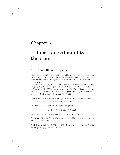### **Chapter 3**

## **Hilbert's irreducibility theorem**

### **3.1 The Hilbert property**

Fix a ground field K with Char  $K = 0$ , and let V be an irreducible algebraic variety over  $K$ . (In what follows, algebraic varieties will be tacitly assumed to be integral and quasi-projective.) Denote by  $V(K)$  the set of K-rational points of  $V$ .

A subset A of  $V(K)$  is said to be of *type*  $(C_1)$  if there is a closed subset  $W \subset V$ ,  $W \neq V$ , with  $A \subset W(K)$ , i.e., if A is not Zariski-dense in V.

A subset A of  $V(K)$  is said to be of *type*  $(C_2)$  if there is an irreducible variety V', with dim  $V = \dim V'$ , and a generically surjective morphism  $\pi: V' \longrightarrow V$  of degree  $\geq 2$ , with  $A \subset \pi(V^{'}(K)).$ 

**Definition 3.1.1** *A subset A of*  $V(K)$  *is called* thin (*"mince" in French*) *if it is contained in a finite union of sets of type*  $(C_1)$  *or*  $(C_2)$ *.* 

Alternately, a set A is thin if there is a morphism

 $\pi: W \to V$  with dim  $W \leq \dim V$ 

having no rational cross-section, and such that  $A \subset \pi(W(K))$ .

**Example:** If  $V = \mathbf{P}_1$ ,  $V(K) = K \cup \{\infty\}$ . The set of squares (resp. cubes,...) in K is thin.

**Definition 3.1.2** (cf. [CTS1], p. 189) *A variety* V *over* K *satisfies the Hilbert property if*  $V(K)$  *is not thin.*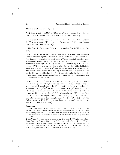This is a birational property of  $V$ .

**Definition 3.1.3** *A field* K *is* Hilbertian *if there exists an irreducible variety* V *over* K, with dim  $V \geq 1$ , which has the Hilbert property.

It is easy to show (cf. exerc. 1) that if  $K$  is Hilbertian, then the projective line  $P_1$  over K has the Hilbert property (hence, our definition is equivalent to the standard one, see e.g. [L]).

The fields  $\mathbf{R}, \mathbf{Q}_p$  are not Hilbertian. A number field is Hilbertian (see §3.4).

**Remark on irreducible varieties:** The variety V is said to be *absolutely irreducible* if the algebraic closure  $K'$  of K in the field  $K(V)$  of rational functions on  $V$  is equal to  $K$ . Equivalently,  $V$  must remain irreducible upon extension of scalars to the algebraic closure K of K. If V is not absolutely irreducible, then  $V(K) \subset W(K)$ , where W is a subvariety of  $V, W \neq V$ . Indeed, if V is a normal variety, then  $V(K) = \emptyset$ . For, the residue field of the local ring at  $P \in V$  contains  $K'$ , and hence no point of V is K-rational. The general case follows from this by normalization. In particular, an irreducible variety which has the Hilbert property is absolutely irreducible.

Therefore, in our definition of  $C_2$ -type subsets, we could have asked that  $V'$  be absolutely irreducible.

**Remark:** Let  $\pi : V' \longrightarrow V$  be a finite morphism (we also say that  $\pi$ is a "covering", even though it can be ramified). Assume that  $\tilde{V}$  and  $V'$ are absolutely irreducible, and let  $K(V')/K(V)$  be the corresponding field extension. Let  $K(V')^{\text{gal}}$  be the Galois closure of  $K(V')$  over  $K(V)$ , and let W be the normalisation of V' in  $K(V')^{\text{gal}}$ . The variety W with its projection  $W \longrightarrow V$  may be called the *Galois closure* of  $V' \longrightarrow V$ . Note that K is not always algebraically closed in  $K(V')^{\text{gal}}$ , i.e., W need not be absolutely irreducible. For example, take  $V = V' = P_1$ ,  $\pi(x) = x^3$ ; the Galois closure of V' is  $\mathbf{P}_{1/K(\mu_3)}$ , and hence is not absolutely irreducible over K if K does not contain  $\mu_3$ .

#### **Exercises:**

1. Let V be an affine irreducible variety over K, with dim  $V \geq 1$ . Let  $W_1, \ldots, W_r$ be absolutely irreducible coverings of the projective line **<sup>P</sup>**1. Show that there exists a morphism  $f: V \longrightarrow \mathbf{P}_1$  such that the pullback coverings  $f^*W_i$  of V are absolutely irreducible. Use this to show that if  $V$  has the Hilbert property, then so has  $P_1$ .

2. Let V and T be absolutely irreducible varieties, and  $A \subset V(K)$  a thin subset. Show that  $A \times T(K)$  is thin in  $V \times T$ . More generally, let  $f : W \longrightarrow V$  be a generically surjective morphism whose generic fiber is absolutely irreducible (i.e. the function field extension  $K(W)/K(V)$  is regular). If B is a subset of  $W(K)$ such that  $f(B)$  is thin in  $V(K)$ , show that B is thin in  $W(K)$ .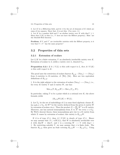3. Let K be a Hilbertian field, and let A be the set of elements of K which are sums of two squares. Show that  $A$  is not thin. (Use exerc. 2.)

4. Let K be a number field and V an abelian variety over K with dim  $V \geq 1$ . Show that  $V(K)$  is thin (i.e., V does not have the Hilbert property). Hint: use the Mordell-Weil theorem.

**Problem:** If V and  $V'$  are irreducible varieties with the Hilbert property, is it true that  $V \times V'$  has the same property?

### **3.2 Properties of thin sets**

#### **3.2.1 Extension of scalars**

Let  $L/K$  be a finite extension, V an absolutely irreducible variety over  $K$ . Extension of scalars to L yields a variety over L, denoted  $V_{/L}$ .

**Proposition 3.2.1** *If*  $A \subset V(L)$  *is thin with respect to*  $L$ *, then*  $A \cap V(K)$ *is thin with respect to* K*.*

The proof uses the restriction of scalars functor  $R_{L/K} : (\text{Var}_L) \longrightarrow (\text{Var}_K)$ from  $L$ -varieties to  $K$ -varieties, cf. [We], [Oe]. Here are two equivalent definitions of  $R_{L/K}$ :

1. It is the right adjoint to the extension of scalars  $(\text{Var}_K) \longrightarrow (\text{Var}_L)$ , i.e., for every K-variety  $T$  and L-variety  $W$ , one has:

$$
Mor_K(T, R_{L/K}W) = Mor_L(T/L, W);
$$

In particular, taking  $T$  to be a point which is a rational over  $K$ , the above formula yields

$$
(R_{L/K}W)(K) = W(L).
$$

2. Let  $\Sigma_L$  be the set of embeddings of L in some fixed algebraic closure  $\overline{K}$ ; for each  $\sigma \in \Sigma_L$ , let  $W^{\sigma}$  be the variety deduced from the given L-variety W by extension of scalars via  $\sigma$ . Then the product  $X = \prod_{\sigma} W^{\sigma}$  is a  $\bar{K}$ -variety. Moreover, one has natural isomorphisms from X to  $X^s$  for every  $s \in G_K$ . By Weil's descent theory, these isomorphisms give rise to a  $K$ -variety from which X comes by extension of scalars; this variety is  $R_{L/K}W$ .

If A is of type  $(C_1)$ , then  $A \cap V(K)$  is clearly of type  $(C_1)$ . Hence we may assume that  $A \subset \pi(W(L))$ , that W is absolutely irreducible over L with dim  $W = \dim V$ , and  $\pi$  is a covering  $W \longrightarrow V$  with  $\deg \pi >$ 1. By restricting suitably V, we may assume that  $\pi$  is finite étale. The functor  $R_{L/K}$  then gives an étale covering  $R_{L/K}W \longrightarrow R_{L/K}V_{/L}$ . Using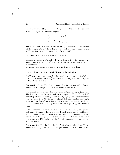the diagonal embedding  $\Delta: V \longrightarrow R_{L/K}V_L$ , we obtain an étale covering  $\pi^{'}: V^{'} \longrightarrow V$ , and a Cartesian diagram:

$$
\begin{array}{ccc}\nV' & \longrightarrow & R_{L/K}W \\
\downarrow^{\pi'} & & \downarrow \\
V & \stackrel{\Delta}{\longrightarrow} & R_{L/K}V_{/L}.\n\end{array}
$$

The set  $A \cap V(K)$  is contained in  $\pi'(V'(K))$ , and it is easy to check that all the components of  $V'$  have degree over V at least equal to deg  $\pi$ . Hence  $\pi'(V'(K))$  is thin, and the same is true for  $A \cap V(K)$ .

**Corollary 3.2.2** *If* K *is Hilbertian, then so is* L*.*

Suppose L were not. Then  $A = \mathbf{P}_1(L)$  is thin in  $\mathbf{P}_1$  with respect to L. This implies that  $A \cap \mathbf{P}_1(K) = \mathbf{P}_1(K)$  is thin in  $\mathbf{P}_1$  with respect to K; contradiction.

**Remark:** The converse to cor. 3.2.2 is not true; see e.g. [Ku].

#### **3.2.2 Intersections with linear subvarieties**

Let V be the projective space  $P_n$  of dimension n, and let  $A \subset V(K)$  be a thin set. We denote by  $\mathbf{Grass}_{n}^{d}$  the Grassmann variety of  $d$ -linear subspaces of  $\mathbf{P}_n$ , where  $1 \leq d \leq n$ .

 $\bf{Proposition 3.2.3}$  *There is a non-empty Zariski-open subset*  $U \subset \bf{Grass}_n^d$ such that if W belongs to  $U(K)$ , then  $A \cap W$  is thin in W.

It is enough to prove this when A is either of type  $(C_1)$  or of type  $(C_2)$ . The first case is easy. In the second, there is a map  $\pi : V' \longrightarrow \mathbf{P}_n$ , with V' absolutely irreducible, deg  $\pi \geq 2$ , and  $A \subset \pi(V'(K))$ . By Bertini's theorem (see e.g., [Jou, ch. I, §6], [Ha, p. 179], [De2], [Z]), there exists a non-empty open set U in  $\mathbf{Grass}_{n}^{d}$  such that  $\pi^{-1}(W)$  is absolutely irreducible for all  $W \in U$ . Hence, if  $W \in U(K)$ , then  $W \cap A$  is of type  $(C_2)$ , and hence is thin.

An interesting case occurs when  $d = 1$ . Let  $\pi : V' \longrightarrow \mathbf{P}_n$  be a generically surjective map of degree  $> 1$ , and  $\Phi$  the hypersurface of ramification of  $\pi$ . Consider the set U of lines which intersect  $\Phi$  transversally at smooth points. Then for  $\mathcal{L} \in U$ , the covering  $\pi^{-1}(\mathcal{L}) \longrightarrow \mathcal{L}$  is irreducible: one proves this over **C** by deforming the line into a generic one, and the general case follows.

**Example:** Consider the "double plane"  $V'_F$  with equation  $t^2 = F(x, y)$ , where F is the equation for a smooth quartic curve  $\Phi$  in  $\mathbf{P}_2$ . The natural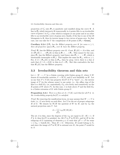projection of  $V_F'$  onto  $P_2$  is quadratic and ramified along the curve  $\Phi$ . A line in  $P_2$  which intersects  $\Phi$  transversally in 4 points lifts to an irreducible curve of genus 1 in  $V_F$ ; a line which is tangent at one point and at no other lifts to an irreducible curve of genus zero; finally, if the line is one of the 28 bitangents to  $\Phi$ , then its inverse image is two curves of genus zero. In that case, one can take for U the complement of 28 points in  $P_2 = \text{Grass}_2^1$ .

**Corollary 3.2.4** *If*  $P_n$  *has the Hilbert property over* K *for some*  $n \geq 1$ *, then all projective spaces* **P**<sup>m</sup> *over* K *have the Hilbert property.*

*Proof:*  $P_1$  has the Hilbert property over K: if not,  $P_1(K) = A$  is thin, and  $A \times \mathbf{P}_1(K) \times \ldots \times \mathbf{P}_1(K)$  is thin in  $\mathbf{P}_1 \times \ldots \times \mathbf{P}_1$ . This cannot be the case, since  $\mathbf{P}_n$  has the Hilbert property (and hence also  $\mathbf{P}_1 \times \cdots \times \mathbf{P}_1$  which is birationally isomorphic to  $\mathbf{P}_n$ ). This implies the same for  $\mathbf{P}_m$ , with  $m \geq 1$ . For, if  $A = \mathbf{P}_m(K)$  is thin in  $\mathbf{P}_m$ , then by prop. 3.2.3, there is a line  $\mathcal L$ such that  $\mathcal{L} \cap A = \mathcal{L}(K)$  is thin in  $\mathcal{L} = \mathbf{P}_1$ . But this contradicts the fact that  $P_1(K)$  has the Hilbert property.

### **3.3 Irreducibility theorem and thin sets**

Let  $\pi : W \longrightarrow V$  be a Galois covering with Galois group G, where V, W denote K-irreducible varieties,  $V = W/G$ , and G acts faithfully on W. Let us say that  $P \in V(K)$  has property Irr $(P)$  if P is "inert", i.e., the inverse image of  $P$  (in the scheme sense) is one point, i.e., the affine ring of the fiber is a field  $K_P$  (or, equivalently,  $G_K$  acts freely and transitively on the K-points of W above P). In this case,  $\pi$  is étale above P and the field  $K_P$ is a Galois extension of K with Galois group  $G$ .

**Proposition 3.3.1** *There is a thin set*  $A \subset V(K)$  *such that for all*  $P \notin A$ *, the irreducibility property* Irr(P) *is satisfied.*

*Proof:* By removing the ramification locus, we may assume that  $W \longrightarrow V$  is  $\alpha$  etale, i.e., G acts freely on each fiber. Let  $\Sigma$  be the set of proper subgroups H of G. We denote by  $W/H$  the quotient of W by H, and by  $\pi_H$  the natural projection onto  $V$ . Let

$$
A = \bigcup_{H \in \Sigma} \pi_H(W/H)(K).
$$

The set A is thin, since the degrees of the  $\pi_H$  are equal to  $[G:H] > 1$ . If  $P \notin A$ , then Irr(P) is satisfied: for, lift P to  $\overline{P}$  in  $W(\overline{K})$ , and let H be the subgroup of G consisting of elements  $g \in G$  such that  $gP = \gamma P$  for some  $\gamma \in G_K = \text{Gal}(K/K)$ . Then  $H = G$ . Otherwise, H would belong to  $\Sigma$ , and since the image of  $\overline{P}$  in  $W/H$  is rational over K, the point P would be in A.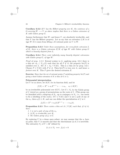**Corollary 3.3.2** *If* V *has the Hilbert property over* K*, the existence of a*  $G$ -covering  $W \longrightarrow V$  as above implies that there is a Galois extension of K *with Galois group* G*.*

Assume furthermore that  $W$ , and hence  $V$ , are absolutely irreducible, and that V has the Hilbert property. Let us say that an extension  $L/K$  is of *type* W if it comes from lifting a K-rational point on V to W.

**Proposition 3.3.3** *Under these assumptions, for every finite extension* L *of* K*, there is a Galois extension* E/K *of type* W *with Galois group* G *which is linearly disjoint from* L*.*

**Corollary 3.3.4** *There exist infinitely many linearly disjoint extensions with Galois group* G*, of type* W*.*

*Proof of prop. 3.3.3:* Extend scalars to L; applying prop. 3.3.1 there is a thin set  $A_L \subset V_{/L}(L)$  such that for all  $P \notin A$ , the property Irr(P) is satisfied over L. Set  $A = A_L \cap V(K)$ . This is a thin set by prop. 3.2.1. Choose  $P \in V(K)$  with  $P \notin A$ . Then  $\mathrm{Irr}(P)$  is true over L, and hence a *fortiori* over K. This P gives the desired extension E.

**Exercise:** Show that the set of rational points  $P$  satisfying property  $\text{Irr}(P)$  and giving a fixed Galois extension of K is thin (if  $G \neq 1$ ).

#### **Polynomial interpretation**

Let V be as above, let  $K(V)$  be its function field, and let

$$
f(X) = X^n + a_1 X^{n-1} + \dots + a_n, \quad a_i \in K(V)
$$

be an irreducible polynomial over  $K(V)$ . Let  $G \subset S_n$  be the Galois group of f viewed as a group of permutations on the roots of  $f$ . (This group can be identified with a subgroup of  $S_n$ , up to conjugacy in  $S_n$ , i.e., one needs to fix a labelling of the roots.) If  $t \in V(K)$  and t is not a pole of any of the  $a_i$ , then  $a_i(t) \in K$ , and one can define the specialization of f at t:

$$
f_t(X) = X^n + a_1(t)X^{n-1} + \dots + a_n(t).
$$

**Proposition 3.3.5** *There exists a thin set*  $A \subset V(K)$  *such that, if*  $t \notin A$ *, then* :

- *1.* t *is not a pole of any of the* ai*,*
- 2.  $f_t(X)$  *is irreducible over*  $K$ *,*
- *3. the Galois group of*  $f_t$  *is G.*

By replacing V by a dense open subset, we may assume that the  $a_i$  have no poles, that V is smooth and that the discriminant  $\Delta$  of f is invertible. The subvariety  $V_f$  of  $V \times \mathbf{A}^1$  defined by

$$
(t, x) \in V_f \iff f_t(x) = 0
$$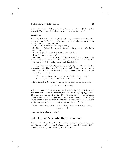is an étale covering of degree *n*. Its Galois closure  $W = V_f^{\text{gal}}$  has Galois group G. The proposition follows by applying prop. 3.3.1 to  $W$ .

#### **Examples:**

•  $G = S_3$ . Let  $f(X) = X^3 + a_1X^2 + a_2X + a_3$  be irreducible, with Galois group  $S_3$  over  $K(V)$ . The specialization at t has Galois group  $S_3$  if the following properties are satisfied:

1.  $t \in V(K)$  is not a pole for any of the  $a_i$ .

2.  $\Delta(t) \neq 0$  (where  $\Delta = a_1^2 a_2^2 + 18a_1 a_2 a_3 - 4a_1^3 a_3 - 4a_2^3 - 27a_3^2$  is the discriminant of  $f$ ).

3.  $X^3 + a_1(t)X^2 + a_2(t)X + a_3(t)$  has no root in K.

4.  $\Delta(t)$  is not a square in K.

Conditions 3 and 4 guarantee that  $G$  is not contained in either of the maximal subgroups of  $S_3$ , namely  $S_2$  and  $A_3$ . It is clear that the set A of  $t \in V(K)$  which fail to satisfy these conditions is thin.

•  $G = S_4$ . The maximal subgroups of G are  $S_3$ ,  $A_4$ , and  $D_4$ , the dihedral group of order 8. The case of  $G \subset S_3$  or  $A_4$  can be disposed of by imposing the same conditions as in the case  $G = S_3$ ; to handle the case of  $D_4$ , one requires the cubic resolvent

$$
(X - (x_1x_2 + x_3x_4))(X - (x_1x_3 + x_2x_4))(X - (x_1x_4 + x_2x_3))
$$
  
=  $X^3 - a_2X^2 + (a_1a_3 - 4a_4)X + (4a_2a_4 - a_1a_4 - a_3^2)$ 

to have no root in K, where  $x_1, \ldots, x_4$  are the roots of the polynomial

$$
f = X^4 + a_1 X^3 + \ldots + a_4.
$$

•  $G = S_5$ . The maximal subgroups of G are  $S_4$ ,  $S_2 \times S_3$ , and  $A_5$ , which give conditions similar to the above, and the Frobenius group  $F_{20}$  of order 20, which is a semi-direct product  $C_5C_4$  and can be viewed as the group of affine linear transformations of the form  $x \mapsto ax + b$  on **Z**/5**Z**. If the Galois group of the specialized polynomial is contained in  $F_{20}$ , then the sextic resolvent, which is the minimal polynomial over  $K(V)$  for

$$
\frac{(x_1x_2+x_2x_3+x_3x_4+x_4x_5+x_5x_1)-(x_1x_3+x_2x_4+x_3x_5+x_4x_1+x_5x_2)}{\prod_{i
$$

has a root in K when specialized.

### **3.4 Hilbert's irreducibility theorem**

**Theorem 3.4.1** (Hilbert [Hi]) If K is a number field, then for every n, *the affine space*  $\mathbf{A}^n$  (*or equivalently the projective space*  $\mathbf{P}_n$ *) has the Hilbert property over* K*.* (In other words, K is Hilbertian.)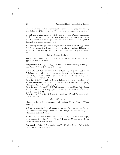By cor. 3.2.2 and cor. 3.2.4, it is enough to show that the projective line  $P_1$ over **Q** has the Hilbert property. There are several ways of proving this:

1. Hilbert's original method ( [Hi]): The proof uses Puiseux expansions (cf. [L]). It shows that if  $A \subset \mathbf{A}^1(\mathbf{Q})$  is thin, then the number of integers  $n \in \mathbf{Z} \cap A$  with  $n < N$  is  $O(N^{\delta})$  for some  $\delta < 1$ , when  $N \to \infty$ . (But it does not give a good estimate for  $\delta$ .)

2. Proof by counting points of height smaller than N on  $P_1(Q)$ : write  $\xi \in \mathbf{P}_1(\mathbf{Q})$  as  $(x, y)$  with  $x, y \in \mathbf{Z}$  and  $x, y$  relatively prime. This can be done in a unique way, up to a choice of sign. The *height* of  $\xi$  is defined to be

$$
height(\xi) = sup(|x|, |y|).
$$

The number of points in  $P_1(Q)$  with height less than N is asymptotically  $\frac{12}{\pi^2}N^2$ . On the other hand:

**Proposition 3.4.2** *If*  $A \subset \mathbf{P}_1(\mathbf{Q})$  *is thin, then the number of points of* A *with height*  $\leq N$  *is*  $\ll N$ *, when*  $N \longrightarrow \infty$ *.* 

*Sketch of proof:* We may assume A is of type  $(C_2)$ ,  $A \subset \pi(X(\mathbf{Q}))$ , where X is is an absolutely irreducible curve and  $\pi : X \longrightarrow \mathbf{P}_1$  has degree  $\geq 2$ . Let Rat<sub>X</sub>(N) be the number of points x in  $X(\mathbf{Q})$  with height( $\pi(x)$ )  $\leq N$ , and let  $q$  be the genus of  $X$ .

**Case 1:**  $g \geq 2$ . Then  $X(\mathbf{Q})$  is finite by Faltings's theorem; hence Rat<sub>X</sub>(N) is  $O(1)$ . One could also invoke an earlier result of Mumford (cf. [L], [Se9]) which gives  $\text{Rat}_X(N) = O(\log \log N)$ .

**Case 2:**  $q = 1$ : By the Mordell-Weil theorem, and the Néron-Tate theory of normalized heights, (see [L]), one has  $\text{Rat}_X(N) = O((\log N)^{\gamma/2})$ , where  $\gamma$  is the rank of  $X(\mathbf{Q})$ .

**Case 3:**  $g = 0$ : let  $H_X$ , H denote the heights on X and  $P_1$  respectively. It is known that

$$
H_X \stackrel{\smile}{\frown} (H \circ \pi)^m,
$$

where  $m = \deg \pi$ . Hence, the number of points on X with  $H \circ \pi \leq N$  is at most  $O(N^{1/m})$ .

3. Proof by counting integral points: A variant of the second proof shows that the number of integral points in A with height less than N is  $O(N^{\frac{1}{2}})$ , which is an optimal bound.

4. Proof by counting S-units: let  $S = \{p_1, \ldots, p_k\}$  be a finite non-empty set of primes,  $E_S = {\pm p_1^{m_1} \cdots p_k^{m_k}}$ ,  $m_i \in \mathbf{Z}$ . Let  $\alpha \in \mathbf{Q}$ , and let  $\alpha + E_S$  be the set of  $\alpha + e$ , where  $e \in E_S$ .

**Proposition 3.4.3** *If* A *is a thin set in*  $P_1(Q)$ *, then*  $A \cap (\alpha + E_S)$  *is finite for all but a finite number of*  $\alpha$ *.*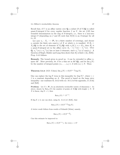Recall that, if V is an affine variety over  $Q$ , a subset B of  $V(Q)$  is called quasi-S-integral if for every regular function f on V, the set  $f(B)$  has bounded denominators in the ring of S-integers, i.e., there is a non-zero integer  $\theta$  (depending on f and B) such that  $\theta f(b)$  is an S-integer for all  $b \in B$ .

Let now  $\pi_i : X_i \longrightarrow \mathbf{P}_1$  be a finite number of coverings, and choose α outside the finite sets  $ram(\pi_i)$  of X at which  $\pi_i$  is ramified. If  $B_i \subset$  $X_j(\mathbf{Q})$  is the set of elements of  $X_j(\mathbf{Q})$  with  $\pi_j(b) \in \alpha + E_S$ , then  $B_j$  is a quasi-S-integral set in the affine curve  $X_j - \pi_j^{-1}(\infty) - \pi_j^{-1}(\alpha)$ . Over  $\bar{\mathbf{Q}}, \pi_j^{-1}(\infty) \cup \pi_j^{-1}(\alpha)$  has at least 3 elements, since  $\pi_j^{-1}(\alpha) \notin \text{ram}(\pi_j)$ . A theorem of Siegel, Mahler and Lang then shows that  $B_j$  is finite ( [L], [Se9]). Prop. 3.4.3 follows.

**Remark:** The bound given in proof no. 3 can be extended to affine *n*space  $\mathbf{A}^n$ . More precisely, let A be a thin set in  $\mathbf{A}^n(\mathbf{Q})$ , and let  $\text{Int}_A(N)$ be the number of integral points  $(x_1,...,x_n) \in A$  with  $|x_i| \leq N$ . Then:

**Theorem 3.4.4** (S.D. Cohen)  $\text{Int}_A(N) = O(N^{n-\frac{1}{2}} \log N)$ .

One can replace the log N term in this inequality by  $(\log N)^{\gamma}$ , where  $\gamma$ 1 is a constant depending on A. The proof is based on the large sieve inequality: one combines th. 3.6.2 with cor. 10.1.2 of the appendix, cf. [Coh] and [Se9].

**Problem:** Let  $X \subset \mathbf{P}_n$  be an absolutely irreducible variety of dimension r. As above, denote by  $\text{Rat}_X(N)$  the number of points of  $X(\mathbf{Q})$  with height  $\leq N$ . If X is linear, deg  $X = 1$ , then

$$
\text{Rat}_X(N) \stackrel{\sim}{\frown} N^{r+1}.
$$

If deg  $X \geq 2$ , one can show, using th. 3.4.4 (cf. [Se9]), that

$$
Rat_X(N) = O(N^{r + \frac{1}{2}} \log N).
$$

A better result follows from results of Schmidt [Schm], namely,

$$
\text{Rat}_X(N) = O(N^{r + \frac{4}{9}}).
$$

Can this estimate be improved to:

$$
Rat_X(N) = O(N^{r+\epsilon}), \text{ for every } \epsilon > 0?
$$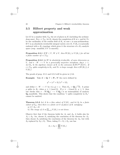### **3.5 Hilbert property and weak approximation**

Let K be a number field,  $\Sigma_K$  the set of places in K (including the archimedean ones). For  $v \in \Sigma_K$ , let  $K_v$  denote the completion of K at v, and let Nv be the cardinality of the residue field of  $K_v$  in case v is non-archimedean. If V is an absolutely irreducible integral variety over  $K, V(K_v)$  is naturally endowed with a  $K_v$ -topology which gives it the structure of a  $K_v$ -analytic space (resp. manifold, if  $V$  is smooth).

**Proposition 3.5.1** *If*  $W \subset V$ *,*  $W \neq V$ *, then*  $W(K_v) \neq V(K_v)$  *for all but a finite number of*  $v \in \Sigma_K$ .

**Proposition 3.5.2** *Let* W *be absolutely irreducible, of same dimension as* V, and  $\pi : W \longrightarrow V$  be a generically surjective morphism,  $\deg \pi > 1$ . Let  $K_{\pi}$  be the algebraic closure of K in the extension  $K(W)^{\text{gal}}/K(V)$ *.* If  $v \in \Sigma_K$  splits completely in  $K_{\pi}$  and  $Nv$  is large enough, then  $\pi(W(K_v)) \neq$  $V(K_v)$ .

The proofs of prop. 3.5.1 and 3.5.2 will be given in § 3.6.

**Example:** Take  $K = \mathbf{Q}, V = \mathbf{P}_1, W$  the curve defined by

$$
y^3 = (x^2 + 3)/(x^2 + 12),
$$

and define  $\pi : W \longrightarrow V$  by  $\pi(x, y) = x$ . Then  $K_{\pi} = \mathbf{Q}(\sqrt{-3})$ . A prime p splits in  $K_{\pi}$  when  $p \equiv 1 \pmod{3}$ . If  $p \equiv -1 \pmod{3}$ ,  $p \ge 5$ , then one checks that  $\pi : W(\mathbf{Q}_p) \longrightarrow V(\mathbf{Q}_p)$  is an isomorphism of analytic  $\mathbf{Q}_p$ -manifolds. This shows that the condition "v splits completely in  $K_\pi$ " cannot be omitted.

**Theorem 3.5.3** Let A be a thin subset of  $V(K)$ , and let  $S_0$  be a finite *subset of*  $\Sigma_K$ *; then there is a finite set* S *of places of* K *satisfying*: a)  $S \cap S_0 = \emptyset$ .

b) The image of A in  $\prod_{v \in S} V(K_v)$  is not dense.

Observe first that if the theorem holds for  $A_1$  and  $A_2$ , it holds also for  $A_1 \cup A_2$ : for, choose  $S_1$  satisfying the conclusion of the theorem for  $A_1$ ; then choose  $S_2$  satisfying the conclusion of the theorem for  $A_2$ , but with S<sub>0</sub> replaced by  $S_0 \cup S_1$ . Then, taking  $S = S_1 \cup S_2$ , one has

$$
A_1 \cup A_2 \subset \prod_{v \in S} V(K_v)
$$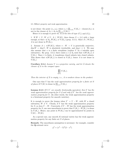is not dense: the point  $(x_1, x_2)$ , where  $x_i \in \prod_{v \in S_i} V(K_v) - \text{closure}(A_i)$ , is not in the closure of  $A_1 \cup A_2$  in  $\prod_{v \in S} V(K_v)$ .

Hence it is enough to prove th. 3.5.3 for sets of type  $(C_1)$  and  $(C_2)$ .

1. If  $W \subset V$ ,  $W \neq V$ ,  $A \subset W(K)$ , then choose  $S = \{v\}$  with v large enough, so that  $v \notin S_0$ ,  $W(K_v) \neq V(K_v)$  (prop. 3.5.1). Since  $\overline{A} \subset W(K_v)$ , A is not dense in  $W(K_v)$ .

2. Assume  $A \subset \pi(W(K))$ , where  $\pi : W \to V$  is generically surjective,  $\dim W = \dim V$ , W is absolutely irreducible, and  $\deg \pi > 2$ . We may also assume that  $\pi$  is a finite morphism (replace V by a suitable open subvariety). By prop. 3.5.2, there exists a  $v \notin S_0$  such that  $\pi(W(K_v)) \neq$  $V(K_v)$ . Since  $\pi$  is finite, it transforms closed subsets into closed subsets. This shows that  $\pi(W(K_v))$  is closed in  $V(K_v)$ ; hence A is not dense in  $V(K_v)$ .

**Corollary 3.5.4** *Assume* V *is a projective variety, and let*  $\bar{A}$  *denote the closure of* A *in the compact space*

$$
\prod_{s \notin S_0} V(K_v).
$$

*Then the interior of*  $\overline{A}$  *is empty, i.e.,*  $A$  *is nowhere dense in the product.* 

One says that V has the *weak approximation property for a finite set* S *of places* if  $V(K)$  is dense in  $\prod_{v \in S} V(K_v)$ .

**Lemma 3.5.5** *If* V,V *are smooth, birationally equivalent, then* V *has the* weak approximation property for  $S$  if and only if  $V'$  has the weak approxi*mation property for* S*.* (In other words, the weak approximation property is a birational property for smooth varieties)*.*

It is enough to prove the lemma when  $V' = V - W$ , with W a closed subvariety,  $W \neq V$ . Clearly, if V has the weak approximation property for S, so does  $V - W$ . Conversely, if  $V - W$  has the weak approximation property for S, one uses smoothness to prove that  $V(K_v) - W(K_v)$  is dense in  $V(K_v)$ . Hence, any point in  $W(K_v)$  can be approximated by points in  $V(K) - W(K)$ .

As a special case, any smooth K-rational variety has the weak approximation property for any finite set  $S$  of places.

**Remark:** The smoothness assumption is necessary: for example, consider the **Q**-rational curve

$$
y^2 = (x^2 - 5)^2 (2 - x^2).
$$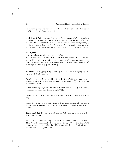Its rational points are not dense in the set of its real points (the points Its rational points are not dense i<br> $(-\sqrt{5},0)$  and  $(\sqrt{5},0)$  are isolated).

**Definition 3.5.6** *A variety* V *is said to have* property (WA) *if it satisfies the weak approximation property with respect to* S *for all finite*  $S \subset \Sigma_K$ . *It is said to have* property (WWA) (*"weak weak approximation property"*) *if there exists a finite set*  $S_0$  *of places of* K *such that* V *has the weak approximation property with respect to*  $S \subset \Sigma_K$ *, for all*  $S$  *with*  $S \cap S_0 = \emptyset$ *.* 

#### **Examples:**

1. A K-rational variety has property (WA).

2. A K-torus has property (WWA), but not necessarily (WA). More precisely, if it is split by a finite Galois extension  $L/K$ , one can take for exceptional set  $S_0$  the places of K whose decomposition group in  $Gal(L/K)$ is not cyclic. (See, e.g., [Vo1], [CTS1].)

**Theorem 3.5.7** ( [Ek], [CT]) *A variety which has the WWA property satisfies the Hilbert property.*

*Proof:* If not,  $A = V(K)$  would be thin. By th. 3.5.3 there would exist S disjoint from  $S_0$  such that  $V(K)$  would not be dense in  $\prod_{v \in S} V(K_v)$ ; this contradicts WWA.

The following conjecture is due to Colliot-Thélène  $\lbrack CT]$ ; it is closely related to the questions discussed in [CTS2]:

**Conjecture 3.5.8** *A* K*-unirational smooth variety has the WWA property.*

Recall that a variety is K-unirational if there exists a generically surjective map  $P_n \longrightarrow V$  defined over K, for some n - one may always take n equal to dim  $V$ .

**Theorem 3.5.9** *Conjecture 3.5.8 implies that every finite group is a Galois group over* **Q***.*

*Proof:* Make G act faithfully on  $W = \mathbf{A}^n$  for some n, and let  $V = W/G$ . Then  $V$  is K-unirational. By conjecture 3.5.8,  $V^{\rm smooth}$  has the WWA property, and hence satisfies the Hilbert property. By cor. 3.3.2, G can be realized as a Galois group over **Q**.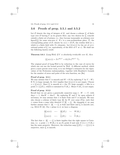### **3.6 Proofs of prop. 3.5.1 and 3.5.2**

Let  $\mathcal O$  denote the ring of integers of K, and choose a scheme V of finite type over  $\mathcal O$  having V as its generic fiber; any two choices for  $\underline V$  coincide outside a finite set of primes, i.e., they become isomorphic as schemes over  $Spec\mathcal{O}[\frac{1}{d}]$  for some non-zero d. If v is a non-archimedean place,  $\mathcal{P}_v$  the corresponding prime of  $\mathcal{O}$ , denote by  $\kappa(v) = \mathcal{O}/\mathcal{P}_v$  the residue field at v, which is a finite field with Nv elements. Let  $\underline{V}(\kappa(v))$  be the set of  $\kappa(v)$ rational points of  $V$  (or, equivalently, of the fiber of  $V$  at v). We shall use the following known result:

**Theorem 3.6.1** (Lang-Weil) *If* V *is absolutely irreducible over* K*, then*

$$
|\underline{V}(\kappa(v))| = Nv^{\dim V} + O((Nv)^{\dim V - \frac{1}{2}}).
$$

The original proof of Lang-Weil is by reduction to the case of curves for which one can use the bound proved by Weil. A different method, which gives a more precise error term, is to use Deligne's estimates for the eigenvalues of the Frobenius endomorphism, together with Bombieri's bounds for the number of zeros and poles of the zeta function, see [Bo].

#### **Proof of prop. 3.5.1**

We may assume that V is smooth and  $W = \emptyset$  (by replacing V by  $V - W$ ). If  $Nv$  is large enough, th. 3.6.1 implies that  $V(\kappa(v))$  is not empty. Choose  $x \in V(\kappa(v))$ . Since V is smooth at v (for Nv large enough), x lifts to a point  $\tilde{x} \in V(\mathcal{O}_v)$ , which is contained in  $V(K_v)$ . Hence  $V(K_v)$  is not empty.

#### **Proof of prop. 3.5.2**

Recall that we are given a generically surjective map  $\pi : W \longrightarrow V$ , with  $\deg \pi > 1$ ,  $\dim W = \dim V$ . By replacing W and V by open subsets if necessary, we may assume that  $\pi$  is finite étale and V is smooth. We may also choose a scheme of finite type  $\underline{W}$  for W over some  $\mathcal{O}[\frac{1}{d}]$ , such that  $\pi$  comes from a map (also denoted  $\pi$ )  $W \to V$ . By changing d, we may further assume that  $\pi : W \longrightarrow V$  is étale and finite and V is smooth (see, e.g. EGA IV  $\S 8$ ). For v prime to d, we have a diagram

$$
\frac{W(\kappa(v))}{\downarrow} \leftarrow \frac{W(\mathcal{O}_v)}{\downarrow} \leftarrow \frac{W(K_v)}{\downarrow}
$$
\n
$$
\frac{V(\kappa(v))}{\downarrow} \leftarrow \frac{V(\mathcal{O}_v)}{\downarrow} \leftarrow \frac{V(K_v)}{\downarrow}.
$$

The fact that  $\pi : \underline{W} \longrightarrow \underline{V}$  is finite implies that the right square is Cartesian, i.e. a point  $z \in W(K_v)$  is an  $\mathcal{O}_v$ -point if and only if  $\pi(z) \in V(K_v)$ has the same property. Moreover, the reduction map  $\underline{V}(\mathcal{O}_v) \longrightarrow \underline{V}((v))$  is surjective, since  $\underline{V}$  is smooth.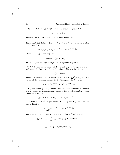To show that  $W(K_v) \neq V(K_v)$  it is thus enough to prove that

$$
\underline{W}(\kappa(v)) \neq \underline{V}(\kappa(v)).
$$

This is a consequence of the following more precise result:

**Theorem 3.6.2** *Let*  $m = \deg \pi$   $(m \geq 2)$ *. Then, for* v *splitting completely in*  $K_{\pi}$ *, one has* 

$$
|\pi(\underline{W}(\kappa(v)))| \le c(Nv)^{\dim V} + O((Nv)^{\dim V - \frac{1}{2}}),
$$

*where*  $c = 1 - \frac{1}{m!}$ . (This implies:

$$
|\pi(\underline{W}(\kappa(v)))| \le c'(Nv)^{\dim V}
$$

with  $c' < 1$ , for Nv large enough, v splitting completely in  $K_{\pi}$ .

Let  $\underline{W}^{\text{gal}}$  be the Galois closure of  $\underline{W}$ ; its Galois group G injects into  $S_m$ , and hence  $|G| \leq m!$ . Now, divide the points in  $W(\kappa(v))$  into two sets:

$$
\underline{W}(\kappa(v)) = A \cup B,
$$

where A is the set of points which can be lifted to  $W^{\text{gal}}(\kappa(v))$ , and B is the set of the remaining points. By th. 3.6.1 applied to  $\underline{W}$ , we have:

$$
|A| + |B| = (Nv)^{\dim V} + O((Nv)^{\dim V - \frac{1}{2}}).
$$

If v splits completely in  $K_{\pi}$ , then all the connected components of the fiber at  $v$  are absolutely irreducible, and hence, letting  $e$  be the number of these components, we have

$$
|\underline{W}^{\text{gal}}(\kappa(v))| = e(Nv)^{\dim V} + O((Nv)^{\dim V - \frac{1}{2}}).
$$

We have  $A = W^{\text{gal}}(\kappa(v))/H$  where  $H = \text{Gal}(W^{\text{gal}}/W)$ . Since H acts freely, this gives

$$
|A| = \frac{e}{|H|} (Nv)^{\dim V} + O((Nv)^{\dim V - \frac{1}{2}}).
$$

The same argument applied to the action of G on  $W^{\text{gal}}(\kappa(v))$  gives

$$
|\pi(A)| = \frac{e}{|G|}(Nv)^{\dim V} + O((Nv)^{\dim V - \frac{1}{2}})
$$
  
= 
$$
\frac{1}{m}|A| + O((Nv)^{\dim V - \frac{1}{2}}).
$$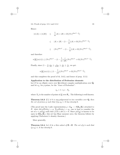3.6. Proofs of prop. 3.5.1 and 3.5.2 33

Hence:

$$
|\pi(A)| + |\pi(B)| \leq \frac{1}{m}|A| + |B| + O((Nv)^{\dim V - \frac{1}{2}})
$$
  
\n
$$
\leq |A| + |B| - (1 - \frac{1}{m})|A| + O((Nv)^{\dim V - \frac{1}{2}})
$$
  
\n
$$
\leq (Nv)^{\dim V} - (1 - \frac{1}{m})|A| + O((Nv)^{\dim V - \frac{1}{2}}),
$$

and therefore

$$
\pi(\underline{W}(\kappa(v))) \le (Nv)^{\dim V} - (1 - \frac{1}{m})\frac{e}{|H|}(Nv)^{\dim V} + O((Nv)^{\dim V - \frac{1}{2}}).
$$

Finally, since  $\left(1 - \frac{1}{m}\right) \frac{e}{|H|} \ge \frac{1}{m|H|} \ge \frac{1}{|G|} \ge \frac{1}{m!}$ , we get:

$$
\pi(\underline{W}(\kappa(v))) \le (1 - \frac{1}{m!}) (Nv)^{\dim V} + O((Nv)^{\dim V - \frac{1}{2}}),
$$

and this completes the proof of th. 3.6.2, and hence of prop. 3.5.2.

#### **Application to the distribution of Frobenius elements**

Let E be an elliptic curve over **Q** without complex multiplication over  $\overline{Q}$ , and let  $a_p$ , for p prime, be the "trace of Frobenius":

$$
a_p = 1 + p - N_p
$$

where  $N_p$  is the number of points of  $\underline{E}$  over  $\mathbf{F}_p$ . The following is well-known:

**Theorem 3.6.3** If  $f \neq 0$  is any polynomial in two variables over  $Q$ , then *the set of primes* p *such that*  $f(p, a_p) = 0$  *has density* 0*.* 

(The proof uses the *l*-adic representation  $\rho: G_{\mathbf{Q}} \longrightarrow \mathbf{GL}_2(\mathbf{Z}_l)$  attached to E: since det  $\rho(\text{Frob}_p) = p$ ,  $\text{Tr } \rho(\text{Frob}_p) = a_p$ , one is lead to consider the set of  $x \in \rho(G_{\mathbf{Q}})$  such that  $f(\text{Tr } x, \det x) = 0$ . Since  $\rho(G_{\mathbf{Q}})$  is known to be open in  $GL_2(\mathbb{Z}_l)$ , this set has Haar measure zero; the theorem follows by applying Chebotarev's density theorem.)

More generally,

**Theorem 3.6.4** *Let* A *be a thin subset of*  $\mathbf{Z} \times \mathbf{Z}$ *. The set of* p*'s such that*  $(p, a_p) \in A$  *has density* 0*.*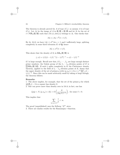The theorem is already proved for A of type  $(C_1)$ : so assume A is of type  $(C_2)$ . Let  $A_l$  be the image of A in  $\mathbf{Z}/l\mathbf{Z} \times \mathbf{Z}/l\mathbf{Z}$  and let  $S_l$  be the set of  $x \in GL_2(\mathbf{Z}/l\mathbf{Z})$  such that  $(\text{Tr}(x), \text{det}(x))$  belongs to  $A_l$ . One checks that

$$
|S_l| \le |A_l| \cdot l^2 (1 + 1/l).
$$

By th. 3.6.2, we have  $|A_l| \leq c l^2$  for  $c < 1$  and l sufficiently large, splitting completely in some fixed extension  $K$  of  $Q$ ; hence

$$
|S_l| \le c l^4 (1 + 1/l).
$$

This shows that the density of  $S_l$  in  $GL_2(\mathbf{Z}/l\mathbf{Z})$  is

$$
\leq c(1+1/l)(1-1/l)^{-1}(1-1/l^2)^{-1} = c(1-1/l)^{-2}
$$

if l is large enough. Recall now that, if  $l_1, \dots, l_m$  are large enough distinct  $\prod$ **GL**<sub>2</sub>(**Z**/l<sub>i</sub>**Z**). If each l<sub>i</sub> splits completely in K the Chebotarev density prime numbers, the Galois group of the  $l_1 \cdots l_m$ -division points of E is theorem, applied to the field of  $l_1 \cdots l_m$ -division points of E, shows that the upper density of the set of primes p with  $(p, a_p) \in A$  is  $\leq c^m \prod_{i=1}^m (1 1/l_i$ )<sup>-2</sup>. Since this can be made arbitrarily small by taking m large enough, the theorem follows.

#### **Remarks:**

1. The above implies, for example, that the set of the primes  $p$  for which  $|\underline{E}(\mathbf{F}_p)| - 3$  is a square has density 0.

2. One can prove more than density zero in 3.6.4; in fact, one has

$$
|\{p|p < N, (p, a_p) \in A\}| = O\left(\frac{N}{(\log N)^{1+\delta}}\right), \text{ for some } \delta > 0.
$$

This implies that

$$
\sum_{(p,a_p)\in A} \frac{1}{p} < \infty.
$$

The proof (unpublished) uses the Selberg " $\Lambda^{2}$ " sieve.

3. There are similar results for the Ramanujan  $\tau$ -function.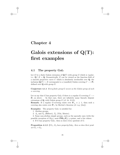## **Chapter 4**

# **Galois extensions of Q(T): first examples**

### **4.1** The property  $Gal_{T}$

Let E be a finite Galois extension of  $\mathbf{Q}(T)$  with group G which is *regular*, i.e.,  $\mathbf{Q} \cap E = \mathbf{Q}$ . Geometrically, E can be viewed as the function field of a smooth projective curve C which is absolutely irreducible over **Q**; the inclusion  $\mathbf{Q}(T) \hookrightarrow E$  corresponds to a (ramified) Galois covering  $C \longrightarrow \mathbf{P}_1$ defined over **Q** with group G.

**Conjecture 4.1.1** *Every finite group* G *occurs as the Galois group of such a covering.*

Let us say that G has property Gal<sub>T</sub> if there is a regular G-covering  $C \rightarrow$ **P**<sup>1</sup> as above. In that case, there are infinitely many linearly disjoint extensions of  $\mathbf{Q}$ , with Galois group  $G$  (cf. th. 3.3.3).

**Remark:** If a regular G-covering exists over  $\mathbf{P}_n$ ,  $n \geq 1$ , then such a covering also exists over **P**1, by Bertini's theorem (cf. e.g. [Jou]).

**Examples:** The property  $Gal<sub>T</sub>$  is satisfied for:

1. Abelian groups.

2.  $A_n$  and  $S_n$  (Hilbert);  $\tilde{A}_n$  (Vila, Mestre).

3. Some non-abelian simple groups, such as the sporadic ones (with the possible exception of  $M_{23}$ , most  $PSL_2(\mathbf{F}_p)$ , p prime, and a few others.

4. If G has property  $Gal_T$ , then so does every quotient of G.

**Proposition 4.1.2** *If*  $G_1$ ,  $G_2$  *have property*  $Gal_T$ *, then so does their product*  $G_1 \times G_2$ *.*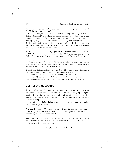*Proof:* Let  $C_1$ ,  $C_2$  be regular coverings of  $P_1$  with groups  $G_1$ ,  $G_2$ , and let  $\Sigma_1$ ,  $\Sigma_2$  be their ramification loci.

1. If  $\Sigma_1 \cap \Sigma_2 = \emptyset$ , then the extensions corresponding to  $C_1$ ,  $C_2$  are linearly disjoint, because  $P_1$  is algebraically simply connected (see §4.4 below). One can take for covering C the fibered product  $C_1 \times_{\mathbf{P}_1} C_2$ , which has function field  $\mathbf{Q}(C_1) \otimes_{\mathbf{Q}(T)} \mathbf{Q}(C_2)$ , and hence has  $G_1 \times G_2$  as Galois group.

2. If  $\Sigma_1 \cap \Sigma_2 \neq \emptyset$ , one modifies the covering  $C_1 \longrightarrow \mathbf{P}_1$  by composing it with an automorphism of  $P_1$  so that the new ramification locus is disjoint from  $\Sigma_2$ . One is thus reduced to case 1.

**Remark:** If  $G_1$  and  $G_2$  have property  $Gal_T$ , one can show (cf. e.g. [Ma3], p. 229, Zusatz 1) that the wreath product  $G_1$  Wr  $G_2$  also has property  $Gal<sub>T</sub>$ . This can be used to give an alternate proof of prop. 4.2.2 below.

#### **Exercises**:

1. Show that the profinite group  $\mathbf{Z}_p$  is not the Galois group of any regular extension of  $\mathbf{Q}(T)$ . (Hence conjecture 4.1.1 does not extend to profinite groups, not even when they are p-adic Lie groups.)

2. Let G be a finite group having property  $Gal_T$ . Show that there exists a regular Galois extension  $L$  of  $\mathbf{Q}(T)$ , with Galois group  $G$ , such that:

(a) Every subextension of L distinct from  $\mathbf{Q}(T)$  has genus  $\geq 2$ .

(b) Every **Q**-rational point P of  $P_1$  has property  $\text{Irr}(P)$  with respect to L. (Use a suitable base change  $P_1 \longrightarrow P_1$ , combined with Faltings's theorem.)

### **4.2 Abelian groups**

A torus defined over **Q** is said to be a "permutation torus" if its character group has a **Z**-basis which is stable under the action of  $Gal(Q/Q)$ , or equivalently, if it can be expressed as a product of tori of the form  $R_{K_i/\mathbf{Q}}\mathbf{G}_{\text{m}}$ , where the  $K_i$  are finite extensions of **Q**. A permutation torus is clearly rational over **Q**.

Now, let A be a finite abelian group. The following proposition implies that A has property  $Gal_T$ :

**Proposition 4.2.1** *There exists a torus* S *over* **Q***, and an embedding of* A in  $S(\mathbf{Q})$ , such that the quotient  $S' = S/A$  is a permutation torus. (In particular,  $S'$  is a **Q**-rational variety.)

The proof uses the functor Y which to a torus associates the **Z**-dual of its character group. An exact sequence of the form  $1 \longrightarrow A \longrightarrow S \longrightarrow S' \longrightarrow$ 1 gives rise to the exact sequence

$$
1 \longrightarrow Y(S) \longrightarrow Y(S^{'}) \longrightarrow \tilde{A} \longrightarrow 1,
$$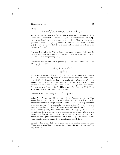where

$$
\tilde{A} = \text{Ext}^1(\hat{A}, \mathbf{Z}) = \text{Hom}(\mu_n, A) = \text{Hom}(\hat{A}, \mathbf{Q}/\mathbf{Z}),
$$

and  $\hat{A}$  denotes as usual the Cartier dual  $Hom(A, \mathbf{G}_m)$ . Choose K finite Galois over **Q** such that the action of  $G_Q$  on  $\tilde{A}$  factors through Gal( $K/Q$ ), e.g.  $K = \mathbf{Q}(\mu_n)$ , where *n* is the exponent of *A*. Now express  $\tilde{A}$  as a quotient of a free  $\mathbf{Z}[\text{Gal}(K/\mathbf{Q})]$ -module F, and let S' be a torus such that  $Y(S') = F$ ; it follows that S' is a permutation torus, and there is an A-isogeny  $S \longrightarrow S'$ .

**Proposition 4.2.2** *Let*  $G$  *be a finite group having property*  $Gal<sub>T</sub>$ *, and let* M *be a finite abelian group with* G*-action. Then the semi-direct product*  $\tilde{G} = M \cdot G$  also has property  $Gal_T$ .

We may assume without loss of generality that  $M$  is an induced  $G$ -module,  $M = \bigoplus gA$ , so that

g∈G

$$
\tilde{G} = \underbrace{(A \times \cdots \times A)}_{|G| \text{ times}} \cdot G
$$

is the *wreath product* of A and G. By prop. 4.2.1, there is an isogeny  $S \longrightarrow S'$  defined over **Q**, with S' a permutation torus and with kernel  $A \subset S(\mathbf{Q})$ . By hypothesis, there is a regular étale G-covering  $C \longrightarrow U$ where U is a **Q**-rational variety (e.g. an open subvariety of  $P_1$ ). The actions of A on S, and of G on C and on  $S \times \ldots \times S$  give rise to a natural G-action on  $X = S \times \ldots \times S \times C$ . This action is free. Let  $Y = X/G$ . Prop. 4.2.2 then follows from the following lemma:

### **Lemma 4.2.3** *The variety*  $Y = X/\tilde{G}$  *is* **Q**-rational.

Define  $X' = X/(A \times \ldots \times A) = S' \times \ldots \times S' \times C$ . We have  $Y = X'/G$ . This shows that Y is the fiber space over U with fiber the torus  $S' \times \ldots \times S'$ , which is associated to the principal G-bundle  $C \longrightarrow U$ . We may thus view Y as a *torus over* U. In particular, the generic fiber  $Y_U$  of  $Y \longrightarrow U$  is a torus over the function field  $\mathbf{Q}(U)$  (this torus is obtained from  $S' \times \ldots \times S'$ ) by a G-twisting, using the Galois extension  $\mathbf{Q}(C)/\mathbf{Q}(U)$ ). Since S' is a permutation torus over  $Q$ ,  $Y_U$  is a permutation torus over  $Q(U)$ . Hence the function field  $\mathbf{Q}(Y)$  of  $Y_U$  is a pure transcendental extension of  $\mathbf{Q}(U)$ , which itself is a pure transcendental extension of **Q**. The lemma follows. (One can also deduce lemma 4.2.3 from lemma 4.3.1 below.)

**Exercise:** Let H be a finite group generated by an abelian normal subgroup M and a subgroup G having property  $Gal_{\mathcal{T}}$ . Show using prop. 4.2.2 that H has property  $Gal_{T}$ .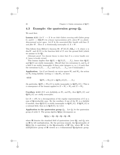### **4.3 Example: the quaternion group** *Q***<sup>8</sup>**

We need first:

**Lemma 4.3.1** *Let*  $Y \longrightarrow X$  *be an étale Galois covering with Galois group* G, and  $G \longrightarrow GL(W)$  be a linear representation of G, where W is a finite*dimensional vector space. Let* E *be the associated fiber bundle with base* X and fiber W. Then E is birationally isomorphic to  $X \times W$ .

This follows from Hilbert's theorem 90:  $H^1(K(X), GL_n) = 0$ , where n is  $\dim W$ , and  $K(X)$  is the function field of X over the ground field (which we assume to be **Q**).

[Alternate proof: Use descent theory to show that  $E$  is a vector bundle over X, hence is locally trivial.]

This lemma implies that  $\mathbf{Q}(E) = \mathbf{Q}(X)(T_1,\ldots,T_n)$ , hence that  $\mathbf{Q}(E)$ and  $\mathbf{Q}(X)$  are stably isomorphic. (Recall that two extensions  $k_1$  and  $k_2$  of a field k are stably isomorphic if there exist integers  $n_1, n_2 \geq 0$  such that the extensions  $k_1(T_1,\ldots,T_{n_1})$  and  $k_2(T_1,\ldots,T_{n_2})$  are k-isomorphic.)

**Application:** Let G act linearly on vector spaces  $W_1$  and  $W_2$ , the action on  $W_2$  being faithful. Letting  $n = \dim W_1$ , we have:

#### **4.3.2**

$$
\mathbf{Q}(W_1 \times W_2)/G \simeq \mathbf{Q}(W_2/G)(T_1,\ldots,T_n).
$$

(In particular,  $\mathbf{Q}(W_1 \times W_2)/G$  is stably isomorphic to  $\mathbf{Q}(W_2/G)$ .) This is a consequence of the lemma applied to  $E = W_1 \times W_2$  and  $X = W_2$ .

**Corollary 4.3.3** If G acts faithfully on  $W_1$  and  $W_2$ , then  $\mathbf{Q}(W_1/G)$  and  $\mathbf{Q}(W_2/G)$  are stably isomorphic.

Let  $R = \bigoplus W_i$  be a decomposition of the regular representation of G as a sum of **Q**-irreducible ones. By the corollary, if one of the  $W_i$  is a faithful G-module, then  $\mathbf{Q}(R/G)$  is stably isomorphic to  $\mathbf{Q}(W_i/G)$ . If  $\mathbf{Q}(W_i/G)$  is a rational field, then so is  $\mathbf{Q}(R/G)$ , by 4.3.2.

**Application to the quaternion group**  $Q_8$ . Let  $Q_8$  be the quaternion group of order 8. The group algebra  $\mathbf{Q}[Q_8]$  decomposes as

$$
\mathbf{Q}[Q_8] = \mathbf{Q} \times \mathbf{Q} \times \mathbf{Q} \times \mathbf{Q} \times \mathbf{H},
$$

where **H** denotes the standard field of quaternions (over  $\mathbf{Q}$ ), and  $Q_8$  acts on **H** by left multiplication. By the previous remark, the **Q**-rationality of  $\mathbf{Q}[Q_8]/Q_8$  is equivalent to the **Q**-rationality of  $\mathbf{H}^*/Q_8$ , where  $\mathbf{H}^*$  is the multiplicative group of **H** viewed as a 4-dimensional **Q**-algebraic group.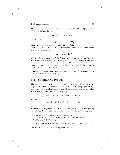The group  $Q_8$  has a center  $\{\pm 1\}$  of order 2, and  $D = Q_8/\{\pm 1\}$  is a group of type (2, 2). On the other hand,

$$
\mathbf{H}^*/\{\pm 1\} \simeq \mathbf{G}_m \times \mathbf{SO}_3,
$$

by the map

$$
(N,\phi): \mathbf{H}^* \longrightarrow \mathbf{G}_m \times \mathbf{SO}_3,
$$

where N is the reduced norm, and  $\phi : \mathbf{H}^* \longrightarrow \mathbf{SO}_3$  maps a quaternion x to the rotation  $y \mapsto xyx^{-1}$  (on the 3-dimensional vector space of quaternions of trace 0). Therefore,

$$
\mathbf{H}^*/Q_8 = \mathbf{G}_m \times \mathbf{SO}_3/D,
$$

and it suffices to show that  $SO_3/D$  is a rational variety over **Q**. But the group D is the stabilizer in  $SO_3$  of a flag in  $A^3$ . Hence  $SO_3/D$  is isomorphic to an open subvariety of the flag variety of **A**<sup>3</sup>, which is rational over **Q**. Noether's method therefore applies to  $Q_8$ ; in particular  $Q_8$  has property  $Gal_{T}$ . For explicit formulae, see [JY].

**Exercise** (L. Schneps) Show that every p-group of order  $p^3$  has property  $Gal_T$ (use the exercise at the end of §4.2).

### **4.4 Symmetric groups**

The symmetric group  $S_n$  acts on the affine space  $\mathbf{A}^n$  with quotient  $\mathbf{A}^n$ ("symmetric functions theorem"). This shows that  $S_n$  has property  $Gal_T$ . Let us give some explicit constructions of polynomials with  $S_n$  as Galois group. For example, consider a polynomial

$$
f(X) = X^n + a_1 X^{n-1} + \dots + a_n, \text{ with } a_i \in \mathbf{Q},
$$

and put

$$
f(X,T) = X^n + a_1 X^{n-1} + \dots + a_n - T.
$$

**Theorem 4.4.1** (Hilbert [Hi]) *If* f *is a Morse function, then the splitting field of*  $f(X,T)$  *over*  $\mathbf{Q}(T)$  *is a regular extension with Galois group*  $S_n$ *.* 

(The polynomial  $f$  is called a Morse function if:

- 1. The zeros  $\beta_1, \ldots, \beta_{n-1}$  of the derivative  $f'$  of f are simple.
- 2.  $f(\beta_i) \neq f(\beta_j)$  for  $i \neq j$ .)

We will need the following simple facts about the symmetric group  $S_n$ .

**Lemma 4.4.2**  $S_n$  *is generated by transpositions.*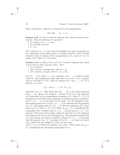This is well-known: indeed  $S_n$  is generated by the transpositions

$$
(12), (23), \ldots, (n-1, n).
$$

**Lemma 4.4.3** Let G be a transitive subgroup of  $S_n$  which contains a trans*position. Then the following are equivalent*:

- *1.* G contains an  $(n-1)$ –cycle.
- *2.* G *is doubly transitive.*
- 3.  $G = S_n$ .

If G contains an  $(n-1)$ –cycle, then the stabilizer of a point is transitive on the complement of the point, hence  $G$  is doubly transitive. If  $G$  is doubly transitive, then G contains all the transpositions in  $S_n$ , hence  $G = S_n$  by lemma 4.4.2. That  $3 \Rightarrow 1$  is obvious.

**Lemma 4.4.4** (cf.  $[Hu], p.171$ ) Let G be a transitive subgroup of  $S_n$  which *is generated by cycles of prime orders. Then* :

- *1.* G *is primitive.*
- 2. If G contains a transposition, then  $G = S_n$ .
- *3. If* G *contains* a 3*-cycle, then*  $G = A_n$  *or*  $S_n$ *.*

Let  $\{Y_1,\ldots,Y_k\}$ , with  $k>1$ , be a partition of  $\{1,\ldots,n\}$  which is stable under  $G$ . Our assumptions imply that there is a cycle  $s$  of  $G$ , of prime order p, such that  $Y_1 \neq sY_1$ . Since no element of  $Y_1 \cup sY_1 \cup \ldots \cup s^{p-1}Y_1$  is fixed by s, we have:

$$
|Y_1| + |sY_1| + \ldots + |s^{p-1}Y_1| \le p,
$$

and hence  $|Y_1| = 1$ . This shows that  $\{Y_1, \ldots, Y_k\}$  is the trivial partition of  $\{1,\ldots,n\}$ . Hence G is primitive. To show 2, let G' be the subgroup of G generated by the transpositions belonging to G. Since  $G' \neq 1$ , it is transitive (a non-trivial normal subgroup of a primitive group is transitive). For  $\Omega \subset \{1,\ldots,n\}$ , let us denote by  $S_{\Omega}$  (resp.  $A_{\Omega}$ ) the symmetric (resp, alternating) group on  $\Omega$ . Let  $\Omega \subset \{1, \ldots, n\}$  be maximal with the property  $S_{\Omega} \subset G'$ , and suppose that  $\Omega \neq \{1, \ldots, n\}$ . By the transitivity of  $G'$ , there exists  $(xy) \in G'$  with  $x \in \Omega$ ,  $y \notin \Omega$ . Hence  $S_{\Omega \cup \{y\}} \subset G'$ , contradicting the maximality of  $\Omega$ . It follows that  $\Omega = \{1, \ldots, n\}$  and hence  $G = G' = S_n$ , proving 2. The proof of 3 is similar, taking  $G'$  this time to be the subgroup of  $G$  generated by the 3-cycles belonging to  $G$ . The hypothesis implies that G' is non-trivial, and hence is transitive. Choose  $\Omega \subset \{1, \ldots, n\}$  maximal with the property  $A_{\Omega} \subset G'$ . As before, if  $\Omega \neq \{1, \ldots, n\}$ , there is a 3-cycle  $(xyz)$  which does not stabilize  $\Omega$ . There are two cases:

Case 1:  $\{x, y, z\} \cap \Omega$  has two elements, say y and z. Then clearly  $A_{\Omega \cup \{x\}} \subset$  $G'$ , contradicting the maximality assumption for  $\Omega$ .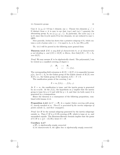Case 2:  $\{x, y, z\} \cap \Omega$  has 1 element, say x. Choose two elements  $y', z' \in$  $\Omega$  distinct from x; it is easy to see that  $(xyz)$  and  $(xy'z')$  generate the alternating group  $A_5$  on  $\{x, y, z, y', z'\}$ . In particular, the cycle  $(xy'z)$  is in G; since this 3-cycle meets  $\Omega$  in two elements, we are reduced to case 1, QED.

More generally, Jordan has shown that a primitive subgroup of  $S_n$  which contains a cycle of prime order  $\leq n-3$  is equal to  $A_n$  or  $S_n$  (see [Wi], p.39).

Th. 4.4.1 will be proved in the following more general form:

**Theorem 4.4.5** *If* K *is any field of characteristic* 0*, or of characteristic* p not dividing n, and  $f(X) \in K[X]$  is Morse, then  $Gal(f(X) - T) = S_n$ *over* K(T)*.*

*Proof*: We may assume  $K$  to be algebraically closed. The polynomial  $f$  can be viewed as a ramified covering of degree  $n$ 

f : **P**<sup>1</sup> −→ **P**<sup>1</sup> x → t = f(x).

The corresponding field extension is  $K(X) \supset K(T)$ ; it is separable because  $p/n$ . Let  $G \subset S_n$  be the Galois group of the Galois closure of  $K(X)$  over  $K(T)$ , i.e., the Galois group of the equation  $f(X) - T = 0$ .

The ramification points of the covering  $f$  are

$$
X=\infty, f(\beta_1),\ldots, f(\beta_{n-1}).
$$

At  $X = \infty$ , the ramification is tame, and the inertia group is generated by an *n*-cycle. At the  $f(\beta_i)$ , the hypothesis on f implies that the inertia group is tame for  $p \neq 2$  and wild for  $p = 2$ , and that (in both cases) it is generated by a transposition.

Hence the theorem is a consequence of the following proposition, combined with lemma 4.4.4.

**Proposition 4.4.6** *Let*  $C \rightarrow \mathbf{P}_1$  *be a regular Galois covering with group* G, tamely ramified at  $\infty$ . Then G is generated by the inertia subgroups of *points outside* ∞*, and their conjugates.*

*Proof:* Let H be the normal subgroup generated by the inertia subgroups outside ∞. Then  $C/H$  is a  $G/H$ -covering of  $P_1$  which is tame at ∞, and unramified outside. The Riemann-Hurwitz formula implies that the genus of  $C/H$  is  $\leq \frac{1}{2}(1 - |G/H|)$ ; hence  $G = H$ .

#### **Corollary 4.4.7**

*a)* **P**<sup>1</sup> *is algebraically simply connected.*

*b) In characteristic* 0*, the affine line is algebraically simply connected.*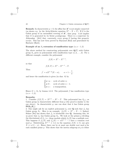**Remark:** In characteristic  $p > 0$ , the affine line  $A<sup>1</sup>$  is not simply connected (as shown e.g. by the Artin-Schreier equation  $X^p - X = T$ ). If G is the Galois group of an unramified covering of  $A<sup>1</sup>$ , then prop. 4.4.6 implies that  $G$  is generated by its Sylow  $p$ -subgroups. There is a conjecture by Abhyankar [Ab1] that, conversely, every group  $G$  having this property occurs. This has now been proved by Raynaud [Ra2] and generalized by Harbater [Harb].

#### **Example of an**  $S_n$ -extension of ramification type  $(n, n-1, 2)$

The above method for constructing polynomials over  $\mathbf{Q}(T)$  with Galois group  $S_n$  gives us polynomials with ramification type  $(n, 2, \ldots, 2)$ . For a different example, consider the polynomial

$$
f(X) = X^n - X^{n-1},
$$

so that

$$
f(X,T) = X^n - X^{n-1} - T.
$$

Then

$$
f' = nX^{n-2}(X - \alpha), \qquad \alpha = 1 - \frac{1}{n},
$$

and hence the ramification is given (in char. 0) by

$$
\begin{cases}\n\text{at } \infty: \quad \text{cycle of order } n; \\
\text{at } 0: \quad \text{cycle of order } n - 1; \\
\text{at } \alpha: \quad \text{a transposition.} \n\end{cases}
$$

Hence  $G = S_n$  by lemma 4.4.3. The polynomial f has ramification type  $(n, n-1, 2).$ 

#### **Remarks:**

1. Consider  $f(X,T) = X^{p+1} - X^p - T$ . This polynomial has  $S_{p+1}$  as Galois group in characteristic different from  $p$  (the proof is similar to the one above). In characteristic  $p$ , one can show that it has Galois group  $\mathbf{PGL}_2(\mathbf{F}_p).$ 

2. One might ask for an explicit polynomial  $f_n$  over **Q** such that  $f_n$  has Galois group  $S_n$ . Here is an example:  $f_n(X) = X^n - X - 1$ . Indeed, Selmer [Sel] has shown that  $f_n$  is irreducible over **Q**. Assuming this, let us prove that  $f_n$  has Galois group  $S_n$ . We look at the primes p dividing the discriminant of  $f_n$ , i.e., those modulo which  $f_n(X)$  has a multiple root. This happens if  $f_n(X)$  and  $f'_n(X) = nX^{n-1} - 1$  have a common root mod p. Substituting  $X^{n-1} \equiv 1/n$  in the equation  $f(X) \equiv 0$ , one gets  $X \equiv n/(1-n)$ . Hence there can be at most one double root mod p for each ramified prime  $p$ . This shows that the inertia subgroup at  $p$  is either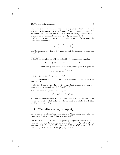#### 4.5. The alternating group  $A_n$  43

trivial, or is of order two, generated by a transposition. But  $G = \text{Gal}(f)$  is generated by its inertia subgroups, because **Q** has no non-trivial unramified extension. By Selmer's result,  $G$  is transitive; we have just shown that  $G$ is generated by transpositions; hence  $G = S_n$  by lemma 4.4.4.

Many more examples can be found in the literature. For instance, the "truncated exponential"

$$
1 + x + \frac{x^2}{2} + \frac{x^3}{6} + \ldots + \frac{x^n}{n!}
$$

has Galois group  $S_n$  when  $n \neq 0 \pmod{4}$ , and Galois group  $A_n$  otherwise (I. Schur).

#### **Exercises:**

1. Let  $Y_n$  be the subvariety of  $\mathbf{P}_{n-1}$  defined by the homogeneous equations

 $X_1^i + \cdots + X_n^i = 0$  for  $i = 1, 2, \ldots, n - 2$ .

1.1.  $Y_n$  is an absolutely irreducible smooth curve, whose genus  $q_n$  is given by:

$$
g_n = 1 + (n-2)! \frac{n^2 - 5n + 2}{4}.
$$

(e.g.  $g_3 = g_4 = 0$ ,  $g_5 = 4$ ,  $g_6 = 49$ ,  $g_7 = 481$ ,...)

1.2. The quotient of  $Y_n$  by  $S_n$  (acting by permutation of coordinates) is isomorphic to  $P_1$ .

1.3. The Galois covering  $Y_n \longrightarrow \mathbf{P}_1$  is the Galois closure of the degree n covering given by the polynomial  $f(X) = X^n - X^{n-1}$ .

2. In characteristic 11, show that the equation

$$
X^{11} + 2X^9 + 3X^8 - T^8 = 0
$$

is an unramified extension of  $A<sup>1</sup>$  whose Galois closure has for Galois group the Mathieu group  $M_{11}$ . (Hint: reduce mod 11 the equation of [Ma4], after dividing the X-variable by  $11^{1/4}$ .)

### **4.5 The alternating group** *An*

One exhibits the alternating group  $A_n$  as a Galois group over  $\mathbf{Q}(T)$  by using the following lemma ("double group trick").

**Lemma 4.5.1** *Let* G *be the Galois group of a regular extension*  $K/k(T)$ *, ramified at most at three places which are rational over* k*, and let* H *be a*  $subgroup of G of index 2. Then the fixed field  $K_1$  of H is rational. (In$ particular, if  $k = \mathbf{Q}$ , then H has property  $Gal_T$ .)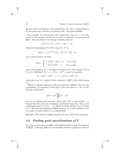Because of the conditions on the ramification, the curve corresponding to  $K_1$  has genus zero, and has a k-rational point. The lemma follows.

For example, the polynomials with ramification type  $(n, n-1, 2)$  discussed in the previous section can be used to construct  $A_n$ -extensions of **Q**(T). More precisely, let us change variables, and put

$$
h(X,T) = (n-1)X^n - nX^{n-1} + T.
$$

Then the discriminant of h (with respect to  $X$ ) is

$$
\Delta(h) = (-1)^{\frac{n(n-1)}{2}} n^n (n-1)^{n-1} T^{n-2} (T-1).
$$

Up to square factors, we have

$$
\Delta(h) \sim \begin{cases} (-1)^{\frac{n}{2}}(n-1)(T-1) & \text{if } n \text{ is even;} \\ (-1)^{\frac{n-1}{2}}nT(T-1) & \text{if } n \text{ is odd.} \end{cases}
$$

Hence the equation  $D^2 = \Delta$  defines a rational curve. For example, if n is even, by replacing T by  $1 + (-1)^{\frac{n}{2}}(n-1)T^2$ , we get the equation

$$
(n-1)X^{n} - nX^{n-1} + 1 + (-1)^{\frac{n}{2}}(n-1)T^{2} = 0,
$$

which gives rise to a regular Galois extension of  $\mathbf{Q}(T)$  with Galois group  $A_n$ .

Hilbert's original construction [Hi] was somewhat different. For the sake of simplicity, we reproduce it here only in the case where  $n = 2m$  is even. Choose a polynomial

$$
g(X) = nX \prod_{i=1}^{m-1} (X - \beta_i)^2,
$$

with the  $\beta_i$  distinct and non-zero. Then, take  $f(X)$  so that  $df/dX = g$ . Assume that the  $f(\beta_i)$  are all distinct, and distinct from  $f(0)$ . Then f has ramification type  $(n, 2, 3, 3, \ldots, 3)$ . Hence its Galois group is  $S_n$  by lemma 4.4.4. But then the quadratic subfield fixed by  $A_n$  is only ramified at the two places  $\infty$  and 0; hence it is a rational field.

**Exercise:** Show that the condition that the  $f(\beta_i)$  are  $\neq f(0)$  can be suppressed.

### **4.6 Finding good specializations of** *T*

Let f be a polynomial over  $Q(T)$  with splitting field a regular G-extension of  $Q(T)$ . Although Hilbert's irreducibility theorem guarantees that for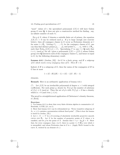"most" values of t, the specialized polynomial  $f(X, t)$  will have Galois group  $G$  over  $Q$ , it does not give a constructive method for finding, say, an infinite number of such  $t$ 's.

For  $p \notin S$ , where S denotes a suitable finite set of primes, the equation  $f(X,T) = 0$  can be reduced mod p. If p is large enough (see exercise) below), then all conjugacy classes in  $G$  occur as Frobenius elements at  $t$ for some  $t \in \mathbf{F}_p$ . Letting  $C_1, \ldots, C_h$  be the conjugacy classes of G, one can thus find distinct primes  $p_1, \ldots, p_h$  and points  $t_1, \ldots, t_h$ , with  $t_i \in \mathbf{F}_{p_i}$ , such that  $\text{Frob}_{p_i}(f(X, t_i)) = C_i$ . Specializing T to any  $t \in \mathbf{Q}$  such that  $t \equiv t_i \pmod{p_i}$  for all i gives a polynomial  $f(X) = f(X, t)$  whose Galois group over  $\bf{Q}$  intersects each of the conjugacy classes  $C_i$ , and hence is equal to  $G$ , by the following elementary result:

**Lemma 4.6.1** (Jordan, [J2]) *Let* G *be a finite group, and* H *a subgroup of* G which meets every conjugacy class of G. Then  $H = G$ .

Indeed, if  $H$  is a subgroup of  $G$ , then the union of the conjugates of  $H$  in G has at most

$$
1 + (G : H)(|H| - 1) = |G| - ((G : H) - 1)
$$

elements.

**Remark**: Here is an arithmetic application of lemma 4.6.1:

(\*) Let  $f(X)$  be an irreducible polynomial of degree  $n > 1$  with integral coefficients. For each prime p, denote by  $N(f, p)$  the number of solutions of  $f(x) \equiv 0 \pmod{p}$ . Then the set of p's with  $N(f, p) = 0$  has a density which is  $> 0$  (and even  $\geq 1/n$ ).

The proof is a straightforward application of Chebotarev's density theorem, cf. [Se12].

#### **Exercises:**

1. Use lemma 4.6.1 to show that every finite division algebra is commutative (cf. Bourbaki, A.VIII, §11, no.1).

2. Show that lemma 4.6.1 can be reformulated as: "Every transitive subgroup of  $S_n$ ,  $n \geq 2$ , contains a permutation without fixed point". (This is how the lemma is stated in Jordan, [J2].)

3. Let  $\pi: X \longrightarrow Y$  be a G-covering of absolutely irreducible projective smooth curves over  $\mathbf{F}_p$ . Let N be the number of geometric points of X where  $\pi$  is ramified, and let g be the genus of X. Assume that  $1 + p - 2g\sqrt{p} > N$ . Show that, for every conjugacy class c in G, there is a point  $t \in Y(\mathbf{F}_p)$  over which  $\pi$ is unramified, and whose Frobenius class in  $G$  is  $c$ . (Apply Weil's bound to the curve  $X$ , twisted by an element of  $c$ .)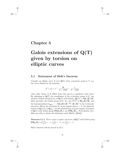## **Chapter 5**

# **Galois extensions of Q(T) given by torsion on elliptic curves**

### **5.1 Statement of Shih's theorem**

Consider an elliptic curve E over  $\mathbf{Q}(T)$  with j-invariant equal to T, e.g. the curve defined by the equation

$$
y^{2} + xy = x^{3} - \frac{36}{T - 1728}x - \frac{1}{T - 1728}.
$$

(Any other choice of E differs from this one by a quadratic twist only.) By adjoining to  $\mathbf{Q}(T)$  the coordinates of the *n*-division points of E, one obtains a Galois extension  $K_n$  of  $\mathbf{Q}(T)$  with  $Gal(K_n/\mathbf{Q}(T)) = GL_2(\mathbf{Z}/n\mathbf{Z})$ . More precisely, the Galois group of  $\mathbf{C} \cdot K_n$  over  $\mathbf{C}(T)$  is  $\mathbf{SL}_2(\mathbf{Z}/n\mathbf{Z})$ , and the homomorphism  $G_{\mathbf{Q}(T)} \longrightarrow \mathbf{GL}_2(\mathbf{Z}/n\mathbf{Z}) \stackrel{\text{det}}{\longrightarrow} (\mathbf{Z}/n\mathbf{Z})^*$  is the cyclotomic character. Hence the extension  $K_n$  is not regular when  $n > 2$ : the algebraic closure of **Q** in  $K_n$  is  $\mathbf{Q}(\mu_n)$ . So the method does not give regular extensions of  $\mathbf{Q}(T)$  with Galois group  $\mathbf{PGL}_2(\mathbf{F}_p)$ , nor  $\mathbf{PSL}_2(\mathbf{F}_p)$ . Nevertheless, K-y. Shih was able to obtain the following result [Shih1], [Shih2]:

**Theorem 5.1.1** *There exists a regular extension of* **Q**(T) *with Galois group*  $\mathbf{PSL}_2(\mathbf{F}_p) \text{ if } \left(\frac{2}{p}\right) = -1, \ \left(\frac{3}{p}\right) = -1, \text{ or } \left(\frac{7}{p}\right) = -1.$ 

Shih's theorem will be proved in §5.3.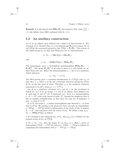**Remark:** It is also known that  $PSL_2(\mathbf{F}_p)$  has property  $Gal_T$  when  $\left(\frac{5}{p}\right)$  = −1; this follows from [Ml2] combined with th. 5.1.1.

### **5.2 An auxiliary construction**

Let  $E$  be an elliptic curve defined over a field  $k$  of characteristic 0. The p-torsion of E, denoted  $E[p]$ , is a two-dimensional  $\mathbf{F}_p$ -vector space; let us call  $PE[p]$  the associated projective line  $PE[p] \simeq \mathbf{P}_1(\mathbf{F}_p)$ . The actions of the Galois group  $G_k$  on  $E[p]$  and  $PE[p]$  give rise to representations

$$
\rho: G_k \longrightarrow \mathbf{GL}(E[p]) \simeq \mathbf{GL}_2(\mathbf{F}_p)
$$

and

$$
\bar{\rho}: G_k \longrightarrow \mathbf{PGL}(PE[p]) \simeq \mathbf{PGL}_2(\mathbf{F}_p).
$$

The determinant gives a well-defined homomorphism  $PGL_2(\mathbf{F}_p) \longrightarrow$  $\mathbf{F}_p^*/\mathbf{F}_p^{*2}$ . The group  $\mathbf{F}_p^*/\mathbf{F}_p^{*2}$  is of order 2 when p is odd (which we assume from now on). Hence the homomorphism  $\epsilon_p = \det \circ \bar{\rho}$  is a quadratic Galois character,

$$
\epsilon_p: G_K \longrightarrow \{\pm 1\}.
$$

The Weil pairing gives a canonical identification of  $\wedge^2(E[p])$  with  $\mu_p$ , so that det  $\rho = \chi$ , where  $\chi$  is the pth cyclotomic character giving the action of  $G_k$  on the pth roots of unity. Therefore  $\epsilon_p$  is the quadratic character associated to  $k(\sqrt{p^*})$ , where  $p^* = (-1)^{\frac{p-1}{2}}p$ .

Let K be a quadratic extension of k, and let  $\sigma$  be the involution in  $Gal(K/k)$ . Let N be an integer  $\geq 1$  and E an elliptic curve defined over K such that E and  $E^{\sigma}$  are N-isogenous (i.e., there is a homomorphism  $\phi: E \longrightarrow E^{\sigma}$  with cyclic kernel of order N). Assume for simplicity that E has no complex multiplication, so that there are only two N-isogenies,  $\phi$ and  $-\phi$ , from E to  $E^{\sigma}$ .

If  $p/N$ , the maps  $\phi$ ,  $-\phi$  induce isomorphisms (also denoted  $\phi$ ,  $-\phi$ ) from  $E[p]$  to  $E^{\sigma}[p]$ . By passing to the projective lines, one gets an isomorphism  $\phi:PE[p] \longrightarrow PE^{\sigma}[p]$  which is independent of the choice of the N-isogeny  $E \longrightarrow E^{\sigma}$ , and commutes with the action of  $G_K$ . We define a map  $\rho_{E,N}$ :  $G_k \longrightarrow \textbf{PGL}(PE[p])$  as follows:

1. If s belongs to the subgroup  $G_K$  of  $G_k$ , then  $\rho_{E,N}(s)$  is defined via the natural action of  $G_K$  on  $PE[p]$ .

2. If  $s \in G_k - G_K$ , then the image of s in  $G_{K/k}$  is  $\sigma$ . Hence s gives an isomorphism  $PE[p] \longrightarrow PE^{\sigma}[p]$ , and  $\rho(s) : PE[p] \longrightarrow PE[p]$  is defined by composing this isomorphism with  $\phi^{-1}: PE^{\sigma}[p] \longrightarrow PE[p].$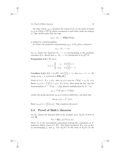(In other words,  $\rho_{E,N}$  describes the action of  $G_k$  on the pairs of points  $(x, y)$  in  $PE[p] \times PE^{\sigma}[p]$  which correspond to each other under the isogeny  $\phi$ .) One checks easily that the map

$$
\rho_{E,N}: G_k \longrightarrow \mathbf{PGL}(PE[p])
$$

so defined is a homomorphism.

As before, the projective representation  $\rho_{E,N}$  of  $G_k$  gives a character

$$
\epsilon_{E,N}: G_k \longrightarrow \pm 1.
$$

Let  $\epsilon_K$  denote the character  $G_k \longrightarrow \pm 1$  corresponding to the quadratic Let  $\epsilon_K$  denote the character  $G_k \longrightarrow \pm 1$  corresponding to the quadratic extension  $K/k$ . Recall that  $\epsilon_p : G_k \longrightarrow \pm 1$  corresponds to  $k(\sqrt{p^*})/k$ .

**Proposition 5.2.1** *We have* :

$$
\epsilon_{E,N} = \begin{cases}\n\epsilon_p & \text{if } \left(\frac{N}{p}\right) = 1 \\
\epsilon_p \epsilon_K & \text{if } \left(\frac{N}{p}\right) = -1\n\end{cases}
$$

**Corollary 5.2.2** *If*  $K = k(\sqrt{p^*})$ *, and*  $\left(\frac{N}{p}\right) = -1$ *, then*  $\epsilon_{E,N} = 1$ *, i.e., the image of*  $\rho_{E,N}$  *is contained in*  $\mathbf{PSL}_2(\mathbf{F}_p)$ .

*Proof of 5.2.1:* If  $s \in G_K$ , then  $\rho_{E,N}(s)$  acts on  $\wedge^2 E[p] \simeq \mu_p$  by  $\chi(s)$ . Hence  $\epsilon_{E,N}(s) = \left(\frac{\chi(s)}{p}\right) = \epsilon_p(s)$ . If  $s \notin G_K$ , then using the fact that the homomorphism  $\phi^{-1}: E^{\sigma}[p] \longrightarrow E[p]$  induces multiplication by  $N^{-1}$  on

$$
\mu_p \simeq \wedge^2 (E^{\sigma}[p]) \simeq \wedge^2 (E[p])
$$

(where the group operation on  $\mu_p$  is written additively), one finds that

$$
\det \rho_{E,N}(s) = N^{-1} \chi(s).
$$

Hence  $\epsilon_{E,N}(s) = \left(\frac{N}{p}\right) \epsilon_p(s)$ . This completes the proof.

### **5.3 Proof of Shih's theorem**

Let  $K_N$  denote the function field of the modular curve  $X_0(N)$  of level N over **Q**,

$$
K_N = \mathbf{Q}[j_1, j_2]/F_N(j_1, j_2),
$$

where  $F_N$  is the (normalized) polynomial relating the j-invariants of Nisogenous elliptic curves (cf.  $[F]$ ). The Fricke involution  $W_N$  acts on  $K_N$ by interchanging  $j_1$  and  $j_2$ . Let  $X_0(N)^p$  be the twist of  $X_0(N)$  by the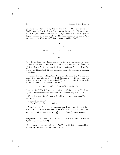quadratic character  $\epsilon_p$ , using the involution  $W_N$ . The function field of  $X_0(N)^p$  can be described as follows: let  $k_N$  be the field of invariants of  $W_N$  in  $K_N$ , i.e., the function field of  $X_0(N)^+$ . Then  $K_N$  and  $k_N(\sqrt{p^*})$  are disjoint quadratic extensions of  $k_N$ . The third quadratic extension, k, of  $k_N$  contained in  $K = K_N(\sqrt{p^*})$  is the function field of  $X_0(N)^p$ 



Now, let E denote an elliptic curve over K with j-invariant  $j_1$ . Then  $E^{\sigma}$  has j-invariant j<sub>2</sub>, and hence E and  $E^{\sigma}$  are N-isogenous. Assuming  $\left(\frac{N}{p}\right) = -1$ , cor. 5.2.2 gives a projective representation  $G_k \longrightarrow \mathbf{PSL}_2(\mathbf{F}_p)$ . It is not hard to see that this representation is surjective, and gives a regular extension of k.

**Remark:** Instead of taking  $E$  over  $K$  one can take it over  $K_N$ . One thus gets a projective representation  $G_{k_N} \longrightarrow \mathbf{PGL}_2(\mathbf{F}_p)$  and prop. 5.2.1 shows that it is surjective, and gives a regular extension if  $(\frac{N}{p}) = -1$ . Since  $k_N$  is known to be<br>isomorphic to  $\mathbf{O}(T)$  if N belongs to the set isomorphic to  $\mathbf{Q}(T)$  if N belongs to the set

$$
S = \{2, 3, 5, 7, 11, 13, 17, 19, 23, 29, 31, 41, 47, 59, 71\},\
$$

this shows that  $\mathbf{PGL}_2(\mathbf{F}_p)$  has property  $Gal_T$  provided there exists  $N \in S$  with  $\left(\frac{N}{p}\right) = -1$  (a computer search shows that this is true for all  $p < 5329271$ ).

We are interested in values of N for which k is isomorphic to  $\mathbf{Q}(T)$ , i.e., such that:

- 1.  $X_0(N)$  has genus 0.
- 2.  $X_0(N)^p$  has a **Q**-rational point.

Assuming that N is not a square, condition 1 implies that  $N = 2, 3, 5$ , 6, 7, 8, 10, 12, 13, 18. Condition 2 is satisfied when  $N = 2, 3, 7$  (and also for  $N = 6$ ,  $\left(\frac{2}{p}\right) = 1$  and  $N = 10$ ,  $\left(\frac{5}{p}\right) = 1$ , cf. [Shih1]). More precisely:

**Proposition 5.3.1** *For*  $N = 2, 3$ *, or* 7*, the two fixed points of*  $W_N$  *in*  $X_0(N)$  are rational over **Q**.

(Hence, these points stay rational on  $X_0(N)^p$ , which is thus isomorphic to **P**<sup>1</sup> over **Q**; this concludes the proof of th. 5.1.1.)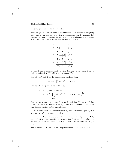#### 5.3. Proof of Shih's theorem 51

Let us give two proofs of prop.  $5.3.1$ .

*First proof:* Let  $\mathcal O$  be an order of class number 1 in a quadratic imaginary field, and  $E_{\mathcal{O}}$  an elliptic curve with endomorphism ring  $\mathcal{O}$ . Assume that the unique prime ramified in the field is  $N$ , and that  $\mathcal O$  contains an element  $\pi$  with  $\pi \bar{\pi} = N$ . This is indeed possible for  $N = 2, 3, 7$ :

| N | Ο                                 | $\pi$ |
|---|-----------------------------------|-------|
| 2 | $\mathbf{Z}[i]$                   | $1+i$ |
|   | $\mathbf{Z}[\sqrt{-2}]$           | $-2$  |
| 3 | $1+\sqrt{-3}$<br>$\mathbf{Z}$     | 3     |
|   | $\mathbf{Z}[\sqrt{ }$<br>$3\vert$ | 3     |
| 7 | Z<br>$\sqrt{-7}$                  |       |
|   | $\mathbf{Z}[\sqrt{ }$             |       |

By the theory of complex multiplication, the pair  $(E_{\mathcal{O}}, \pi)$  then defines a rational point of  $X_0(N)$  which is fixed under  $W_N$ .

*Second proof:* Let  $\Delta$  be the discriminant modular form

$$
\Delta(q) = q \prod (1 - q^n)^{24}, \qquad q = e^{2\pi i z},
$$

and let f be the power series defined by

$$
f = (\Delta(z)/\Delta(Nz))^{\frac{1}{N-1}} \n= q^{-1} \prod_{\substack{n \neq 0(N) \\ n \ge 1}} (1 - q^n)^{2m}, \quad \text{where } m = \frac{12}{N-1}.
$$

One can prove that f generates  $K_N$  over **Q**, and that  $f^{W_N} = N^m/f$ . For  $N = 2, 3,$  and 7 we have  $m = 12, 6, 2,$  and  $N<sup>m</sup>$  is a square. This shows that the fixed points of  $W_N$  are rational.

One can also show that the quaternion algebra corresponding to  $X_0(N)^p$ is given by  $(N^m, p^*)$ . More generally:

**Exercise:** Let F be a field, and let X be the variety obtained by twisting  $P_1$  by **EXECTS:** LET T be a next, and let X be the variety obtained by twisting **1** 1 by the quadratic character attached to the extension  $F(\sqrt{b})$  and the involution of  ${\bf P}_1$   $x \mapsto a/x$ . Then the quaternion invariant of this curve is the element  $(a, b)$  of  $Br_2(F)$ .

The ramification in the Shih covering constructed above is as follows: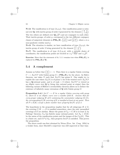**N=2:** The ramification is of type  $(2, p, p)$ . One ramification point is rational over **Q**, with inertia group of order 2 generated by the element  $\begin{pmatrix} 0 & 1 \\ -1 & 0 \end{pmatrix}$ . The two others are defined over  $\mathbf{Q}(\sqrt{p^*})$  and are conjugate to each other. Their inertia groups, of order  $p$ , correspond to the two different conjugacy classes of unipotent elements in  $PSL_2(Z)$ ,  $\begin{pmatrix} 1 & 1 \\ 0 & 1 \end{pmatrix}$  and  $\begin{pmatrix} 1 & \alpha \\ 0 & 1 \end{pmatrix}$ , where  $\alpha$  is a non-quadratic residue mod p.

**N=3:** The situation is similar; we have ramification of type  $(3, p, p)$ , the inertia group of order 3 being generated by the element  $\begin{pmatrix} 1 & -1 \\ 1 & 0 \end{pmatrix}$ .

**N=7:** The ramification is of type  $(3,3,p,p)$ ; with a suitable choice of coordinates, the ramification points are located at  $\pm \sqrt{-27p^*}$  and  $\pm \sqrt{p^*}$ .

**Exercise:** Show that the statement of th. 5.1.1 remains true when  $PSL_2(F_p)$  is replaced by  $PSL_2(\mathbf{Z}/p^n\mathbf{Z})$ .

### **5.4 A complement**

Assume as before that  $\left(\frac{N}{p}\right) = -1$ . Then there is a regular Galois covering  $C \longrightarrow X_0(N)^p$  with Galois group  $G = \mathbf{PSL}_2(\mathbf{F}_p)$  by the above. In Shih's theorem, one takes N such that  $X_0(N)$  has genus 0. One might try to exploit the case where  $X_0(N)$  is of genus 1; for if the twisted curve  $X_0(N)^p$ has a **Q**-rational point, and is of rank  $> 0$  (where  $X_0(N)^p$  is viewed as an elliptic curve over **Q** by fixing this rational point as origin) then the following variant of Hilbert's irreducibility theorem allows us to deduce the existence of infinitely many extensions of **Q** with Galois group G:

**Proposition 5.4.1** *Let*  $C \longrightarrow E$  *be a regular Galois covering with group* G*, where* E *is an elliptic curve over a number field* K*. Assume that for every proper subgroup*  $H$  *of*  $G$  *containing the commutator subgroup*  $(G, G)$ *, the corresponding* G/H*-covering of* E *is ramified at least at one point. Then all*  $P \in E(K)$  *except a finite number have property*  $\text{Irr}(P)$  *of* §3.3.

The hypothesis in the proposition implies that for all subgroups  $H \neq G$ , the covering  $C/H \longrightarrow E$  is ramified somewhere, since the only unramified coverings of E are abelian. Hence the genus of  $C_H = C/H$  is at least 2; by Faltings' theorem,  $C_H$  has finitely many rational points. Let  $S_K \subset E(K)$ be the union of the ramification points and the images of the  $C_H(K)$ . This is a finite set, and if  $P \notin S_K$ , then property  $\text{Irr}(P)$  is satisfied. This proves the proposition.

The above result was first obtained by Néron (Proc. Int. Cong. 1954) in a weaker form, since Mordell's conjecture was still unproved at that time.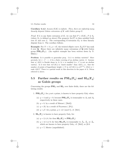**Corollary 5.4.2** *Assume* E(K) *is infinite. Then, there are infinitely many linearly disjoint Galois extensions of* K *with Galois group* G*.*

*Proof:* If L is any finite extension of K, we can find  $P \in E(K)$ ,  $P \notin S_L$ (where  $S_L$  is defined as above). The property  $\text{Irr}(P)$  is then satisfied both over K and over L. The corresponding G-extension  $K_P$  is then linearly disjoint from L. The corollary follows.

**Example:** For  $N = 11$ ,  $p = 47$ , the twisted elliptic curve  $X_0(N)^p$  has rank 2 over **Q**. Hence there are infinitely many extensions of **Q** with Galois group  $PSL_2(F_{47})$ . (An explicit example has been written down by N. Elkies.)

**Problem**: Is it possible to generalize prop. 5.4.1 to abelian varieties? More precisely, let  $\pi: C \longrightarrow A$  be a finite covering of an abelian variety A. Assume that a)  $A(K)$  is Zariski dense in A; b)  $\pi$  is ramified (i.e., C is not an abelian variety). Is it true that  $\pi(C(K))$  is "much smaller" than  $A(K)$ , i.e., that the number of points of logarithmic height  $\leq N$  in  $\pi(C(K))$  is  $o(N^{\rho/2})$ , where  $\rho =$ rank  $A(K)$ ? There is a partial result in this direction in the paper of A. Néron referred to above.

### **5.5** Further results on  $PSL_2(F_\text{q})$  and  $SL_2(F_\text{q})$ **as Galois groups**

Concerning the groups **PSL**<sup>2</sup> and **SL**<sup>2</sup> over finite fields, there are the following results:

- 1.  $PSL_2(\mathbf{F}_q)$ , for q not a prime, is known to have property  $Gal_T$  when:
	- (a)  $q = 4$  and  $q = 9$ , because  $PSL_2(\mathbf{F}_q)$  is isomorphic to  $A_5$  and  $A_6$ respectively in these cases.
	- (b)  $q = 8$ , by a result of Matzat ( [Ma3]).
	- (c)  $q = 25$ , by a result of Pryzwara ( [Pr]).
	- (d)  $q = p^2$ , for p prime,  $p \equiv \pm 2 \pmod{5}$ , cf. [Me1].
- 2.  $SL_2(\mathbf{F}_q)$  is known to have property  $Gal_T$  for:
	- (a)  $q = 2, 4, 8$ , for then  $SL_2(\mathbf{F}_q) \approx \mathbf{PSL}_2(\mathbf{F}_q)$ .
	- (b)  $q = 3, 5$  or 9, for then  $SL_2(\mathbf{F}_q)$  is isomorphic to  $\tilde{A}_4$ ,  $\tilde{A}_5$ , or  $\tilde{A}_6$ , which are known to have property  $Gal_T$ , cf. [Me2], or §9.3.
	- (c)  $q = 7$ , Mestre (unpublished).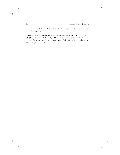It seems that the other values of  $q$  have not been treated (not even the case  $q = 11$ .

There are a few examples of Galois extensions of **Q** with Galois group  $\mathbf{SL}_2(\mathbf{F}_{2^m})$  for  $m = 1, 2, \ldots, 16$ . Their construction is due to Mestre (unpublished), who uses the representations of G**<sup>Q</sup>** given by modular forms mod 2 of prime level  $\leq 600$ .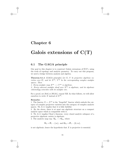## **Chapter 6**

# **Galois extensions of C(T)**

### **6.1 The GAGA principle**

Our goal in this chapter is to construct Galois extensions of  $C(T)$ , using the tools of topology and analytic geometry. To carry out this program, we need a bridge between analysis and algebra.

**Theorem 6.1.1** (GAGA principle) *Let* X*,* Y *be projective algebraic varieties over*  $C$ *, and let*  $X^{an}$ *,*  $Y^{an}$  *be the corresponding complex analytic spaces. Then*

*1. Every analytic map*  $X^{\text{an}} \longrightarrow Y^{\text{an}}$  *is algebraic.* 

2. Every coherent analytic sheaf over  $X^{\text{an}}$  is algebraic, and its algebraic *cohomology coincides with its analytic one.*

For a proof, see  $[Se4]$  or  $[SGA1]$ , exposé XII. In what follows, we will allow ourselves to write  $X$  instead of  $X^{\text{an}}$ .

#### **Remarks:**

1. The functor  $X \mapsto X^{an}$  is the "forgetful" functor which embeds the category of complex projective varieties into the category of complex analytic spaces. Th. 6.1.1 implies that it is fully faithful.

2. By the above, there is at most one algebraic structure on a compact analytic space which is compatible with it.

3. Th. 6.1.1 implies Chow's theorem: every closed analytic subspace of a projective algebraic variety is algebraic.

4. The analytic map  $\exp : \mathbf{G}_a \longrightarrow \mathbf{G}_m$ , where

$$
\mathbf{G}_a = \mathbf{P}_1 - \{\infty\}, \text{ and } \mathbf{G}_m = \mathbf{P}_1 - \{0, \infty\},
$$

is not algebraic; hence the hypothesis that  $X$  is projective is essential.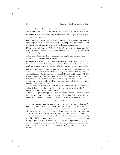**Exercise:** If X and Y are reduced varieties of dimension 1, prove that any analytic isomorphism of X on Y is algebraic; disprove this for non-reduced varieties.

**Theorem 6.1.2** (Riemann) *Any compact complex analytic manifold of dimension 1 is algebraic.*

The proof is easy, once one knows the finiteness of the (analytic) cohomology groups of coherent sheaves, see e.g. [Fo], chap. 2. A generalization for a broader class of varieties is given by a theorem of Kodaira:

**Theorem 6.1.3** (see e.g. [GH], ch. I, §4) *Every compact Kähler manifold* X whose Kähler class is integral (as an element of  $H^2(X, \mathbf{R})$ ) is a projective *algebraic variety.*

In the above theorems, the compactness assumption is essential. For coverings, no such assumption is necessary:

**Theorem 6.1.4** *Let* X *be an algebraic variety over* **C***, and let*  $\pi : Y \longrightarrow$ X *be a finite unramified analytic covering of* X*. Then there is a unique algebraic structure on* Y *compatible with its analytic structure and with* π*.*

The proof is given in [SGA1], exposé XII. Let us explain the idea in the case  $X = \overline{X} - Z$ , where  $\overline{X}$  is an irreducible projective normal variety, and Z a closed subspace. One first uses a theorem of Grauert and Remmert [GR] to extend  $Y \longrightarrow X$  to a ramified analytic covering  $\overline{Y} \longrightarrow \overline{X}$ . Such a covering corresponds to a coherent analytic sheaf of algebras over  $X$ . Since  $X$  is projective, one can apply th. 6.1.1, and one then finds that this sheaf is algebraic, hence so are  $\overline{Y}$  and Y.

(The extension theorem of Grauert and Remmert used in the proof is a rather delicate one - however, it is quite easy to prove when  $\dim X = 1$ , which is the only case we shall need.)

The GAGA principle applies to *real* projective algebraic varieties, in the following way: we may associate to any such variety X the pair  $(X<sup>an</sup>, s)$ , where  $X^{an} = X(\mathbf{C})$  is the complex analytic space underlying X, and

$$
s:X^{\mathrm{an}}\longrightarrow X^{\mathrm{an}}
$$

is the anti-holomorphic involution given by complex conjugation on  $X$ . The real variety X can be recovered from the data  $(X<sup>an</sup>, s)$  up to a unique isomorphism. Furthermore, any complex projective variety X together with an anti-holomorphic involution s determines a projective variety over **R**: for by GAGA, s is an algebraic isomorphism from X to  $\overline{X}$ , the conjugate variety of  $X$ , and hence gives descent data which determines  $X$  as a variety over **R**. Similar remarks apply to coherent sheaves, and coverings: for example, giving a finite covering of  $X$  over  $\mathbf R$  is equivalent to giving a finite covering of the complex analytic space  $X(\mathbf{C})$ , together with an antiholomorphic involution which is compatible with the complex conjugation on  $X(\mathbf{C})$ .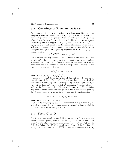# **6.2 Coverings of Riemann surfaces**

Recall that for all  $q \geq 0$ , there exists, up to homeomorphism, a unique compact, connected, oriented surface  $X<sub>q</sub>$  of genus g (i.e., with first Betti number 2g). This can be proved either by "cutting and pasting" or by Morse theory (in the differentiable category). The surface  $X<sub>g</sub>$  has a standard description as a polygon with 4g edges labelled  $a_1, b_1, a_1^{-1}, b_1^{-1}, \ldots$  $a_g, b_g, a_g^{-1}, b_g^{-1}$ , and identified in the appropriate manner. From this description one can see that the fundamental group  $\pi_1(X_q)$  relative to any base point has a presentation given by 2g generators  $a_1, b_1, \ldots, a_g, b_g$ , and a single relation

$$
a_1b_1a_1^{-1}b_1^{-1}\cdots a_g b_g a_g^{-1}b_g^{-1} = 1.
$$

(To show this, one may express  $X_q$  as the union of two open sets U and V, where U is the polygon punctured at one point, which is homotopic to a wedge of 2g circles and has fundamental group the free group  $F$  on 2g generators, and  $V$  is a disk in the center of the polygon. Applying the van Kampen theorem, one finds that

$$
\pi_1(X_g) = 1 *_R F = F / \langle R \rangle,
$$

where  $R$  is  $a_1b_1a_1^{-1}b_1^{-1}\ldots a_gb_ga_g^{-1}b_g^{-1}$ .

Let now  $P_1,\ldots,P_k$  be distinct points of  $X_q$ , and let  $\pi_1$  be the fundamental group of  $X_q - \{P_1, \ldots, P_k\}$ , relative to a base point x. Each  $P_i$ defines in  $\pi_1$  a conjugacy class  $C_i$  corresponding to "turning around  $P_i$  in the positive direction" (choose a disk  $D_i$  containing  $P_i$  and no other  $P_j$ , and use the fact that  $\pi_1(D_i - P_i)$  can be identified with **Z**). A similar argument as above proves that the group  $\pi_1$  has a presentation given by  $2g + k$  generators  $a_1, b_1, \ldots, a_g, b_g, c_1, \ldots, c_k$  and the single relation:

$$
a_1b_1a_1^{-1}b_1^{-1}\cdots a_g b_g a_g^{-1}b_g^{-1}c_1\cdots c_k=1,
$$

where the  $c_i$  belong to  $C_i$  for all i.

We denote this group by  $\pi_1(g, k)$ . Observe that, if  $k \geq 1$ , then  $\pi_1(g, k)$ is the free group on  $2g + k - 1$  generators. In the applications, we shall be mainly interested in the case  $g = 0, k \geq 3$ .

# **6.3 From C to Q**¯

Let K be an algebraically closed field of characteristic  $0, X$  a projective smooth curve of genus g over K, and let  $P_1, \ldots, P_k$  be distinct points in  $X(K)$ . The algebraic fundamental group of  $X - \{P_1, \ldots, P_k\}$  may be defined as follows. Let  $K(X)$  be an algebraic closure of the function field  $K(X)$  of X over K, and let  $\Omega \subset K(X)$  be the maximal extension of  $K(X)$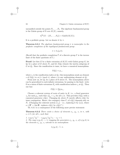unramified outside the points  $P_1, \ldots, P_k$ . The algebraic fundamental group is the Galois group of  $\Omega$  over  $K(X)$ , namely,

$$
\pi_1^{\mathrm{alg}}(X - \{P_1, \ldots, P_k\}) = \mathrm{Gal}(\Omega/K(X)).
$$

It is a profinite group. Let us denote it by  $\pi$ .

**Theorem 6.3.1** *The algebraic fundamental group* π *is isomorphic to the profinite completion of the topological fundamental group* :

$$
\pi \simeq \hat{\pi}_1(g,k).
$$

(Recall that the profinite completion  $\hat{\Gamma}$  of a discrete group  $\Gamma$  is the inverse limit of the finite quotients of Γ.)

**Proof:** Let first E be a finite extension of  $K(X)$  with Galois group G, let  $Q_i$  be a place of E above  $P_i$ , and let  $I(Q_i)$  denote the inertia subgroup of G at  $Q_i$ . Since the ramification is tame, we have a canonical isomorphism:

$$
I(Q_i) \simeq \mu_{e_i},
$$

where  $e_i$  is the ramification index at  $Q_i$ ; this isomorphism sends an element s of  $I(Q_i)$  to  $s\pi/\pi$  (mod  $\pi$ ), where  $\pi$  is any uniformizing element at  $Q_i$ .

From now on, let  $Q_i$  be a place of  $\Omega$  above  $P_i$ . The isomorphism above can be generalized to such infinite extensions, by passing to the limit: write  $\Omega$  as a union of finite extensions  $E_j$  with ramification indices  $e_j$  at  $Q_i$ . Then one has:

$$
I(Q_i) \simeq \lim_{\longleftarrow} \mu_{e_j}.
$$

Choose a coherent system of roots of unity in  $K$ , i.e., a fixed generator  $z_n$  for each  $\mu_n$ , such that  $z_{nm}^m = z_n$  for all  $n, m$ . This provides  $I(Q_i)$  with a canonical generator  $c(Q_i)$ . Changing  $Q_i$  above  $P_i$  merely affects  $c(Q_i)$  by inner conjugation. Hence, the conjugacy class  $C_i$  of  $c(Q_i)$  depends only on  $P_i$ . (Changing the coherent system  $\{z_n\}$  – i.e., replacing it by  $\{z_n^{\alpha}\}\,$ , where  $\alpha \in \mathbf{Z}^* = \text{Aut } \mathbf{Z}$  replaces  $c(Q_i)$  by  $c(Q_i)^\alpha$ .)

Th. 6.3.1 is a consequence of the following more precise statement:

**Theorem 6.3.2** *There exists a choice of elements*  $x_j$ ,  $y_j$ ,  $c_i$  *in*  $\pi$ , *with*  $c_i \in C_i$  *for all i, such that:* 

1.  $x_1y_1x_1^{-1}y_1^{-1}\cdots x_gy_gx_g^{-1}y_g^{-1}c_1\cdots c_k=1.$ 2. The map  $\pi_1(g, k) \longrightarrow \pi$  *mapping the generators*  $x_j, y_j, c_i$  *of*  $\pi_1(g, k)$  *to the elements*  $x_j$ *,*  $y_i$ *,*  $c_i$  *extends to an isomorphism* 

$$
\hat{\pi}_1(g,k) \xrightarrow{\sim} \pi.
$$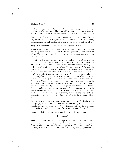In other words,  $\pi$  is presented as a profinite group by the generators  $x_j$ ,  $y_j$ ,  $c_i$  with the relations above. The proof will be done in two stages: first, for  $K = \mathbf{C}$ , then, for arbitrary algebraically closed fields K of characteristic 0.

**Step 1:** Proof when  $K = \mathbf{C}$ , with the standard choice of roots of unity,  ${z_n} = {e^{2\pi i/n}}$ . In this case, the result follows from the GAGA dictionary between algebraic and topological coverings (see th. 6.1.3 and [SGA1]).

**Step 2:** K arbitrary. One has the following general result

**Theorem 6.3.3** *Let* V *be an algebraic variety over an algebraically closed field* K *of characteristic* 0*, and let* K *be an algebraically closed extension of* K*. Then any covering of* V *over* K *comes uniquely from a covering defined over* K*.*

(Note that this is not true in characteristic  $p$ , unless the coverings are tame. For example, the Artin-Schreier covering  $Y^p - Y = \alpha T$  of the affine line with  $\alpha \in K'$ ,  $\alpha \notin K$ , does not come from a covering defined over K.)

Two coverings of V defined over K and K'-isomorphic are K-isomorphic; this is clear, e.g. by using a specialization argument. Next, one has to show that any covering which is defined over  $K'$  can be defined over K. If  $K'$  is of finite transcendence degree over K, then by using induction on tr.deg $(K'/K)$ , it is enough to show this for tr.deg $(K'/K) = 1$ . In this case, a covering  $W \longrightarrow V$  over K' corresponds to a covering  $W \times$  $C \longrightarrow V \times C$  over K, where C is the curve over K corresponding to the extension  $K'/K$ . This can be viewed as a family of coverings  $W \longrightarrow V$ over  $K$  parameterized by  $C$ . But it is a general fact that in characteristic 0, such families of coverings are constant. (One can deduce this from the similar geometrical statement over **C**, where it follows from the fact that  $\pi_1(X \times Y) = \pi_1(X) \times \pi_1(Y)$ .) By choosing a K-rational point c of C, on then gets a covering  $W_c \longrightarrow V$  defined over K which is K'-isomorphic to W.

**Step 3:** Using th. 6.3.3, we may replace  $(K, \{z_n\})$  by  $(K_1, \{z_n\})$ , where tr.deg $K_1/\mathbf{Q} < \infty$ . One can then find an embedding  $K_1 \longrightarrow \mathbf{C}$  which transforms the  $\{z_n\}$  into the  $\{e^{2\pi i/n}\}\$  (irreducibility of the cyclotomic polynomials). Another application of th. 6.3.3 concludes the proof.

**Remark:** Let  $\Gamma$  be a discrete group,  $\hat{\Gamma}$  its profinite completion

$$
\hat{\Gamma} = \lim_{\longleftarrow} \Gamma/N
$$

where N runs over the normal subgroups of  $\Gamma$  of finite index. The canonical homomorphism  $\Gamma \longrightarrow \hat{\Gamma}$  is universal for maps of  $\Gamma$  into profinite groups. *It is not always true that this map is injective.* There are examples of finitely presented Γ with Γ infinite but  $\hat{\Gamma} = \{1\}$ , e.g. the group defined by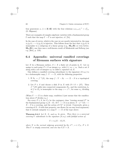four generators  $x_i$  ( $i \in \mathbf{Z}/4\mathbf{Z}$ ) with the four relations  $x_i x_{i+1} x_i^{-1} = x_{i+1}^2$ (G. Higman).

There are examples of complex algebraic varieties with a fundamental group Γ such that the map  $\Gamma \to \Gamma$  is not injective, cf. [To].

In the case of curves, which is the case we are mostly interested in, the map  $\pi_1(g, k) \longrightarrow \hat{\pi}_1(g, k)$  is injective. This follows from the fact that  $\pi_1(g, k)$  is isomorphic to a subgroup of a linear group (e.g.,  $SL_3(R)$ ) or even better,  $SL<sub>2</sub>(**R**)$ ; one then uses a well-known result of Minkowski and Selberg (see e.g. [Bor], p. 119).

# **6.4 Appendix: universal ramified coverings of Riemann surfaces with signature**

Let X be a Riemann surface,  $S \subset X$  a finite set of points in X. Let us assign to each point  $P \in S$  an integer  $n_P$ , with  $2 \leq n_P < \infty$ . Such a set S along with a set of integers  $n_P$  is called a *signature* on X.

One defines a ramified covering subordinate to the signature  $(S; n_P)$  to be a holomorphic map  $f: Y \longrightarrow X$ , with the following properties:

- 1. If  $S_Y = f^{-1}(S)$ , the map  $f: Y S_Y \longrightarrow X S$  is a topological covering.
- 2. Let  $P \in S$  and choose a disk D in X with  $D \cap S = \{P\}$ . Then  $f^{-1}(D)$  splits into connected components  $D_{\alpha}$ , and the restriction  $f_{\alpha}$ of f to  $D_{\alpha}$  is isomorphic to the map  $z \mapsto z^{n_{\alpha}}$ , for some  $n_{\alpha}$  dividing  $n_P$ .

(When  $Y \longrightarrow X$  is a finite map, condition 2 just means that the ramification above P divides  $n_P$ .)

For every  $P \in S$ , let  $C_P$  be the conjugacy class "turning around  $P$ " in the fundamental group  $\pi_1(X-S)$ . If  $Y \longrightarrow X$  is as above,  $Y - f^{-1}(S) \longrightarrow$  $X - S$  is a covering, and the action of  $C_P^{n_P}$  is trivial. Conversely, given a covering of  $X-S$  with that property, one shows (by an easy local argument) that it extends uniquely to a map  $Y \longrightarrow X$  of the type above.

**Theorem 6.4.1** *Let* X, S, and  $n_P$  *be given. Then there is a universal covering* Y *subordinate to the signature*  $(S; n_P)$  *with faithful action of* 

$$
\Gamma = \pi_1(X - S)/N,
$$

*where* N *is the normal subgroup generated by the*  $s^{n_p}$ ,  $s \in C_P$ ,  $P \in S$ *. This Y is simply connected, and one has*  $Y/\Gamma = X$ *.*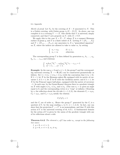#### 6.4. Appendix 61

*Sketch of proof*: Let  $Y_N$  be the covering of  $X - S$  associated to N. This is a Galois covering, with Galois group  $\pi_1(X - S)/N$ . As above, one can complete it to a covering  $Y \longrightarrow X$ . One checks that Y is universal, simply connected, and that  $\Gamma$  acts properly on Y, with  $X = Y/\Gamma$ .

We apply this to the case  $X = X - T$ , where X is a compact Riemann surface of genus g, and T is a finite subset of  $\overline{X}$ . Letting  $S = \{P_1, \ldots, P_s\}$ and  $T = \{P_{s+1}, \ldots, P_{s+t}\}\$ , one associates to X a "generalized signature" on X, where the indices are allowed to take to value  $\infty$ , by setting

$$
\begin{cases} n_i = n_{P_i} & \text{if } i \le s, \\ n_i = \infty & \text{otherwise.} \end{cases}
$$

The corresponding group  $\Gamma$  is then defined by generators  $a_1, b_1, \ldots, a_g$ ,  $b_q, c_1, \ldots c_{s+t}$  and relations:

$$
\begin{cases} a_1b_1a_1^{-1}b_1^{-1}\cdots a_gb_ga_g^{-1}b_g^{-1}c_1\cdots c_{s+t} = 1\\ c_1^{n_1} = 1,\ldots,c_s^{n_s} = 1. \end{cases}
$$

**Example:** In the case  $g = 0$  and  $s+t = 3$ , the group  $\Gamma$  and the corresponding universal covering  $\bar{X} \longrightarrow \mathbf{P}_1(\mathbf{C})$  can be constructed geometrically as follows. Set  $\lambda = 1/n_1 + 1/n_2 + 1/n_3$  (with the convention that  $1/\infty = 0$ ). If  $\lambda > 1$ , let  $\overline{X}$  be the Riemann sphere  $S_2$  equipped with its metric of curvature 1; if  $\lambda = 1$ , let X be **C** with the euclidean metric; and if  $\lambda < 1$ , let  $\overline{X}$  be the Poincaré upper half plane, equipped with the metric of curvature −1. In each case, by the Gauss-Bonnet theorem there is a geodesic triangle on  $\bar{X}$  with angles  $\pi/n_1$ ,  $\pi/n_2$ , and  $\pi/n_3$ . (The case  $n_i = \infty$  gives an angle equal to 0, and the corresponding vertex is a "cusp" at infinity.) Denoting by  $s_i$  the reflection about the *i*th side  $(i = 1, 2, 3)$ , the elements  $C_1 = s_2 s_3$ ,  $C_2 = s_3s_1$ , and  $C_3 = s_1s_2$  satisfy the relation

$$
C_1C_2C_3=1
$$

and the  $C_i$  are of order  $n_i$ . Hence the group  $\Gamma'$  generated by the  $C_i$  is a quotient of Γ, by the map sending  $c_i$  to  $C_i$  (i = 1, 2, 3). In fact, one can show that the projection  $\Gamma \longrightarrow \Gamma'$  is an isomorphism, and that  $\bar{X}$  with this action of  $\Gamma$  is the universal covering of th. 6.4.1. A fundamental domain for the action of  $\Gamma$  is given by the union of the geodesic triangle with one of its reflections about a side.

**Theorem 6.4.2** *The element*  $c_i$  *of*  $\Gamma$  *has order*  $n_i$ *, except in the following two cases* :

*1.*  $q = 0$ ,  $s + t = 1$ ; 2.  $g = 0, s + t = 2, n_1 \neq n_2.$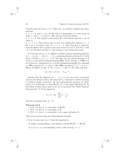Consider first the case  $g = 0$ . This case can itself be divided into three subcases:

1.  $s + t = 2$ , and  $n_1 = n_2$ . In this case Γ is isomorphic to a cyclic group of order  $n_1$  (if  $n_1 = \infty$ , then  $\Gamma = \mathbf{Z}$ ), and the statement follows.

2.  $s + t = 3$ . The explicit construction of Γ above shows that the  $c_i$  are of order  $n_i$ .

3.  $s + t \geq 4$ . One reduces this to case 2 by adding the relations  $c_i = 1$ for a set I of indices with  $|I| = s + t - 3$ . One thus gets a surjective homomorphism onto a group of the type treated in case 2, and the  $c_i$  with  $i \notin I$  are therefore of order  $n_i$ . By varying I, one obtains the result.

To treat the case  $q \geq 1$ , it suffices to exhibit a group containing elements  $A_1,\ldots,A_g,B_1,\ldots,B_g,C_1,\ldots,C_{s+t}$  satisfying the given relation for Γ, with the  $C_i$  of order  $n_i$ ,  $(i = 1, \ldots s+t)$ . For this, one may choose elements  $C_i$  of order  $n_i$  in the special orthogonal group  $SO_2$ . Every element x of  $SO_2$  can be written as a commutator  $(y, z)$  in the orthogonal group  $\mathbf{O}_2$ ; for, choosing  $y \in \mathbf{SO}_2$  such that  $y^2 = x$ , and  $z \in \mathbf{O}_2-\mathbf{SO}_2$ , one has  $yzy^{-1}z^{-1} = y \cdot y = x$ . Hence, it suffices to take  $A_j$ ,  $B_j = 1$  if  $j > 1$ , and  $A_1, B_1 \in \mathbf{O}_2$  such that

$$
(A_1, B_1) = (C_1 C_2 \cdots C_{s+t})^{-1}.
$$

Assume that the signature  $(n_1,\ldots,n_{s+t})$  is not one of the exceptional cases in the theorem above. We then have a "universal" ramified covering Y which is simply connected. By the uniformization theorem (cf. [Fo]), such a Y is isomorphic to either  $P_1(C)$ , C, or the upper half plane  $H$ . To tell which of these three cases occur, let us introduce the "Euler-Poincaré characteristic"  $E$  of the signature:

$$
E = 2 - 2g - \sum_{i=1}^{s+t} (1 - \frac{1}{n_i}),
$$

with the convention that  $\frac{1}{\infty} = 0$ .

#### **Theorem 6.4.3**

- *1.* If  $E > 0$ , then Y is isomorphic to  $P_1(C)$ .
- 2. If  $E = 0$ , then Y is isomorphic to **C**.
- *3. If* E < 0*, then* Y *is isomorphic to the upper half plane* H*.*

This can be proved using the Gauss-Bonnet formula.

1. Case 1 occurs only if  $g = 0$  and the signature is:

- empty, corresponding to the identity covering  $P_1(C) \longrightarrow P_1(C)$ .
- $(n, n), n < \infty$ , corresponding to the cyclic covering  $z \mapsto z^n$ .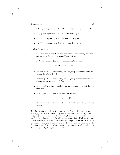6.4. Appendix 63

- $(2, 2, n)$ , corresponding to  $\Gamma = D_n$ , the dihedral group of order  $2n$ .
- $(2, 3, 3)$ , corresponding to  $\Gamma = A_4$  (tetrahedral group).
- $(2, 3, 4)$ , corresponding to  $\Gamma = S_4$  (octahedral group).
- $(2, 3, 5)$ , corresponding to  $\Gamma = A_5$  (icosahedral group).
- 2. Case 2 occurs for
	- $g = 1$  and empty signature, corresponding to the covering of a complex torus by the complex plane,  $\Gamma = a$  lattice.
	- $g = 0$  and signature  $(\infty, \infty)$ , corresponding to the map

$$
\exp: \mathbf{C} \longrightarrow \mathbf{C}, \quad \Gamma = \mathbf{Z}.
$$

- signature  $(2, 4, 4)$ , corresponding to  $\Gamma$  = group of affine motions preserving the lattice  $\mathbf{Z} + \mathbf{Z}i$ .
- signature  $(2,3,6)$ , corresponding to  $\Gamma =$  group of affine motions preserving the lattice  $\mathbf{Z} + \left(\frac{1+\sqrt{-3}}{2}\right)\mathbf{Z}$ .
- signature  $(3, 3, 3)$ , corresponding to a subgroup of index 2 of the previous one.
- signature  $(2, 2, 2, 2)$ , corresponding to coverings

$$
\mathbf{C} \longrightarrow T \longrightarrow \mathbf{P}_1,
$$

where T is an elliptic curve and  $C \longrightarrow T$  is the universal unramified covering map.

3. Case 3 corresponds to the case where Γ is a discrete subgroup of  $PSL_2(R)$  which is a "Fuchsian group of the first kind", cf. e.g. Shimura [Shim], Chap. 1; one then has  $X = \mathcal{H}/\Gamma$  and  $\overline{X}$  is obtained by adding to X the set of cusps (mod Γ). (By a theorem of Siegel [Sie], such groups Γ can be characterized as the discrete subgroups of  $PSL_2(R)$  with finite covolume.) The generators  $c_i$  with  $n_i < \infty$  are elliptic elements of the Fuchsian group Γ, the  $c_i$  with  $n_i = \infty$  correspond to parabolic elements, and the  $a_i$  and  $b_i$  to hyperbolic elements.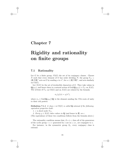# **Chapter 7**

# **Rigidity and rationality on finite groups**

# **7.1 Rationality**

Let G be a finite group,  $Cl(G)$  the set of its conjugacy classes. Choose N such that every element of G has order dividing N; the group  $\Gamma_N =$  $(\mathbf{Z}/N\mathbf{Z})^*$  acts on G by sending s to  $s^{\alpha}$ , for  $\alpha \in (\mathbf{Z}/N\mathbf{Z})^*$ , and acts similarly on  $Cl(G)$ .

Let  $X(G)$  be the set of irreducible characters of G. They take values in  $\mathbf{Q}(\mu_N)$ , and hence there is a natural action of  $Gal(\mathbf{Q}(\mu_N)) \simeq \Gamma_N$  on  $X(G)$ . The actions of  $\Gamma_N$  on  $Cl(G)$  and on  $X(G)$  are related by the formula

$$
\sigma_{\alpha}(\chi)(s) = \chi(s^{\alpha}),
$$

where  $\sigma_{\alpha} \in \text{Gal}(\mathbf{Q}(\mu_N)/\mathbf{Q})$  is the element sending the Nth roots of unity to their  $\alpha$ th powers.

**Definition 7.1.1** *A class* c *in* Cl(G) *is called* **Q***-rational if the following equivalent properties hold* :

*1.* c is fixed under  $\Gamma_N$ .

2. Every  $\chi \in X(G)$  takes values in **Q** (and hence in **Z**) on c.

(The equivalence of these two conditions follows from the formula above.)

The rationality condition means that, if  $s \in c$ , then all of the generators of the cyclic group  $\langle s \rangle$  generated by s are in c, i.e., are conjugate to s.

For instance, in the symmetric group  $S_n$ , every conjugacy class is rational.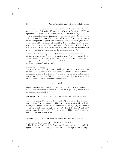More generally, let  $K$  be any field of characteristic zero. The class  $c$  of an element  $s \in G$  is called K-rational if  $\chi(s) \in K$  for all  $\chi \in X(G)$ , or equivalently, if  $c^{\alpha} = c$  for all  $\alpha$  such that  $\sigma_{\alpha} \in \text{Gal}(K(\mu_N)/K)$ .

For example, the alternating group  $A_5$  has five conjugacy classes of order 1, 2, 3, 5, and 5 respectively. Let us call  $5A$  and  $5B$  the two conjugacy classes of exponent 5. (They can be distinguished as follows: given a fivecycle s, let  $\alpha(s)$  be the permutation of  $\{1, 2, 3, 4, 5\}$  sending i to  $s^{i}(1)$ . Then s is in the conjugacy class 5A if and only if  $\alpha(s)$  is even.) If  $s \in 5A$ , then  $s^{-1} \in 5A$  and  $s^2, s^3 \in 5B$ , so the classes 5A and 5B are not rational over **Q**. However, they are rational over the quadratic field  $\mathbf{Q}(\sqrt{5})$ .

**Remark:** The formula  $\sigma_{\alpha}(\chi)(s) = \chi(s^{\alpha})$  has an analogue for supercuspidal admissible representations of semi-simple  $p$ -adic groups. This can be deduced from the fact, proved by Deligne (cf. [De1]), that the character of such a representation is supported by the elliptic elements (note that these are the only elements s for which the notation  $s^{\alpha}$  makes sense).

#### **Rationality of inertia**

Let K be a local field with residue field  $k$  of characteristic zero, and let M be a Galois extension of K with group  $G$ . There is a unique maximal unramified extension  $L$  of  $K$  in  $M$ ; it is Galois over  $K$ . Let  $I$  be the inertia subgroup of G, i.e.,  $I = \text{Gal}(M/L)$ . Since the ramification is tame, I is cyclic. In fact, there is a canonical isomorphism

$$
I \stackrel{\sim}{\longrightarrow} \mu_e(l),
$$

where e denotes the ramification index of  $L/K$ , and l is the residue field of L. (This isomorphism sends  $\sigma \in I$  to  $\sigma \pi / \pi$  (mod  $\pi$ ), where  $\pi$  is a uniformizing element of  $M$ .)

#### **Proposition 7.1.2** *The class in* G *of an element of* I *is rational over* k*.*

Indeed, the group  $H = \text{Gal}(L/K) = \text{Gal}(l/k)$  acts on  $\mu_e(l)$  in a natural way, and on I by conjugation. These actions are compatible with the isomorphism above. If now  $\sigma_{\alpha}$  is an element of  $Gal(k(\mu_e)/k)$ , there exists  $t \in H$  such that t acts on  $\mu_e(l)$  by  $z \mapsto z^{\alpha}$ . If  $s \in I$ , then  $s^{\alpha}$  and  $tst^{-1}$ have the same image in  $\mu_e(l)$ . Hence  $s^{\alpha} = tst^{-1}$ . This shows that the class c of s is such that  $c^{\alpha} = c$ , q.e.d.

**Corollary 7.1.3** *If*  $k = Q$ *, then the classes in I* are rational in *G*.

#### **Remark on the action of**  $\Gamma_N$  on  $Cl(G)$  and  $X(G)$

The  $\Gamma_N$ -sets Cl(G) and X(G) are the character sets of the étale **Q**algebras  $\mathbf{Q} \otimes R(G)$  and  $Z\mathbf{Q}[G]$ , where  $R(G)$  is the representation ring of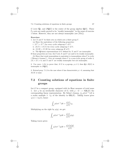G (over **Q**), and  $Z\mathbf{Q}[G]$  is the center of the group algebra  $\mathbf{Q}[G]$ . These  $\Gamma_N$ -sets are easily proved to be "weakly isomorphic" in the sense of exercise 1 below. However, they are not always isomorphic (see [Th1]).

#### **Exercises:**

1. Let X and Y be finite sets on which acts a finite group  $\Gamma$ .

(a) Show the equivalence of the following properties:

i.  $|X^C| = |Y^C|$  for every cyclic subgroup C of Γ;

ii.  $|X/C| = |Y/C|$  for every cyclic subgroup C of Γ;

iii.  $|X/H| = |Y/H|$  for every subgroup H of Γ;

iv. The **Q**-linear representations of  $\Gamma$  defined by X and Y are isomorphic.

If those properties are true, the  $\Gamma$ -sets  $X$  and  $Y$  are said to be weakly isomorphic.

(b) Show that weak isomorphism is equivalent to isomorphism when  $\Gamma$  is cyclic ("Brauer's Lemma"). Give an example where  $\Gamma$  is a non-cyclic group of order 4,  $|X| = |Y| = 6$ , and X and Y are weakly isomorphic but not isomorphic.

2. Use exerc. 1.(b) to prove that, if G is a p-group,  $p \neq 2$ , then  $\mathbf{Q} \otimes R(G)$  is isomorphic to  $Z\mathbf{Q}[G]$ .

3. Extend prop. 7.1.2 to the case where k has characteristic  $p > 0$ , assuming that  $M/K$  is tame.

# **7.2 Counting solutions of equations in finite groups**

Let  $G$  be a compact group, equipped with its Haar measure of total mass 1. Let  $\chi$  be an irreducible character of G, with  $\rho : G \longrightarrow GL(E)$  the corresponding linear representation. By Schur's lemma,  $\int_G \rho (txt^{-1}) dt$  is a scalar multiple  $\lambda \cdot 1_E$  of the identity in  $\mathbf{GL}(E)$ . Taking traces gives  $\chi(x) = \lambda \chi(1)$ , hence

$$
\int_G \rho(txt^{-1})dt = \frac{\chi(x)}{\chi(1)}1_E.
$$

Multiplying on the right by  $\rho(y)$ , we get:

$$
\int_G \rho(txt^{-1}y)dt = \frac{\chi(x)}{\chi(1)}\rho(y).
$$

Taking traces gives:

$$
\int_G \chi(\t{t}xt^{-1}y)dt = \frac{\chi(x)\chi(y)}{\chi(1)}.
$$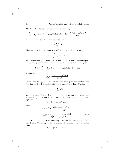This formula extends by induction to k elements  $x_1, \ldots, x_k$ :

$$
\int_{G} \cdots \int_{G} \chi(t_1 x_1 t_1^{-1} \cdots t_k x_k t_k^{-1} y) dt_1 dt_2 \cdots dt_k = \frac{\chi(x_1) \cdots \chi(x_k) \chi(y)}{\chi(1)^k}
$$
\n(7.1)

More generally, let  $\phi$  be a class function on  $G$ ,

$$
\phi = \sum_{\chi} c_{\chi} \chi,
$$

where  $c<sub>x</sub>$  is the inner product of  $\phi$  with the irreducible character  $\chi$ ,

$$
c_{\chi} = \int_{G} \phi(x)\bar{\chi}(x) dx,
$$

and assume that  $\sum |c_{\chi}|\chi(1) < \infty$  so that the sum is normally convergent. By summing over all characters in formula 7.1, we see that the integral

$$
I(\phi) = \int_G \cdots \int_G \phi(t_1 x_1 t_1^{-1} \cdots t_k x_k t_k^{-1} y) dt_1 dt_2 \cdots dt_k
$$

is equal to

$$
\sum_{x} c_{x} \frac{\chi(x_{1}) \cdots \chi(x_{k}) \chi(y)}{\chi(1)^{k}}.
$$

Let us compute  $I(\phi)$  in the case where G is a finite group and  $\phi$  is the Dirac function which is 1 at the identity element, and 0 elsewhere. One has

$$
\phi = \frac{1}{|G|} \sum_{\chi} \chi(1)\chi,
$$

and hence  $c_{\chi} = \chi(1)/|G|$ . Given elements  $x_1, \ldots, x_k$ , and y in G, the value of  $I(\phi)$  is  $N/|G|^k$ , where N is the number of solutions  $(t_1,\ldots,t_k)$  of the equation

$$
t_1 x_1 t_1^{-1} \cdots t_k x_k t_k^{-1} y = 1.
$$

Hence

$$
N = |G|^k \sum_{\chi} \frac{\chi(1)}{|G|} \frac{\chi(x_1) \cdots \chi(x_k) \chi(y)}{\chi(1)^k}
$$

$$
= |G|^{k-1} \sum_{\chi} \frac{\chi(x_1) \cdots \chi(x_k) \chi(y)}{\chi(1)^{k-1}}.
$$
(7.2)

Let  $C_1, \ldots, C_k$  denote the conjugacy classes of the elements  $x_1, \ldots, x_k$ , and define  $n(C_1, \ldots, C_k)$  to be the number of solutions  $(g_1, \ldots, g_k)$  of the equation

$$
g_1g_2\cdots g_k=1, \quad g_i\in C_i.
$$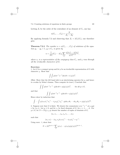Letting  $Z_i$  be the order of the centralizer of an element of  $C_i$ , one has

$$
n(C_1,\ldots,C_k)=\frac{N}{Z_1\cdots Z_k}.
$$

By applying formula 7.2 and observing that  $Z_i = |G|/|C_i|$ , one therefore gets:

**Theorem 7.2.1** *The number*  $n = n(C_1, \ldots, C_k)$  *of solutions of the equation*  $g_1 \cdots g_k = 1$ *,*  $g_i \in C_i$ *<i>, is given by* 

$$
n = \frac{1}{|G|} |C_1| \cdots |C_k| \sum_{\chi} \frac{\chi(x_1) \cdots \chi(x_k)}{\chi(1)^{k-2}},
$$

*where*  $x_i$  *is a representative of the conjugacy class*  $C_i$ *, and*  $\chi$  *runs through all the irreducible characters of* G*.*

#### **Exercises:**

1. Let G be a compact group and let  $\rho$  be an irreducible representation of G with character  $\chi$ . Show that

$$
\int \int \rho(txt^{-1}x^{-1})dx dt = 1/\chi(1)^2.
$$

(Hint: Show that the left hand side is an intertwining operator for  $\rho$ , and hence is a scalar by Schur's lemma. Then compute its trace.) Conclude that

$$
\int \int \rho(txt^{-1}x^{-1} \cdot y) dx dt = \rho(y)/\chi(1)^2, \quad \text{for all } y \in G,
$$

and that

$$
\int \int \chi(\t t x t^{-1} x^{-1} \cdot y) dx dt = \chi(y) / \chi(1)^2.
$$

Hence show by induction that:

$$
\int \cdots \int \chi(t_1x_1t_1^{-1}x_1^{-1}\cdots t_gx_gt_g^{-1}x_g^{-1}\cdot y)dx_1 dt_1\cdots dx_g dt_g = \chi(y)/\chi(1)^{2g}.
$$

2. Suppose now that G is finite. We denote the commutator  $uvw^{-1}v^{-1}$  of u and v by  $(u, v)$ . Let  $g \geq 0$ , and let  $z_j$  be fixed elements of G, for  $j = 1, \ldots, k$ . For  $y \in G$ , let  $N = N(g, z_j, y)$  denote the number of tuples of elements of G,

$$
(u_1,v_1,\ldots,u_g,v_g,t_1,\ldots,t_k),
$$

such that

$$
(u_1, v_1) \cdots (u_g, v_g) t_1 z_1 t_1^{-1} \cdots t_k z_k t_k^{-1} = y^{-1}
$$

.

Using exerc. 1, show that:

$$
N = |G|^{2g+k-1} \sum_{\chi} \chi(z_1) \cdots \chi(z_k) \chi(y) / \chi(1)^{2g+k-1}.
$$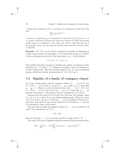3. Show that an element  $y$  of G is a product of q commutators if and only if the sum

$$
\sum_{\chi} \chi(y) / \chi(1)^{2g-1}
$$

is non-zero. In particular, y is a commutator if and only if  $\sum \chi(y)/\chi(1) \neq 0$ . It is a known conjecture of Öystein Ore that every element in a finite non-abelian simple group is a commutator. The reader may wish to verify this (for one of the sporadic groups, say) by using the formula above and the character tables in [ATLAS].

**Remark:** Th. 7.2.1 can be used to compute the number of subgroups in a finite group which are isomorphic to the alternating group  $A_5$ . Indeed,  $A_5$  has a presentation given by three generators x, y, z, and relations

$$
x^2 = y^3 = z^5 = xyz = 1.
$$

The problem therefore amounts to finding the number of solutions of the equation  $xyz = 1$ , where x, y z belong to conjugacy classes of exponent 2, 3, and 5 respectively. The same remark applies to  $S_4$ ,  $A_4$ , and the dihedral groups, which have similar presentations, cf. th. 6.4.3, case 1.

# **7.3 Rigidity of a family of conjugacy classes**

Let G be a finite group, and fix conjugacy classes  $C_1, \ldots, C_k$  in G. Let  $\bar{\Sigma} = \bar{\Sigma}(C_1,\ldots,C_k)$  be the set of all  $(g_1,\ldots,g_k)$ , with  $g_i \in C_i$ , such that  $g_1 \cdots g_k = 1$ . (Hence, by the previous section,  $n(C_1, \ldots, C_k) = |\bar{\Sigma}|$ .) Let  $\Sigma = \Sigma(C_1,\ldots,C_k)$  be the set of  $(g_1,\ldots,g_k)$  in  $\Sigma$  such that  $g_1, \ldots, g_k$ generate the group G. The group G acts by conjugation on  $\Sigma$  and  $\overline{\Sigma}$ .

Assume that the center of  $G$  is trivial (as is the case, for example, when  $G = S_n$ ,  $n \geq 3$ , or when G is a non-abelian simple group). Then the action *of* G *on*  $\Sigma$  *is free:* for, if  $g \in G$  fixes  $(q_1, \ldots, q_k)$ , it commutes with the  $q_i$ 's, and hence with all of G, since the  $q_i$ 's generate G; but then  $q = 1$ , because G is assumed to have trivial center.

One says that a k-tuple of conjugacy classes  $(C_1, \ldots, C_k)$  is *rigid* if  $\Sigma \neq \emptyset$ and G acts transitively on  $\Sigma$ , i.e.,

$$
|\Sigma| = |G|.
$$

One says that  $(C_1,\ldots,C_k)$  is *strictly rigid* if it is rigid, and  $\Sigma = \Sigma$ .

The order of  $\Sigma$  can be computed using the formula of the previous section:

$$
|\bar{\Sigma}| = \frac{1}{|G|} |C_1| \cdots |C_k| \sum_{\chi} \chi(c_1) \chi(c_2) \cdots \chi(c_k) / \chi(1)^{k-2},
$$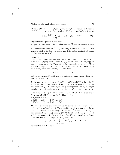where  $c_i \in C_i$  for  $i = 1, \ldots, k$ , and  $\chi$  runs through the irreducible characters of G. If  $z_i$  is the order of the centralizer  $Z(c_i)$ , this can also be written as:

$$
|\bar{\Sigma}| = \frac{|G|^{k-1}}{z_1 \dots z_k} \sum_{\chi} \chi(c_1) \chi(c_2) \dots \chi(c_k) / \chi(1)^{k-2}.
$$
 (7.3)

Rigidity is often proved in two steps:

1. Compute the order of  $\Sigma$ , by using formula 7.3 and the character table of G.

2. Compute the order of  $\bar{\Sigma} - \Sigma$ , by finding k-tuples in  $\bar{\Sigma}$  which do not generate all of G: for this, one uses a knowledge of the maximal subgroups of  $G$  (whenever possible).

#### **Remarks:**

1. Let  $\sigma$  be an outer automorphism of G. Suppose  $(C_1,\ldots,C_k)$  is a rigid k-tuple of conjugacy classes. Then  $\sigma(C_i) \neq C_i$  for some *i*. Indeed, suppose that  $\sigma$  preserves each  $C_i$ . Then, letting  $(g_1, \ldots, g_k)$  be an element of  $\Sigma$ , it follows that  $(\sigma g_1, \ldots, \sigma g_k)$  belongs to  $\Sigma$ . Since G acts transitively on  $\Sigma$  by inner conjugation, there exists  $g \in G$  such that

$$
\sigma g_i = g g_i g^{-1} \qquad \text{for all } i.
$$

But the  $g_i$  generate G and hence  $\sigma$  is an inner automorphism, which contradicts the assumption.

2. In many cases, the term  $\sum_{\chi} \chi(C_1) \cdots \chi(C_k) / \chi(1)^{k-2}$  in formula 7.3 is not very large, the main contribution to the sum being given by the unit character  $\chi = 1$ . For a rigid family of conjugacy classes, one might therefore expect that the order of magnitude of  $|C_1|\cdots|C_k|$  is close to  $|G|$ .

As in §7.1, let  $\alpha \in (\mathbf{Z}/N\mathbf{Z})^*$ , where N is a multiple of the exponent of G, so that  $(\mathbf{Z}/N\mathbf{Z})^*$  acts on Cl(G). Then one has:

**Proposition 7.3.1**

1.  $|\bar{\Sigma}(C_1^{\alpha},...,C_k^{\alpha})| = |\bar{\Sigma}(C_1,...,C_k)|;$ 

2.  $|\Sigma(C_1^{\alpha},...,C_k^{\alpha})| = |\Sigma(C_1,...,C_k)|.$ 

The first identity follows from formula 7.3 above, combined with the formula  $\chi(c^{\alpha}) = \sigma_{\alpha}(\chi)(c)$  of §7.1. The second is proved by induction on the order of  $G$ , as follows: if  $H$  is a subgroup of  $G,$  let  $\Sigma^{(H)}(C_1 \cap H, \ldots, C_k \cap H)$  denote the set of  $(g_1, \ldots, g_k)$ , with  $g_i \in C_i \cap H$  for all i, such that  $g_1 \cdots g_k = 1$ and the  $g_i$  generate H. (In general, the  $C_i \cap H$  are not conjugacy classes in  $H$ , but unions of conjugacy classes.) The formula

$$
\bar{\Sigma} - \Sigma(C_1, \dots, C_k) = \bigcup_{H \subset G, H \neq G} \Sigma^{(H)}(C_1 \cap H, \dots, C_k \cap H)
$$

supplies the induction step.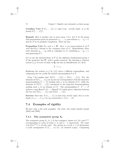**Corollary 7.3.2** *If*  $(C_1, \ldots, C_k)$  *is rigid* (*resp. strictly rigid*)*, so is the family*  $(C_1^{\alpha}, \ldots, C_k^{\alpha})$ *.* 

**Remark:** Here is another way to prove prop. 7.3.1. Let F be the group with presentation given by generators  $x_1, \ldots, x_k$  and relation  $x_1 \cdots x_k = 1$ , and let  $\hat{F}$  be its profinite completion. Then one has:

**Proposition 7.3.3** *For each*  $\alpha \in \hat{\mathbf{Z}}^*$ *, there is an automorphism*  $\theta$  *of*  $\hat{F}$ *such that*  $\theta(x_i)$  *belongs to the conjugacy class of*  $x_i^{\alpha}$ . (Equivalently, there exist elements  $y_1, \ldots, y_k$  with  $y_i$  conjugate to  $x_i^{\alpha}$ , satisfying  $y_1 \cdots y_k = 1$ , and generating  $\hat{F}$ .)

Let us use the interpretation of  $\hat{F}$  as the algebraic fundamental group  $\pi$ of the projective line  $P_1$  with k points removed. By choosing a coherent system  $\{z_n\}$  of roots of unity in  $\bar{\mathbf{Q}}$ , one has an identification (cf. §6.3)

$$
\hat{F} \stackrel{\sim}{\longrightarrow} \pi.
$$

Replacing the system  $\{z_n\}$  by  $\{z_n^{\alpha}\}\$  gives a different isomorphism, and composing the two yields the desired automorphism  $\theta$  of  $\ddot{F}$ .

Prop. 7.3.3 implies that  $|\Sigma(C_1^{\alpha}, \ldots, C_k^{\alpha})| = |\Sigma(C_1, \ldots, C_k)|$ . For, the elements of  $\Sigma(C_1,\ldots,C_k)$  are in one-one correspondence with the surjective homomorphisms  $\hat{F} \longrightarrow G$  sending each  $x_i$  to an element of  $C_i$ , while the elements of  $\Sigma(C_1^{\alpha}, \ldots, C_k^{\alpha})$  correspond to the surjective homomorphisms sending each  $x_i$  to an element in  $C_i^{\alpha}$ . The automorphism  $\theta : \hat{F} \longrightarrow \hat{F}$ induces a map  $\text{Hom}(\hat{F}, G) \longrightarrow \text{Hom}(\hat{F}, G)$  which gives a bijection between the two sets  $\Sigma(C_1,\ldots,C_k)$  and  $\Sigma(C_1^{\alpha},\ldots,C_k^{\alpha}).$ 

**Exercise:** Show that, if  $(C_1, \ldots, C_k)$  is rigid (resp. strictly rigid), then so is the family  $(C_{\sigma(1)},...,C_{\sigma(k)})$  for any permutation  $\sigma$  of  $\{1,...,k\}$ .

# **7.4 Examples of rigidity**

We give only a few such examples. For more, the reader should consult [Ma3] and [MM].

## **7.4.1 The symmetric group** *S<sup>n</sup>*

The symmetric group  $S_n$   $(n \geq 3)$  has conjugacy classes nA, 2A, and  $C^{(1)}$ corresponding to cycles of order  $n$ , 2, and  $n - 1$  respectively. The triple  $(nA, 2A, C^{(1)})$  *is strictly rigid.* For, giving an n-cycle  $x \in nA$  determines a cyclic arrangement of  $\{1,\ldots,n\}$  (i.e., an oriented *n*-gon). Composing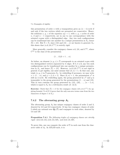#### 7.4. Examples of rigidity 73

this permutation of order n with a transposition gives an  $(n - 1)$ -cycle if and only if the two vertices which are permuted are consecutive. Hence, the solutions x, y, z of the equation  $xyz = 1$ , with x, y, z cycles of order  $n, 2$  and  $n - 1$  respectively, are in one to one correspondence with the oriented  $n$ -gons with a distinguished edge. Any two such configurations can be tranformed into one another by a unique permutation in  $S_n$ ; hence  $|\Sigma| = |G|$ . But  $\Sigma = \Sigma$ , since (12) and (12...n) are known to generate  $S_n$ ; this shows that  $(nA, 2A, C^{(1)})$  is strictly rigid.

More generally, consider the conjugacy classes  $nA$ , 2A, and  $C^{(k)}$ , where  $C^{(k)}$  is the class of the permutation

$$
(1 \ldots k)(k+1 \ldots n).
$$

As before, an element  $(x, y, z) \in \overline{\Sigma}$  corresponds to an oriented *n*-gon with two distinguished vertices separated by  $k$  edges. If  $k \neq n/2$ , any two such configurations can be transformed into one another by a unique permutation in  $S_n$ , and hence  $|\bar{\Sigma}| = |G|$ . However,  $(nA, 2A, C^{(k)})$  is not rigid in general; to get rigidity, one must assume that  $(k, n) = 1$ . In that case, any triple  $(x, y, z)$  in  $\Sigma$  generates  $S_n$ : by relabelling if necessary, we may write  $x = (1 \dots n)$ , and  $y = (1, k + 1)$ . Since  $(k, n) = 1$ , the permutation  $x<sup>k</sup>$  is still an *n*-cycle. By relabelling again, the group generated by  $x^k$  and y is isomorphic to the group generated by the permutations  $(1 \dots n)$  and  $(12)$ . This in turn contains the group generated by  $(12)$ ,  $(23)$ , ...,  $(n-1,n)$ , which is equal to  $S_n$  by a well-known result (cf. §4.4).

**Exercise:** Check that  $|\bar{\Sigma}| = n!$  for the conjugacy classes  $(2A, nA, C^{(1)})$  by applying formula 7.3 of §7.3 (prove that the only non-zero terms come from the two characters of degree 1 of  $S_n$ ).

### **7.4.2 The alternating group** *A***<sup>5</sup>**

The alternating group  $A_5$  has unique conjugacy classes of order 2 and 3, denoted by 2A and 3A respectively. It has two conjugacy classes of order denoted by  $2A$  and  $3A$  respectively. It has two conjugacy classes of order 5 which are rational over  $\mathbf{Q}(\sqrt{5})$  and conjugate to each other, denoted by 5A and 5B.

**Proposition 7.4.1** *The following triples of conjugacy classes are strictly rigid* : (2A, 3A, 5A),(2A, 5A, 5B)*, and* (3A, 5A, 5B)*.*

To prove this, one can compute the order of  $\overline{\Sigma}$  in each case from the character table of  $A_5$ . In ATLAS style, it is: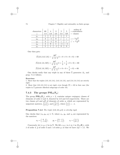| characters | 60 | 4  | 3  | 5                         | 5                         | orders of<br>$\leftarrow$ centralizers                                                     |
|------------|----|----|----|---------------------------|---------------------------|--------------------------------------------------------------------------------------------|
|            | 1Α | 2A | 3A | 5Α                        | 5B                        | classes                                                                                    |
| $\chi_1$   |    |    |    |                           |                           |                                                                                            |
| $\chi_2$   | 3  |    |    | $\widetilde{\mathcal{Z}}$ | $\widetilde{\mathcal{Z}}$ | 75<br>$\begin{array}{c} z = \frac{1 + \sqrt{5}}{2} \\ \sqrt{2} = 1 - \sqrt{5} \end{array}$ |
| $\chi_3$   | 3  |    |    | $\boldsymbol{z}$          | $\boldsymbol{z}$          | $\widetilde{\mathcal{Z}}$                                                                  |
| $\chi_4$   |    |    |    |                           |                           |                                                                                            |
| $\chi_5$   | 5  |    |    |                           |                           |                                                                                            |

One then gets:

$$
|\bar{\Sigma}(2A, 3A, 5A)| = \frac{60^2}{4 \cdot 3 \cdot 5} (1 + 0 + 0 + 0 + 0) = 60
$$
  

$$
|\bar{\Sigma}(2A, 5A, 5B)| = \frac{60^2}{4 \cdot 5 \cdot 5} (1 + \frac{1}{3} + \frac{1}{3} + 0 + 0) = 60
$$
  

$$
|\bar{\Sigma}(3A, 5A, 5B)| = \frac{60^2}{3 \cdot 5 \cdot 5} (1 + 0 + 0 + \frac{1}{4} + 0) = 60.
$$

One checks easily that any triple in any of these  $\bar{\Sigma}$  generates  $A_5$ , and prop. 7.4.1 follows.

#### **Exercises:**

1. Show that the triples  $(3A, 3A, 5A), (3A, 5A, 5A),$  and  $(5A, 5A, 5A)$  are strictly rigid.

2. Show that  $(2A, 2A, 5A)$  is not rigid, even though  $|\Sigma| = 60$  in that case (the triples in  $\bar{\Sigma}$  generate dihedral subgroups of order 10).

# **7.4.3** The groups  $PSL_2(F_p)$

The group  $PSL_2(\mathbf{F}_p)$ , with  $p > 2$ , contains unique conjugacy classes of elements of order 2 and 3, denoted by 2A and 3A respectively. There are two classes  $pA$  and  $pB$  of elements of order  $p$ , which are represented by unipotent matrices,  $\begin{pmatrix} 1 & 1 \\ 0 & 1 \end{pmatrix}$ , and  $\begin{pmatrix} 1 & \alpha \\ 0 & 1 \end{pmatrix}$ , where  $\begin{pmatrix} \alpha \\ p \end{pmatrix} = -1$ .

#### **Proposition 7.4.2** *The triple* (2A, 3A, pA) *is strictly rigid.*

One checks that  $(x_0, y_0, z_0) \in \Sigma$ , where  $x_0, y_0$ , and  $z_0$  are represented by the matrices:

$$
x_0 = \begin{pmatrix} 0 & 1 \\ -1 & 0 \end{pmatrix}, \qquad y_0 = \begin{pmatrix} 0 & -1 \\ 1 & -1 \end{pmatrix}, \qquad z_0 = \begin{pmatrix} 1 & 1 \\ 0 & 1 \end{pmatrix}
$$

Conversely, let  $(x, y, z)$  be in  $\overline{\Sigma}$ . We lift  $x, y, z$  to  $\tilde{x}, \tilde{y}, \tilde{z}$  in  $SL_2(\mathbf{F}_p)$ , with  $\tilde{x}$  of order 4,  $\tilde{y}$  of order 3 and  $\tilde{z}$  of order p, so that we have  $\tilde{x}\tilde{y}\tilde{z} = \pm 1$ . We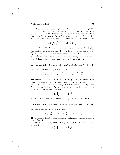#### 7.4. Examples of rigidity 75

view these elements as automorphisms of the vector space  $V = \mathbf{F}_p \oplus \mathbf{F}_p$ . Let D be the line of V fixed by  $\tilde{z}$  and let  $D' = \tilde{x}D$  be its transform by  $\tilde{x}$ . One has  $D' \neq D$  (otherwise,  $\pm \tilde{x}\tilde{z}$  would not be of order 3). After conjugating by an element of  $SL_2(\mathbf{F}_p)$ , we may assume that D (resp. D') is the first (resp. the second) axis of coordinates in  $V$ . This means that we have

$$
\tilde{x} = \begin{pmatrix} 0 & -\lambda \\ \lambda^{-1} & 0 \end{pmatrix}
$$
, and  $\tilde{z} = \begin{pmatrix} 1 & \mu \\ 0 & 1 \end{pmatrix}$ ,

for some  $\lambda, \mu$  in  $\mathbf{F}_p^*$ . By assumption, z belongs to the class pA of  $\begin{pmatrix} 1 & 1 \\ 0 & 1 \end{pmatrix}$ ; this implies that  $\mu$  is a square. If we write  $\mu = \nu^2$ , and conjugate by  $(\nu \ 0$  $\begin{pmatrix} \nu & 0 \\ 0 & \nu^{-1} \end{pmatrix}$ , we see that we can further assume that  $\mu = 1$ , i.e., that  $\tilde{z} = z_0$ . Moreover, since  $\tilde{z}\tilde{x}$  is of order 3 or 6, we have  $\text{Tr}(\tilde{z}\tilde{x}) = \pm 1$ . This gives  $\lambda = \pm 1$ , hence  $x = x_0$ ,  $y = y_0$ , and  $z = z_0$ , which proves the result.

**Proposition 7.4.3** *The triple*  $(2A, pA, pB)$  *is strictly rigid if*  $\left(\frac{2}{p}\right) = -1$ *.* 

One checks that  $(x_0, y_0, z_0)$  is in  $\Sigma$ , where

$$
x_0 = \begin{pmatrix} 1 & -1 \\ 2 & -1 \end{pmatrix}, \qquad y_0 = \begin{pmatrix} 1 & 1 \\ 0 & 1 \end{pmatrix}, \qquad z_0 = \begin{pmatrix} 1 & 0 \\ -2 & 1 \end{pmatrix}.
$$

The element  $z_0$  is conjugate to  $\left(\begin{array}{c} 1 & 2 \\ 0 & 1 \end{array}\right)$ ; since  $\left(\begin{array}{c} 2 \\ p \end{array}\right) = -1$ , it belongs to the class pB. Conversely, let  $(x, y, z) \in \overline{\Sigma}$ . We lift  $(x, y, z)$  as above to  $(\tilde{x}, \tilde{y}, \tilde{z})$ with  $\tilde{x}$  of order 4 and  $\tilde{y}$ ,  $\tilde{z}$  of order p. Let D be the line fixed by  $\tilde{y}$  and  $D^{'}$  be the line fixed by  $\tilde{z}$ . We may again assume that these lines are the standard coordinate lines, and that

$$
\tilde{y} = \begin{pmatrix} 1 & 1 \\ 0 & 1 \end{pmatrix}, \qquad \tilde{z} = \begin{pmatrix} 1 & 0 \\ \lambda & 1 \end{pmatrix}.
$$

Writing that  $\tilde{y}\tilde{z}$  has order 4, one gets Tr  $(\tilde{y}\tilde{z}) = 0$ , i.e.  $\lambda = -2$ , q.e.d.

**Proposition 7.4.4** *The triple*  $(3A, pA, pB)$  *is strictly rigid if*  $\left(\frac{3}{p}\right) = -1$ *.* 

One checks that  $(x_0, y_0, z_0)$  is in  $\Sigma$ , where

$$
x_0 = \begin{pmatrix} 1 & -1 \\ 3 & -2 \end{pmatrix}
$$
,  $y_0 = \begin{pmatrix} 1 & 1 \\ 0 & 1 \end{pmatrix}$ ,  $z_0 = \begin{pmatrix} 1 & 0 \\ -3 & 1 \end{pmatrix}$ .

The assumption that 3 is not a quadratic residue mod  $p$  ensures that  $z_0$  is in the class pB.

Conversely, let  $(x, y, z)$  be in  $\Sigma$ . Using liftings  $(\tilde{x}, \tilde{y}, \tilde{z})$  as above, one may assume that

$$
\tilde{y} = \begin{pmatrix} 1 & 1 \\ 0 & 1 \end{pmatrix}, \qquad \tilde{z} = \begin{pmatrix} 1 & 0 \\ \lambda & 1 \end{pmatrix}.
$$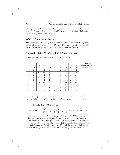Writing that  $\tilde{y}\tilde{z}$  has order 3 or 6, one gets Tr  $(\tilde{y}\tilde{z}) = \pm 1$ , i.e.,  $\lambda = -1$  or  $\lambda = -3$ . However,  $\lambda = -1$  is impossible (it would imply that  $\tilde{z}$  belongs to the class  $pA$ ); hence  $\lambda = -3$ , q.e.d.

### **7.4.4** The group  $SL_2(F_8)$

The simple group  $G = SL_2(\mathbf{F}_8)$ , of order 504, has three distinct conjugacy classes of order 9, denoted 9A, 9B, and 9C which are rational over the cubic field  $\mathbf{Q}(\cos \frac{2\pi}{9})$  and conjugate to each other (cf. [ATLAS], p.6).

**Proposition 7.4.5** *The triple* (9A, 9B, 9C) *is strictly rigid.*

|          | 504 | 8    | 9        | 7                   | 7                                 | 7                   | 9                      | 9                                 | 9                      | orders of<br>$\leftarrow$ centralizers |
|----------|-----|------|----------|---------------------|-----------------------------------|---------------------|------------------------|-----------------------------------|------------------------|----------------------------------------|
|          | 1Α  | 2Α   | 3А       | 7Α                  | 7B                                | 7C                  | 9A                     | 9B                                | 9C                     | classes<br>$\leftarrow$                |
| $\chi_1$ |     |      | 1        |                     |                                   | 1                   | 1                      | 1                                 | 1                      |                                        |
| $\chi_2$ | 7   | $-1$ | $-2$     | $\theta$            | $\theta$                          | $\theta$            | 1                      | 1                                 |                        |                                        |
| $\chi_3$ | 7   | $-1$ | 1        | $\overline{0}$      | $\theta$                          | $\theta$            | $\boldsymbol{x}$       | $\boldsymbol{x}$                  | 77<br>$\boldsymbol{x}$ |                                        |
| $\chi_4$ | 7   | $-1$ | 1        | $\overline{0}$      | $\theta$                          | $\theta$            | 77<br>$\boldsymbol{x}$ | $\boldsymbol{x}$                  | $\boldsymbol{x}$       |                                        |
| $\chi_5$ | 7   | $-1$ | 1        | $\overline{0}$      | $\theta$                          | $\theta$            | $\boldsymbol{x}$       | $^{\tau\tau}$<br>$\boldsymbol{x}$ | $\boldsymbol{x}$       |                                        |
| $\chi_6$ | 8   | 0    | $-1$     |                     |                                   | 1                   | $-1$                   | $-1$                              |                        |                                        |
| $\chi_7$ | 9   | 1    | $\theta$ | $\mathcal{Y}$       | $\boldsymbol{y}$                  | 77<br>$\mathcal{Y}$ | $\theta$               | $\theta$                          | $\theta$               |                                        |
| $\chi_8$ | 9   | 1    | $\theta$ | 77<br>$\mathcal{Y}$ | $\boldsymbol{y}$                  | $\mathcal{Y}$       | $\Omega$               | $\Omega$                          | $\Omega$               |                                        |
| $\chi_9$ | 9   | 1    | $\theta$ | $\mathcal{Y}$       | $^{\tau\tau}$<br>$\boldsymbol{y}$ | $\mathcal{Y}$       | $\theta$               | $\theta$                          | $\theta$               |                                        |
|          |     |      |          |                     |                                   |                     |                        |                                   |                        |                                        |

The character table for G is ( [ATLAS], *loc. cit.*):

$$
x = -2 \cos \frac{2\pi}{9}, \qquad x^{'} = -2 \cos \frac{4\pi}{9}, \qquad x^{''} = -2 \cos \frac{8\pi}{9}, \qquad xx^{'}x^{''} = 1;
$$
  

$$
y = 2 \cos \frac{2\pi}{7}, \qquad y^{'} = 2 \cos \frac{4\pi}{7}, \qquad y^{''} = 2 \cos \frac{8\pi}{7}, \qquad yy^{'}y^{''} = 1.
$$

Using formula (7.3) of §7.3, one gets:

$$
|\bar{\Sigma}(9A, 9B, 9C)| = \frac{504^2}{9^3} \left(1 + \frac{1}{7} + \frac{1}{7} + \frac{1}{7} + \frac{1}{7} - \frac{1}{8} + 0 + 0 + 0\right) = 504 = |G|.
$$

Hence it suffices to show that any  $(x, y, z) \in \overline{\Sigma}$  generates G to prove rigidity.

The only maximal subgroups of G containing an element of order 9 are the normalizers of the non-split Cartan subgroups, which are isomorphic to a semi-direct product  $C_2(\mathbf{F}_{64}^*)$ <sub>1</sub>, where  $(\mathbf{F}_{64}^*)$ <sub>1</sub> denotes the multiplicative group of elements of  $\mathbf{F}_{64}$  of norm 1 over  $\mathbf{F}_8$ , and the non-trivial element of  $C_2$  acts on  $(\mathbf{F}_{64}^*)_1$  by  $x \mapsto x^{-1}$ ; they are dihedral groups of order 18.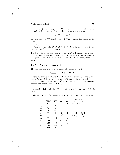If  $(x, y, z) \in \overline{\Sigma}$  does not generate G, then x, y, z are contained in such a normalizer. It follows that (by interchanging  $y$  and  $z$  if necessary):

$$
y = x^{\pm 2}
$$
,  $z = x^{\pm 4}$ .

But then  $xyz = x^{1 \pm 2 \pm 4}$  is not equal to 1. This contradiction completes the proof.

#### **Exercises:**

1. Show that the triples  $(7A, 7A, 7A), (2A, 3A, 7A), (2A, 3A, 9A)$  are strictly rigid, and that  $(7A, 7B, 7C)$  is not rigid.

2. Let  $G \cdot 3$  be the automorphism group of  $SL_2(\mathbf{F}_8)$ , cf. [ATLAS], p. 6. Show that the triple  $(9A, 3B, 3C)$  is strictly rigid; the class 9A is rational (as a class of G · 3); the classes 3B and 3C are rational over  $\mathbf{Q}(\sqrt{-3})$ , and conjugate to each domain over  $\mathbf{Q}(\sqrt{-3})$ , and conjugate to each other.

#### **7.4.5** The Janko group  $J_1$

The sporadic simple group  $J_1$  discovered by Janko is of order

$$
175560 = 2^3 \cdot 3 \cdot 5 \cdot 7 \cdot 11 \cdot 19.
$$

It contains conjugacy classes 2A, 5A, and 5B of orders 2, 5, and 5; the classes 5A and 5B are rational over  $\mathbf{Q}(\sqrt{5})$  and conjugate to each other. If  $x \in 5A$ , then  $x^{-1} \in 5A$ , but  $x^2, x^3 \in 5B$ ; these conjugacy classes behave like the ones of the same order in  $A_5$ .

**Proposition 7.4.6** (cf. [Ho]) *The triple* (2A, 5A, 5B) *is rigid but not strictly rigid.*

The relevant part of the character table of  $G = J_1$  is (cf. [ATLAS], p.36):

|             | 175560 | 120  | 30                        | 30               | orders of<br>$\leftarrow$ centralizers |
|-------------|--------|------|---------------------------|------------------|----------------------------------------|
|             | 1Α     | 2Α   | 5A                        | 5B               | $\leftarrow$ classes                   |
| $\chi_1$    |        |      |                           | 1                |                                        |
| $\chi_4$    | 76     | 4    | 1                         | 1                |                                        |
| $\chi_5$    | 76     | $-4$ | 1                         | 1                |                                        |
| $\chi_6$    | 77     | 5    | $\overline{2}$            | $\overline{2}$   | $z = (1 + \sqrt{5})/2$                 |
| $\chi_7$    | 77     | $-3$ | $-z$                      | $-z$             | $z' = (1 - \sqrt{5})/2$                |
| $\chi_{8}$  | 77     | $-3$ | $-z$                      | $-z$             |                                        |
| $\chi_{12}$ | 133    | 5    | $\overline{-}2$           | $-2$             |                                        |
| $\chi_{13}$ | 133    | $-3$ | $\widetilde{\mathcal{Z}}$ | $\boldsymbol{z}$ |                                        |
| $X_{14}$    | 133    | $-3$ | $\boldsymbol{z}$          | $\tilde{z}$      |                                        |
| $\chi_{15}$ | 209    |      | $^{\rm -1}$               | -1               |                                        |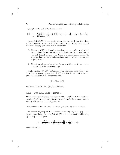Using formula (7.3) of §7.3, one obtains:

$$
\begin{array}{rcl}\n|\bar{\Sigma}| & = & \frac{175560^2}{120 \cdot 30^2} \left(1 + \frac{4}{76} - \frac{4}{76} + \frac{20}{77} + \frac{3}{77} + \frac{3}{77} + \frac{20}{133} + \frac{3}{133} + \frac{3}{133} + \frac{1}{209}\right) \\
 & = & 438900 = \frac{5}{2}|G|. \n\end{array}
$$

Hence  $(2A, 5A, 5B)$  is not strictly rigid. One can check that the triples in  $\Sigma - \Sigma$  generate subroups of  $J_1$  isomorphic to  $A_5$ . It is known that  $J_1$ contains 2 conjugacy classes of such subgroups:

- 1. There are  $|J_1|/(2|A_5|)$  conjugate subgroups isomorphic to  $A_5$  which are contained in the centralizer of an involution in  $J_1$ . (Indeed,  $J_1$ was first defined abstractly by Janko as a simple group having the property that it contains an involution whose centralizer is isomorphic to  $\{\pm 1\} \times A_5$ .
- 2. There is a conjugacy class of  $A_5$ -subgroups which are self-normalizing: there are  $|J_1|/|A_5|$  such subgroups.

In all, one has  $\frac{3}{2}|J_1|/|A_5|$  subgroups of  $J_1$  which are isomorphic to  $A_5$ . Since the conjugacy classes  $(2A, 5A, 5B)$  are rigid in  $A_5$ , each subgroup gives  $|A_5|$  solutions in  $\Sigma$ . This shows that

$$
|\bar{\Sigma} - \Sigma| = \frac{3}{2}|J_1|,
$$

and hence  $|\Sigma| = |J_1|$ , i.e.,  $(2A, 5A, 5B)$  is rigid.

### **7.4.6 The Hall-Janko group** *J***<sup>2</sup>**

This sporadic simple group has order  $604800 = 2^73^35^27$ . It has a rational class 7A of order 7, and two conjugate classes 5A and 5B of order 5, rational class *(A* of order *(*, and two conjugate class *(* $\sqrt{5}$ *)*, see e.g. [ATLAS], pp.42-43.

**Proposition 7.4.7** (cf. [Ho]) *The triple* (5A, 5B, 7A) *is strictly rigid.*

No proper subgroup of  $J_2$  has order divisible by 35, hence  $|\Sigma| = |\Sigma|$ . On the other hand, formula (7.3) of  $\S7.3$  and the character table of  $J_2$ ( [ATLAS], *loc.cit.*) give:

$$
|\bar{\Sigma}| = \frac{|J_2|^2}{300^2 \cdot 7} (1 + \frac{16}{36} - \frac{25}{90} - \frac{25}{160} + \frac{9}{288}) = |J_2|.
$$

Hence the result.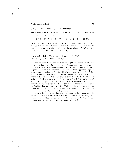#### **7.4.7 The Fischer-Griess Monster** *M*

The Fischer-Griess group  $M$ , known as the "Monster", is the largest of the sporadic simple groups. Its order is

$$
2^{46} \cdot 3^{20} \cdot 5^9 \cdot 7^6 \cdot 11^2 \cdot 13^3 \cdot 17 \cdot 19 \cdot 23 \cdot 29 \cdot 31 \cdot 41 \cdot 47 \cdot 59 \cdot 71,
$$

yet it has only 194 conjugacy classes. Its character table is therefore of manageable size (in fact, it was computed before  $M$  had been shown to exist). The group M contains rational conjugacy classes  $2A$ ,  $3B$ , and  $29A$ of exponent 2, 3, and 29 (ATLAS notation).

#### **Proposition 7.4.8** (Thompson, cf. [Hunt], [Ma3], [Th2]) *The triple* (2A, 3B, 29A) *is strictly rigid.*

It can be verified by computer that  $|\bar{\Sigma}| = |M|$ . To prove rigidity, one must show that  $\Sigma = \Sigma$ , i.e., no  $(x, y, z) \in \Sigma$  generate a proper subgroup of  $M$ . Unfortunately, the maximal subgroups of  $M$  are not completely known at present. Hence, one must take the following indirect approach: suppose there is a proper subgroup G in M which is generated by  $(x, y, z) \in \Sigma$ . Let S be a simple quotient of G. Clearly the elements  $x, y, z$  have non-trivial image in S, and hence the order of S is divisible by  $2 \cdot 3 \cdot 29$ . Hence, it suffices to check that there are no simple groups S with  $2 \cdot 3 \cdot 29$  dividing  $|S|$ and |S| dividing  $|M|$ , such that S is generated by elements x, y, z coming from the conjugacy classes 2A, 3B, and 29A in the Monster. This is done by checking that no group in the list of finite simple groups satisfies these properties. One is thus forced to invoke the classification theorem for the finite simple groups to prove rigidity in this case.

[Although the proof of the classification theorem had been announced, described and advertised since 1980, it was not complete at the time the present course was given (1988): the part on "quasi-thin" groups was lacking. This gap was only filled in 2004 by M. Aschbacher and S. D. Smith [AS].]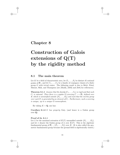# **Chapter 8**

# **Construction of Galois extensions of Q(T) by the rigidity method**

# **8.1 The main theorem**

Let K be a field of characteristic zero, let  $P_1, \ldots, P_k$  be distinct K-rational points of  $P_1$ , and let  $C_1, \ldots, C_k$  be a family of conjugacy classes of a finite group  $G$  with trivial center. The following result is due to Belyi, Fried, Matzat, Shih, and Thompson (see [Ma23], [MM] and [Se8] for references).

**Theorem 8.1.1** *Assume that the family*  $(C_1, \ldots, C_k)$  *is rigid and that each*  $C_i$  *is rational. Then there is a regular* G-covering  $C \longrightarrow \mathbf{P}_1$  defined over K which is unramified outside  $\{P_1,\ldots,P_k\}$  and such that the inertia group *over each*  $P_i$  *is generated by an element of*  $C_i$ *. Furthermore, such a covering is unique, up to a unique* G*-isomorphism.*

By taking  $K = \mathbf{Q}$ , one has:

**Corollary 8.1.2** G has property  $Gal_{\mathcal{T}}$  (and hence is a Galois group over **Q**).

#### **Proof of th. 8.1.1**

Let L be the maximal extension of  $\bar{K}(T)$  unramified outside  $\{P_1,\ldots,P_k\}$ , and let  $\pi$  denote the Galois group of L over  $\bar{K}(T)$ . This is the algebraic fundamental group of  $P_1 - \{P_1, \ldots, P_k\}$  over  $\overline{K}$ . (It is also called the geometric fundamental group because the ground field is algebraically closed.)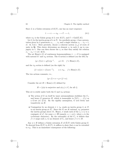Since L is a Galois extension of  $K(T)$ , one has an exact sequence:

$$
1 \longrightarrow \pi \longrightarrow \pi_K \longrightarrow \Gamma \longrightarrow 1,\tag{8.1}
$$

where  $\pi_K$  is the Galois group of L over  $K(T)$ , and  $\Gamma = \text{Gal}(K/K)$ .

Let  $I_i$  be the inertia group of  $\pi$  at  $P_i$ . As a profinite group,  $\pi$  has a presentation given by k generators  $x_1, \ldots, x_k$  and a single relation  $x_1 \cdots x_k = 1$ , cf. th. 6.3.1. More precisely, choose a coherent system  $\{z_\alpha\}$  of roots of unity in **Q**. This choice determines an element  $x_i$  in each  $I_i$  up to conjugacy in  $\pi$ . One can then choose the  $x_i$  so that they satisfy the relation  $x_1 \cdots x_k = 1$  (cf. §6.3).

The set Hom $(\pi, G)$  of continuous homomorphisms  $\pi \longrightarrow G$  is equipped with natural G- and  $\pi_K$ -actions. The G-action is defined (on the left) by

$$
(g * f)(x) = gf(x)g^{-1}, \qquad g \in G, \quad f \in \text{Hom}(\pi, G),
$$

and the  $\pi_K$ -action is defined (on the right) by

$$
(f * \alpha)(x) = f(\alpha x \alpha^{-1}), \qquad \alpha \in \pi_K, \quad f \in \text{Hom}(\pi, G).
$$

The two actions commute, i.e.,

$$
(g * f) * \alpha = g * (f * \alpha).
$$

Consider the set  $H \subset \text{Hom}(\pi, G)$  defined by:

$$
H = \{ \phi | \phi \text{ is surjective and } \phi(x_i) \in C_i \text{ for all } i \}.
$$

This set is stable under both the G and  $\pi_K$ -actions:

- The action of G on itself by inner automorphisms stabilizes the  $C_i$ , and hence G preserves H, which is isomorphic to  $\Sigma(C_1,\ldots,C_k)$  as a G-set (cf. §7.3). By the rigidity assumption, G acts freely and transitively on H.
- Conjugation by an element  $\sigma \in \pi_K$  sends an inertia group  $I_i$  at  $P_i$ to an inertia group at  $P_i^{\sigma}$ . Since the  $P_i$  are K-rational,  $\pi_K$  permutes the inertia groups above  $P_i$ . Hence,  $\sigma$  sends each of the  $x_i \in I_i$  to a conjugate of  $x_i^{\alpha}$ , for some  $\alpha \in \hat{\mathbf{Z}}$  (namely,  $\alpha = \chi(\sigma)$ , where  $\chi$  is the cyclotomic character). By the rationality of the  $C_i$ , it follows that  $f * \sigma$  maps each  $x_i$  to an element of  $C_i$ , and hence  $f * \sigma \in H$ .

Any  $\phi \in H$  defines a Galois extension E of  $K(T)$  with Galois group G. To descend from  $K(T)$  to  $K(T)$ , it suffices to show that  $\phi$  can be extended to  $\pi_K$ . This is an immediate consequence of the following: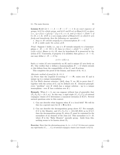**Lemma 8.1.3** *Let*  $1 \longrightarrow A \longrightarrow B \longrightarrow C \longrightarrow 1$  *be an exact sequence of groups, let* G *be a finite group, and let* G *and* B *act on* Hom(A, G) *as above*  $(i.e., (g * f)(x) = gf(x)g^{-1}$  *if*  $g ∈ G$ *,*  $x ∈ A$ *, and*  $(f * b)(x) = f(bxb^{-1})$  *if*  $b \in B$ ,  $x \in A$ ). If H is a non-empty subset of  $Hom(A, G)$  on which G acts *freely and transitively, then the following are equivalent* :

*1.* Any  $\phi \in H$  extends uniquely to a homomorphism  $B \longrightarrow G$ .

*2.* H *is stable under the action of* B*.*

*Proof* : Suppose 1 holds, i.e., any  $\phi \in H$  extends uniquely to a homomorphism  $\psi : B \longrightarrow G$ . If  $b \in B$ , then  $(\phi * b)(x) = \phi(bxb^{-1}) = \psi(bxb^{-1}) =$  $(\psi(b) * \phi)(x)$ . Hence  $\phi * b \in H$ , since by hypothesis H is preserved by the action of G. Conversely, if property 2 is satisfied, then given  $\phi: A \longrightarrow G$ , one may define  $\psi : B \longrightarrow G$  by:

$$
\phi * b = \psi(b) * \phi.
$$

Such a  $\psi$  exists (G acts transitively on H) and is unique (G acts freely on H). One verifies that  $\psi$  defines a homomorphism  $B \longrightarrow G$  which extends  $\phi$ ; this follows from the compatibility of the  $G$ - and  $B$ -actions.

This completes the proof of the lemma, and hence of th. 8.1.1.

#### *Alternate method of proof for th. 8.1.1*:

(a) Prove that the required G-covering  $C \longrightarrow \mathbf{P}_1$  exists over  $\overline{K}$  and is unique up to a unique isomorphism.

(b) Use Weil's descent criterion (  $[Se3]$ , chap. V, no. 20) to prove that  $C$ , together with the action of  $G$ , can be defined over  $K$ . (General principle: every "problem" over  $K$  which has a unique solution - up to a unique isomorphism - over  $K$  has a solution over  $K$ .)

**Remark:** When  $k = 3$ , one can suppose without loss of generality that  $(P_1, P_2, P_3) = (0, 1, \infty)$ . In this way, a rigid triple  $(C_1, C_2, C_3)$  of rational conjugacy classes of G determines a canonical extension of  $K(T)$ . Several natural questions arise in this context:

- 1. Can one describe what happens when  $K$  is a local field? We will do this (in a special case) for  $K = \mathbf{R}$  in §8.4.
- 2. Can one describe the decomposition group above  $P_i$ ? For example, if G is the Monster, and  $(C_1, C_2, C_3) = (2A, 3B, 29A)$  as in §7.4.7, then the decomposition group  $D_1$  above  $P_1$  must be contained in the normalizer of an element of the class 2A. This normalizer is  $2 \times B$ , where  $B$  is the "Baby Monster" sporadic group. Aside from this, nothing seems to be known about  $D_1$ .

**Exercise:** Show that the alternating group  $A_n$   $(n = 4, 5, 6, 7, 8)$  does not contain any rigid family  $(C_1,\ldots,C_k)$  of rational conjugacy classes (use remark 1 of §7.3).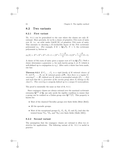# **8.2 Two variants**

#### **8.2.1 First variant**

Th. 8.1.1 can be generalized to the case where the classes are only Krational. More precisely, let us fix a choice of primitive Nth roots of unity over K, i.e., an orbit under  $Gal(K/K)$  of primitive Nth roots of unity. This amounts to choosing a K-irreducible factor of the  $N<sup>th</sup>$  cyclotomic This amounts to choosing a **A**-irreducible factor of the *N*th cyclotomic polynomial  $\phi_N$ . (For example, if  $K = \mathbf{Q}(\sqrt{5})$ ,  $N = 5$ , the cyclotomic polynomial  $\phi_5$  factors as

$$
\phi_5(X) = X^4 + X^3 + X^2 + X + 1 = (X^2 + \frac{1 + \sqrt{5}}{2}X + 1)(X^2 + \frac{1 - \sqrt{5}}{2}X + 1).
$$

A choice of 5th roots of unity gives a square root of 5 in  $\mathbf{Q}(\sqrt{5})$ .) Such a choice determines a generator  $x_i$  for each inertia group  $I_i$  at  $P_i$  (which is well-defined up to conjugation in  $\pi_K$ ). After such a choice has been made, one has:

**Theorem 8.2.1** *If*  $C_1, \ldots, C_k$  *is a rigid family of* K-rational classes of G, and  $P_1, \ldots, P_k$  are K-rational points of  $\mathbf{P}_1$ , then there is a regular G*covering*  $C \longrightarrow \mathbf{P}_1$  *defined over* K *which is unramified outside*  $\{P_1, \ldots, P_k\}$ and such that the  $x_i$ -generator of the inertia group above  $P_i$  belongs to the *class* Ci*. This covering is uniquely defined up to a unique* G*-isomorphism.*

The proof is essentially the same as that of th. 8.1.1.

Since conjugacy classes are always rational over the maximal cyclotomic extension **Q**cycl of **Q**, one only needs the rigidity condition to ensure that a group can be realized as a Galois group over  $\mathbf{Q}^{\text{cycl}}(T)$ . This property is known for:

- Most of the classical Chevalley groups over finite fields (Belyi [Be2]);
- All the sporadic groups;
- Most of the exceptional groups  $G_2$ ,  $F_4$ ,  $E_6$ ,  $E_7$  and  $E_8$  (and also the twisted forms  ${}^2G_2$ ,  ${}^3D_4$ , and  ${}^2E_6$ ) over finite fields (Malle [Ml1]).

#### **8.2.2 Second variant**

The assumption that the conjugacy classes are rational is often too restrictive for applications. The following variant of th. 8.1.1 is useful in practice: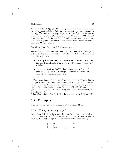#### 8.3. Examples 85

**Theorem 8.2.2** *Let*  $(C_1, C_2, C_3)$  *be a rigid triple of conjugacy classes of*  $G$ *,* with  $C_1$  *rational and*  $C_2$  *and*  $C_3$  *conjugate to each other over a quadratic field*  $\mathbf{Q}(\sqrt{D})$ *.* Let  $P_1 \in \mathbf{P}_1(\mathbf{Q})$ *,*  $P_2, P_3 \in \mathbf{P}_1(\mathbf{Q}(\sqrt{D}))$ *, with*  $P_2$  *and*  $P_3$ *conjugate to each other. Then there is a regular* G*-extension of* **Q**(T) *which is ramified only at* P1*,* P<sup>2</sup> *and* P3*, and such that the canonical generator of the inertia group at*  $P_i$  (which is well-defined after a choice of roots of unity over  $\mathbf{Q}(\sqrt{D})$  *is in C<sub>i</sub>*.

**Corollary 8.2.3** *The group G* has property  $Gal_{T}$ .

The proof of th. 8.2.2 is similar to that of th. 8.1.1. The set  $H \subset \text{Hom}(\pi, G)$ is defined in the same way. The key point is to prove that  $H$  is still preserved under the action of  $\pi_{\mathbf{Q}}$ .

- If  $\sigma \in \pi_{\mathbf{Q}}$  is trivial on  $\mathbf{Q}$ ( √ D), then  $\sigma$  fixes  $P_1$ ,  $P_2$  and  $P_3$ , and also fixes the choice of roots of unity over  $\mathbf{Q}(\sqrt{D})$ . Hence  $\sigma$  preserves H, as before.
- If  $\sigma$  is not trivial on  $\mathbf{Q}$ ( √ D), then  $\sigma$  interchanges  $P_2$  and  $P_3$ , and hence  $I_2$  and  $I_3$ . But  $\sigma$  also changes the choice of roots of unity, and these effects compensate each other.

#### **Remarks:**

1. The assumptions on the number of classes and the field of rationality are only put to simplify the proof, and because this is the principal case which occurs in practice. In fact, the same conclusion holds in greater generality, e.g., if  $\{C_1,\ldots,C_k\}$  is stable under the action of  $Gal(\bar{\mathbf{Q}}/\mathbf{Q})$ , and the map  $\{P_1,\ldots,P_k\} \longrightarrow \{C_1,\ldots,C_k\}$  defined by  $P_i \mapsto C_i$  is an anti-isomorphism of  $Gal(\mathbf{Q}/\mathbf{Q})$ -sets.

2. For other variants of th. 8.1.1 using the braid group, see [Fr1] and [MM].

# **8.3 Examples**

Here also, we only give a few examples. For more, see [MM].

#### **8.3.1 The symmetric group** *S<sup>n</sup>*

Recall from §7.4.1 that the symmetric group  $S_n$  has a rigid triple of conjugacy classes  $(nA, 2A, C^{(k)})$ , when  $(k, n) = 1$ . The covering  $P_1 \longrightarrow P_1$ given by  $X \mapsto X^k(X-1)^{n-k}$  has ramification of this type, namely:

$$
\begin{cases}\n t = \infty & nA \\
 t = 0 & C^{(k)} \\
 t = k^k (k - n)^{n-k} n^{-n} & 2A\n\end{cases}
$$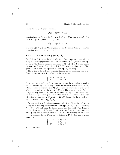Hence, by th. 8.1.1, the polynomial

$$
X^k(X-1)^{n-k} - T = 0
$$

has Galois group  $S_n$  over  $\mathbf{Q}(T)$  when  $(k, n) = 1$ . Note that when  $(k, n) =$  $l \neq 1$ , the splitting field of the equation

$$
X^k(X-1)^{n-k} - T = 0
$$

contains  $\mathbf{Q}(T^{1/l}, \mu_l)$ . Its Galois group is strictly smaller than  $S_n$  (and the extension is not regular when  $l > 2$ .

#### **8.3.2 The alternating group** *A*<sup>5</sup>

Recall from §7.4.2 that the triple  $(2A, 3A, 5A)$  of conjugacy classes in  $A_5$ recall from  $\S$ *i*.4.2 that the triple  $(ZA, SA, 3A)$  or conjugacy classes in  $A_5$  is rigid. The conjugacy class 5A is rational over  $\mathbf{Q}(\sqrt{5})$  (but not over  $\mathbf{Q}$ ). By th. 8.2.1, there is a regular extension of  $\mathbf{Q}(\sqrt{5})(T)$  with Galois group  $A_5$ , and ramification of type  $(2A, 3A, 5A)$ . The corresponding curve C has  $A_5$ , and ramincation of type  $(A, 3A, 3A)$ . The correspondition is not isomorphic to  $P_1$  over  $Q(\sqrt{5})$ , cf. [Se5]).

The action of  $A_5$  on C can be realized geometrically as follows (loc. cit.). Consider the variety in  $P_4$  defined by the equations:

$$
\begin{cases}\nX_1 + \dots + X_5 = 0 \\
X_1^2 + \dots + X_5^2 = 0.\n\end{cases}
$$

Since the first equation is linear, this variety can be viewed as a quadric hypersurface in **P**3. The variety of lines on this quadric is a curve over **Q** my persurface in  $\mathbf{P}_3$ . The variety of lines on this quadric is a curve over  $\mathbf{Q}$  which becomes isomorphic over  $\mathbf{Q}(\sqrt{5})$  to the disjoint union of two curves which becomes isomorphic over  $\mathbf{Q}(\sqrt{5})$  to the disjoint union of two curves of genus 0 which are conjugate over  $\mathbf{Q}(\sqrt{5})$ . The obvious action of  $S_5$  on V (permuting coordinates) induces an action of  $S_5$  on this curve. The extension of  $\mathbf{Q}(T)$  corresponding to this curve is a non-regular extension extension of  $\mathbf{Q}(I)$  corresponding to this curve is a non-regular extension with Galois group  $S_5$ , which contains  $\mathbf{Q}(\sqrt{5})$ ; it can also be viewed as a with Galois group  $s_5$ , which come<br>regular  $A_5$ -extension of  $\mathbf{Q}(\sqrt{5})(T)$ .

An  $A_5$ -covering of  $P_1$  with ramification  $(2A, 5A, 5B)$  can be realized by taking an  $S_5$ -covering with ramification of type  $(2, 4, 5)$  (e.g., the covering  $X \mapsto X^5 - X^4$  and using the double group trick (cf. §4.5). This defines a regular  $A_5$ -covering of  $P_1$  over **Q**, with two ramification points conjugate over  $\mathbf{Q}(\sqrt{5})$ ; this is the situation of th. 8.2.2. This covering can be shown to be isomorphic to the Bring curve, defined in  $P_4$  by the homogeneous equations

$$
\begin{cases}\nX_1 + \cdots + X_5 = 0, \\
X_1^2 + \cdots + X_5^2 = 0, \\
X_1^3 + \cdots + X_5^3 = 0,\n\end{cases}
$$

cf. §4.4, exercise.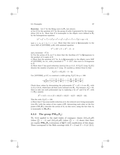**Exercise:** Let C be the Bring curve in  $P_4$  (see above).

a) Let  $E$  be the quotient of  $C$  by the group of order 2 generated by the transposition (12) in  $S_5$ . Show that E is isomorphic to the elliptic curve defined in  $P_2$ by the homogeneous equation:

$$
(x3 + y3 + z3) + (x2y + x2z + y2z + y2x + z2x + z2y) + xyz = 0,
$$

(put  $x = x_3$ ,  $y = x_4 = z = x_5$ ). Show that this curve is **Q**-isomorphic to the curve  $50E$  of [ANVERS], p.86, with minimal equation

$$
Y^2 + XY + Y = X^3 - X - 2
$$

and *j*-invariant  $-5^2/2$ .

b) Use the action of  $S_5$  on C to show that the Jacobian of C is **Q**-isogenous to the product of 4 copies of  $E$ .

c) Show that the quotient of C by  $A_4$  is **Q**-isomorphic to the elliptic curve 50H of [ANVERS], *loc.cit.*, with j-invariant  $2^{-15} \cdot 5 \cdot 211^3$ ; this curve is 15-isogenous to E.

d) Show that C has good reduction (mod p) for  $p \neq 2, 5$ . If  $N_p(C)$  (resp  $N_p(E)$ ) denotes the number of points on  $C$  (resp.  $E$ ) modulo  $p$ , deduce from b) that

$$
N_p(C) = 4N_p(E) - 3 - 3p.
$$

Use [ANVERS], p.117, to construct a table giving  $N_p(C)$  for  $p < 100$ :

|                             |  |  | $p \mid 7 \mid 11 \mid 13 \mid  \mid 83 \mid 89 \mid 97$ |  |
|-----------------------------|--|--|----------------------------------------------------------|--|
| $N_p(C)$ 0 24 30  120 30 90 |  |  |                                                          |  |

Check these values by determining the polynomials  $X^5 + aX + b$  over  $\mathbf{F}_p$ , with  $(a, b) \neq (0, 0)$ , which have all their roots rational over  $\mathbf{F}_p$ . For instance, if  $p = 83$ , there is only one such polynomial (up to replacing a by  $at^4$  and b by  $bt^5$ , with  $t \in \mathbf{F}_p^*$ , namely:

$$
X^{5} + 11X + 11 \equiv (X + 33)(X + 13)(X - 4)(X - 20)(X - 22).
$$

This fits with  $N_p(C) = 120$ .

e) Show that  $C$  has semi-stable reduction at 2, the reduced curve being isomorphic (over  $\mathbf{F}_4$ ) with the union of two copies of  $\mathbf{P}_1$  intersecting each other at the five points of  $\mathbf{P}_1(\mathbf{F}_4)$ ; describe the action of  $S_5$  on this curve, using the fact that  $A_5$ is isomorphic to  $SL_2(\mathbf{F}_4)$ .

## **8.3.3** The group  $PSL_2(F_p)$

Th. 8.2.2 applied to the rigid triples of conjugacy classes  $(2A, pA, pB)$ (when  $(\frac{2}{p}) = -1$ ) and  $(3A, pA, pB)$  (when  $(\frac{3}{p}) = -1$ ) shows that there are regular  $PSL_2(\mathbf{F}_p)$ -extensions of  $\mathbf{Q}(T)$  with ramification of this shape. These correspond to the Shih coverings with  $N = 2$  and  $N = 3$  (cf. §5.1).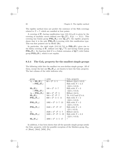The rigidity method does not predict the existence of the Shih coverings related to  $N = 7$ , which are ramified at four points.

A covering of  $P_1$  having ramification type  $(2A, 3A, pA)$  is given by the A covering of  $\Gamma_1$  having ramification type  $(2A, 3A, pA)$  is given by the covering of modular curves defined over  $\mathbf{Q}(\sqrt{p^*})$ ,  $X(p) \longrightarrow X(1)$ . This covering or modular curves defined over  $\mathbf{Q}(\sqrt{p}), \ \mathbf{A}(p) \to \mathbf{A}(1)$ . This covering has Galois group  $\mathbf{PSL}_2(\mathbf{F}_p)$  over  $\mathbf{Q}(\sqrt{p^*})$ ; the rigidity property shows that it is the only  $PSL_2(\mathbf{F}_p)$ -covering with this ramification type. This was first pointed out by Hecke [He].

In particular, the rigid triple  $(2A, 3A, 7A)$  in  $PSL_2(\mathbf{F}_7)$  gives rise to the Klein covering of **P**<sub>1</sub> defined over  $\mathbf{Q}(\sqrt{-7})$  and having Galois group **PSL**<sub>2</sub>( $\mathbf{F}_7$ ). Its function field E is a Galois extension of  $\mathbf{Q}(T)$  with Galois group  $\mathbf{PGL}_2(\mathbf{F}_7)$ , which is not regular.

#### **8.3.4 The Gal***<sup>T</sup>* **property for the smallest simple groups**

The following table lists the smallest ten non-abelian simple groups. All of them, except the last one  $SL_2(F_{16})$ , are known to have the  $Gal<sub>T</sub>$  property. The last column of the table indicates why.

| group                                        | order                                   | $Gal_T$ property              |
|----------------------------------------------|-----------------------------------------|-------------------------------|
| $A_5 = \mathbf{SL}_2(\mathbf{F}_4)$          | $60 = 2^2 \cdot 3 \cdot 5$              | Hilbert $(\S_{\S4.5, 8.3.2})$ |
| $=$ $\mathbf{PSL}_2(\mathbf{F}_5)$           |                                         | Shih with $N = 2, 3$          |
|                                              |                                         | $(\S\$ {5.1}, 8.3.3);         |
| $SL_3(F_2)$                                  | $168 = 2^3 \cdot 3 \cdot 7$             | Shih with $N=3$               |
| $=$ $\mathbf{PSL}_2(\mathbf{F}_7)$           |                                         | $(\S\$ {5.1}, 8.3.3);         |
| $A_6 = \textbf{PSL}_2(\mathbf{F}_9)$         | $360 = 2^3 \cdot 3^2 \cdot 5$           | Hilbert $(\S4.5);$            |
| $\operatorname{\mathbf{SL}}_2(\mathbf{F}_8)$ | $504 = 2^3 \cdot 3^2 \cdot 7$           | Th. $8.2.2$ and $\S7.4.4$ ;   |
| $\mathbf{PSL}_2(\mathbf{F}_{11})$            | $660 = 2^2 \cdot 3 \cdot 5 \cdot 11$    | Shih with $N=2$               |
|                                              |                                         | $(\S\$ {5.1}, 8.3.3);         |
| $PSL_2(F_{13})$                              | $1092 = 2^2 \cdot 3 \cdot 7 \cdot 13$   | Shih with $N=2$               |
|                                              |                                         | $(\S\$ {5.1}, 8.3.3);         |
| $PSL_2(F_{17})$                              | $2448 = 2^4 \cdot 3^2 \cdot 17$         | Shih with $N=3$               |
|                                              |                                         | $(\S 5.1, 8.3.3);$            |
| $A_7$                                        | $2520 = 2^3 \cdot 3^2 \cdot 5 \cdot 7$  | Hilbert $(\S4.5);$            |
| $PSL_2(F_{19})$                              | $3420 = 2^2 \cdot 3^2 \cdot 5 \cdot 19$ | Shih with $N = 2, 3$          |
|                                              |                                         | $(\S\$ {5.1}, 8.3.3);         |
| $\mathbf{SL}_2(\mathbf{F}_{16})$             | $4080 = 2^4 \cdot 3 \cdot 5 \cdot 17$   |                               |

In addition, it has been shown that all the sporadic simple groups satisfy the Gal<sub>T</sub> property, with the possible exception of the Mathieu group  $M_{23}$ , cf. [Hunt], [Ma3], [MM], [Pa].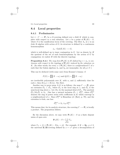# **8.4 Local properties**

#### **8.4.1 Preliminaries**

Let  $\pi: C \longrightarrow \mathbf{P}_1$  be a G-covering defined over a field K which is complete with respect to a real valuation. Let x be a point of  $P_1(K) - S$ , where S is the ramification locus of the covering. The fiber  $\Lambda_x$  at x is an  $\acute{e}t$  algebra with action of G; its structure is defined by a continuous homomorphism

$$
\phi_x : \operatorname{Gal}(\bar{K}/K) \longrightarrow G,
$$

which is well-defined up to inner conjugation in  $G$ . Let us denote by  $H$ the quotient of the set of such homomorphisms by the action of  $G$  by conjugation; we endow  $H$  with the discrete topology.

**Proposition 8.4.1** *The map from*  $\mathbf{P}_1(K)$  *to* H *defined by*  $x \mapsto \phi_x$  *is continuous with respect to the topology of*  $P_1(K)$  *induced by the valuation on* K. (In other words, for every  $x \in \mathbf{P}_1(K)$ , there is a neigbourhood U of x such that the Galois algebras  $\Lambda_x$  and  $\Lambda_y$  are isomorphic, for all  $y \in U$ .)

This can be deduced (with some care) from Krasner's lemma: if

$$
P(X) = \prod (X - \alpha_i) \text{ and } Q(X) = \prod (X - \alpha_i)
$$

are irreducible polynomials over K, with  $\alpha_i$  and  $\beta_i$  sufficiently close for each *i*, then  $K(\alpha_1) = K(\beta_1)$ . See [Sa1].

Another way to prove prop. 8.4.1 is as follows: the map  $C \longrightarrow \mathbf{P}_1$  gives an extension  $\mathcal{O}_x \subset \tilde{\mathcal{O}}_x$ , where  $\mathcal{O}_x$  is the local ring at x, and  $\tilde{\mathcal{O}}_x$  is the semi-local ring above x. Let  $\mathcal{M}_x$  be the maximal ideal of  $\mathcal{O}_x$ . The quotient  $\tilde{\mathcal{O}}_x/\mathcal{M}_x\tilde{\mathcal{O}}_x$  is  $\Lambda_x$ . One has a natural inclusion  $\mathcal{O}_x \subset \mathcal{O}_x^{\text{hol}}$ , where  $\mathcal{O}_x^{\text{hol}}$ denotes the ring of power series with coefficients in  $K$  which converge in a neighbourhood of x. Since  $\mathcal{O}_x^{\text{hol}}$  is Henselian (cf. [Ra1], p. 79), and the extension is étale, one has:

$$
\tilde{\mathcal{O}}_{x}^{\text{hol}} \simeq \Lambda_x \otimes_K \mathcal{O}_{x}^{\text{hol}}.
$$

This means that, for its analytic structure, the covering  $C \longrightarrow \mathbf{P}_1$  is locally a product. The proposition follows.

By the discussion above, we may write  $P_1(K) - S$  as a finite disjoint union of open sets:

$$
\mathbf{P}_1(K) - S = \bigcup_{\phi \in H} U_{\phi},
$$

where  $U_{\phi} = \{t \in \mathbf{P}_1(K) - S | \phi_t = \phi\}$ . For example, if  $K = \mathbf{Q}_p$ ,  $p \neq 2$ , the universal **Z**/2**Z**-covering defined by  $x \mapsto x^2$  gives a decomposition of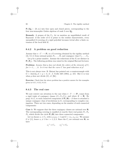$\mathbf{P}_1(\mathbf{Q}_p) - \{0,\infty\}$  into four open and closed pieces, corresponding to the four non-isomorphic Galois algebras of rank 2 over  $\mathbf{Q}_p$ .

**Remark:** A propos of the  $U_{\phi}$ , let us mention an unpublished result of Raynaud: if the order of  $G$  is prime to the residue characteristic, every unramified G-covering of a rigid polydisk becomes trivial after a finite extension of the local field K.

#### **8.4.2 A problem on good reduction**

Assume that  $\pi: C \longrightarrow \mathbf{P}_1$  is a G-covering obtained by the rigidity method (th. 8.1.1) from rational points  $P_1, \ldots, P_k$  and conjugacy class  $C_1, \ldots, C_k$ .

Let p be a prime number. Assume the reductions of the  $P_i$  are distinct in  $\mathbf{P}_1(\mathbf{F}_p)$ . The following problem was raised in the original Harvard lectures:

**Problem:** *Assume that* p *does not divide the orders of the elements of* C<sup>i</sup> *for*  $i = 1, \ldots, k$ *. Is it true that the curve* C *has good reduction at* p?

This is not always true: B. Matzat has pointed out a counterexample with  $G = \text{Aut}(S_6), k = p = 3$ , cf. J. Crelle 349 (1984), p. 215. But it is true when  $p$  does not divide  $|G|$ , cf. [Bc].

**Exercise:** Check that the above problem has a positive answer for the examples given in 8.3.1, 8.3.2, 8.3.3.

#### **8.4.3 The real case**

We now restrict our attention to the case when  $\pi: Y \longrightarrow \mathbf{P}_1$  comes from a rigid triple of conjugacy classes  $(C_1, C_2, C_3)$ , and where  $K = \mathbf{R}$ . By prop. 8.4.1, to each connected component of  $P_1(R) - S$  there is attached a unique conjugacy class of involutions in  $G$ , corresponding to complex conjugation. There are two cases, depending on the number of such connected components:

**Case 1:** We suppose that the three conjugacy classes are rational over **R**. The corresponding covering is ramified at exactly three real points  $P_1$ ,  $P_2$ ,  $P_3$ , which divide the circle  $P_1(R)$  into three connected components.

Let us choose  $x_i \in C_i$ , with  $x_1x_2x_3 = 1$  and  $G = \langle x_1, x_2, x_3 \rangle$ . We assume  $G \neq \{1\}$ , hence  $x_i \neq 1$  for  $i = 1, 2, 3$ . Since the  $C_i$  are rational over **R**, we have

$$
x_1^{-1} \in C_1, \qquad x_2^{-1} \in C_2.
$$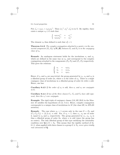Put  $x_3' = x_2 x_1 = x_2 x_3 x_2^{-1}$ . Then  $(x_1^{-1}, x_2^{-1}, x_3')$  is in  $\Sigma$ . By rigidity, there exists a unique  $s_3 \in G$  such that:

$$
\begin{cases}\ns_3x_1s_3^{-1} = x_1^{-1} \\
s_3x_2s_3^{-1} = x_2^{-1}\n\end{cases}
$$

The element  $s_3$  thus defined is such that  $s_3^2 = 1$ .

**Theorem 8.4.2** *The complex conjugation attached to a point* x *in the connected component*  $(P_1, P_2)$  *of*  $P_1(R)$  *between*  $P_1$  *and*  $P_2$  *is in the conjugacy class of* s3*.*

**Remark:** An analogous statement holds for the involutions  $s_1$  and  $s_2$ , which are defined in the same way as  $s_3$ , and correspond to the complex conjugations attached to the components  $(P_2, P_3)$  and  $(P_1, P_3)$  respectively. This gives the relations:

$$
\begin{cases}\n s_1 &=& s_3 x_2, \\
 s_2 &=& s_1 x_3, \\
 s_3 &=& s_2 x_1.\n\end{cases}
$$

Hence, if  $s_1$  and  $s_3$  are non-trivial, the group generated by  $s_1$ ,  $s_3$  and  $x_2$  is a dihedral group of order  $2n$ , where n is the order of  $x_2$ . There is a single conjugacy class of involutions in a dihedral group of order  $2n$  with n odd. Hence, one has:

**Corollary 8.4.3** If the order of  $x_2$  is odd, then  $s_1$  and  $s_3$  are conjugate *in* G*.*

**Corollary 8.4.4** If two of the three classes  $C_1$ ,  $C_2$  and  $C_3$  have odd expo*nent, then the* si*'s are conjugate.*

**Example:** The rigid triple of conjugacy classes  $(2A, 3B, 29A)$  in the Monster M satisfies the hypotheses of cor. 8.4.4. Hence, complex conjugation corresponds to a unique class of involutions in  $M$  (the class  $2B$ , in ATLAS notation).

**Remark:** The case where  $s_3 = 1$  occurs only in the case  $G = D_n$  and  $(C_1, C_2, C_3) = (2, 2, n)$ , *n* odd. For, if  $s_3 = 1$ , then  $x_1, x_2$  are of order 2, equal to  $s_2$  and  $s_1$  respectively. The group generated by  $x_1, x_2, x_3$  is thus a dihedral group of order  $2n$ , where n is odd (since the group has no center). The only dihedral group of this type satisfying the rationality condition over **Q** is  $G = S_3$ . This means that the rigidity method of th.  $8.1.1$ , when applied with three classes to a group  $G \neq S_3$ , *never gives totally real extensions* of **Q**.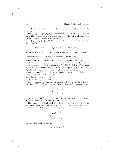**Case 2:**  $C_1$  is rational over **R**, and  $C_2$  and  $C_3$  are complex conjugate to each other.

Then,  $P_1(R) - \{P_1, P_2, P_3\}$  is connected, since  $P_2$  and  $P_3$  do not lie on  $P_1(R)$ . Hence there is a single conjugacy class of involutions in G corresponding to complex conjugation.

Let  $(x_1, x_2, x_3) \in \Sigma(C_1, C_2, C_3)$ . By rigidity, there is a unique involution s in G such that:

$$
sx_1s^{-1} = x_2^{-1}, \qquad sx_2s^{-1} = x_1^{-1}, \qquad sx_3s^{-1} = x_3^{-1}.
$$

**Theorem 8.4.5** *Complex conjugation belongs to the conjugacy class of* s*.*

Observe that in this case  $s \neq 1$ . (Otherwise G would be cyclic.)

**Proof of th. 8.4.2 and th. 8.4.5** Choose a base point x on  $\mathbf{P}_1(\mathbf{R})$ , (lying on the connected component  $(P_1, P_2)$  in case 1) and let  $\pi$  denote as before the geometric fundamental group of  $X = \mathbf{P}_1 - \{P_1, P_2, P_3\}$ , with base point x. Let  $\alpha_1, \alpha_2, \alpha_3$  denote the generators of  $\pi$  corresponding to paths around  $P_1$ ,  $P_2$ , and  $P_3$  respectively. The complex conjugation  $\sigma_X$  on X acts as a symmetry around the equator on the Riemann sphere. Hence  $\sigma_X$  acts on the generators  $\alpha_1, \alpha_2, \alpha_3$  of  $\pi$  by:

**Case 1:**  $\alpha_1 \mapsto \alpha_1^{-1}$ ,  $\alpha_2 \mapsto \alpha_2^{-1}$ <br> **Case 2:**  $\alpha_2 \mapsto \alpha_3^{-1}$ ,  $\alpha_3 \mapsto \alpha_2^{-1}$ 

Let  $\sigma_Y$  denote the complex conjugation acting on Y. Since the Gcovering  $\pi: Y \longrightarrow X$  is defined over **R**, the following diagram commutes:

| Y                | $\sigma_{\rm V}$ | Y              |
|------------------|------------------|----------------|
| $\pi \downarrow$ |                  | $\perp \pi$    |
| $\boldsymbol{X}$ | $\sigma_X$       | $\overline{X}$ |

Since  $\sigma_X x = x$ , the fiber  $Y_x$  of Y over x is preserved by  $\sigma_Y$ . The action of  $\sigma_Y$  on  $Y_x$  commutes with the action of G.

The group G acts freely and transitively on  $Y_x$ , so a choice of  $y \in Y_x$ determines a surjective map  $\phi_y : \pi_1(X; x) \longrightarrow G$ . Because the action of  $\sigma$ commutes with that of  $G$ , the following diagram is commutative:

$$
\begin{array}{ccc}\n\pi_1(X;x) & \xrightarrow{\phi_y} & G \\
\sigma_X \downarrow & & || \\
\pi_1(X;x) & \xrightarrow{\phi_{\sigma_y}} & G\n\end{array}
$$

On the other hand, we also have:

$$
\phi_{\sigma y} = \sigma_Y \phi_y \sigma_Y^{-1}.
$$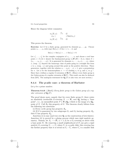Hence the diagram below commutes:

$$
\begin{array}{ccc}\n\pi_1(X;x) & \xrightarrow{\phi_y} & G \\
\sigma_X \downarrow & & \downarrow \text{Inn}(\sigma_{Y,t}) \\
\pi_1(X;x) & \xrightarrow{\phi_{\sigma_y}} & G.\n\end{array}
$$

This proves the theorem.

**Exercise:** Let G be a finite group, generated by elements  $q_1, \ldots, q_k$ . Choose points  $z_1, \ldots, z_k$  with (say)  $\text{Re}(z_i) = 0$  for  $i = 1, \ldots k$ , and

Im(z1) <sup>&</sup>gt; Im(z2) >...> Im(zk) <sup>&</sup>gt; <sup>0</sup>.

Let  $z'_1, \ldots, z'_k$  be the complex conjugates of  $z_1, \ldots, z_k$  and choose a real base point  $x < 0$ ; let  $\pi$  denote the fundamental group  $\pi_1(\mathbf{P}_1(\mathbf{C}) - S; x)$ , where  $S =$  $\{z_1, \ldots, z_k, z_1', \ldots, z_k\}$ . It is generated by elements  $x_1, \ldots, x_k, x_1', \ldots, x_k'$ , where  $x_i$  (resp.  $x'_i$ ) denotes the homotopy class of paths going in a straight line from x to  $z_i$  (resp.  $z_i$ ) and going around this point in the positive direction. These generators, together with the relation  $x_1 \cdots x_k x_k \cdots x_1 = 1$ , give a presentation for  $\pi$ . Let  $\phi$  be the homomorphism  $\pi \longrightarrow G$  sending  $x_i$  to  $g_i$  and  $x'_i$  to  $g_i^{-1}$ . Show that  $\phi$  defines a regular *G*-extension of **R**(*T*). (Hence every finite group is the Galois group of a regular extension of  $\mathbf{R}(T)$ . This result can also be deduced from [KN]. The analogous statement for  $\mathbf{Q}_p(T)$  is also true; see next section.)

### **8.4.4 The** *p***-adic case: a theorem of Harbater**

Let  $p$  be a prime number.

**Theorem 8.4.6** ( [Harb]) *Every finite group is the Galois group of a regular extension of*  $\mathbf{Q}_p(T)$ *.* 

The proof shows more, namely that for every finite group  $G$ , there exists an absolutely irreducible G-covering  $X \longrightarrow \mathbf{P}_1$  over  $\mathbf{Q}_p$  having a "base point", i.e., an unramified point  $P \in \mathbf{P}_1(\mathbf{Q}_p)$  which is the image of a  $\mathbf{Q}_p$ point of X. Call  $R_p$  this property of G. The theorem clearly follows from the following two assertions:

(i) Every cyclic group has property  $R_p$ .

(ii) If G is generated by two subgroups  $G_1$  and  $G_2$  having property  $R_p$ , then G has property  $R_p$ .

Assertion (i) is easy (and true over **Q**, as the construction of §4.2 shows). Assertion (ii) is proved by a gluing process which uses rigid analytic geometry. Namely, let  $X_i \longrightarrow \mathbf{P}_1$  ( $i = 1, 2$ ) be a  $G_i$ -covering as above with a base point  $P_i$ . By removing a small neighborhood of  $P_i$  one gets a rigid analytic  $G_i$ -covering  $V_i \longrightarrow U_i$  where  $U_i$  is a p-adic disk; this covering has the further property that it is trivial on  $U_i - U'_i$  where  $U'_i$  is a smaller disk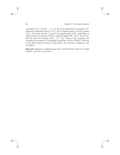contained in  $U_i$ . Let  $W_i \longrightarrow U_i$  be the (non-connected) G-covering of  $U_i$ defined by induction from  $G_i$  to G. (It is a disjoint union of  $|G/G_i|$  copies of  $V_i$ .) One then embeds  $U_1$  and  $U_2$  as disjoint disks in  $P_1$ , and defines a rigid analytic G-covering of  $P_1$  by gluing together  $W_1$  on  $U_1$ ,  $W_2$  on  $U_2$ , and the trivial G-covering on  $P_1 - U_1' - U_2'$ . If this is done properly, the resulting  $G$ -covering  $W$  is absolutely irreducible. By the "GAGA" theorem in the rigid analytic setting (cf. [Ki], [Kö]), this covering is algebraic, and (ii) follows.

**Remark:** Harbater's original proof uses "formal GAGA" instead of "rigid GAGA"; the idea is the same.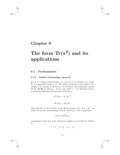## **Chapter 9**

# **The form Tr(x2) and its applications**

## **9.1 Preliminaries**

### **9.1.1 Galois cohomology (mod 2)**

Let K be a field of characteristic  $\neq 2$ , and let  $G_K$  be  $Gal(K_s/K)$ , where  $K<sub>s</sub>$  is a separable closure of K. We will be interested in the Galois cohomology of  $K$  modulo 2; for brevity, let us denote the cohomology groups  $H^{i}(G_K, \mathbf{Z}/2\mathbf{Z})$  by  $H^{i}(G_K)$ . In the case where  $i = 1, 2$ , Kummer theory provides the following interpretation of  $H^i(G_K)$ :

$$
H1(GK) = K*/K*2,
$$
  

$$
H2(GK) = \text{Br}_2(K),
$$

where  $Br_2(K)$  is the 2-torsion in the Brauer group of K. If  $a \in K^*$ , we denote by (a) the corresponding element of  $H^1(G_K)$ . The cup-product

$$
(a)(b) \in H^2(G_K)
$$

corresponds to the class of the quaternion algebra  $(a, b)$  in  $Br_2(K)$  defined by

$$
i^2 = a
$$
,  $j^2 = b$ ,  $ij = -ji$ .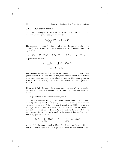### **9.1.2 Quadratic forms**

Let f be a non-degenerate quadratic form over K of rank  $n \geq 1$ . By choosing an appropriate basis, we may write

$$
f = \sum_{i=1}^{n} a_i X_i^2, \quad \text{with } a_i \in K^*.
$$

The element  $(1 + (a_1))(1 + (a_2)) \cdots (1 + (a_n))$  in the cohomology ring  $H^*(G_K)$  depends only on f. One defines the *i*-th Stiefel-Whitney class  $w_i$  of f by:

$$
(1 + (a_1)) \cdots (1 + (a_n)) = 1 + w_1 + w_2 + \cdots + w_n, \qquad w_i \in H^i(G_K).
$$

In particular, we have:

$$
w_1 = \sum (a_i) = (\prod a_i) = (\text{Disc}(f))
$$

$$
w_2 = \sum_{i < j} (a_i)(a_j).
$$

The cohomology class  $w_2$  is known as the Hasse (or Witt) invariant of the quadratic form  $f$ . If  $K$  is a number field, then  $f$  is completely characterized by its rank, signature, and the invariants  $w_1$  and  $w_2$ . (The same is true for arbitrary K, when  $n \leq 3$ .) The following results can be found in [Sch], pp. 211-216.

**Theorem 9.1.1** (Springer) *If two quadratic forms over* K *become equivalent over an odd-degree extension* K *of* K*, then they are already equivalent over* K*.*

(For a generalization to hermitian forms, see [BL].)

Let us now consider  $K(T)$ , where T is an indeterminate. If v is a place of  $K(T)$  which is trivial on K and  $\neq \infty$ , there is a unique uniformizing parameter  $\pi_v$  at v which is monic and irreducible in  $K[T]$ . Let  $K(v)$  =  $K[T]/(\pi_v)$  denote the residue field at v, and let  $a \mapsto \overline{a}$  be the reduction map  $K[T] \longrightarrow K(v)$ . If  $f = \sum_{i=1}^{n} a_i X_i^2$  is a quadratic form over  $K(T)$ , we may assume (since the  $a_i$  can be modified by squares) that  $v(a_i) = 0$  or 1. The  $K(v)$ -quadratic forms:

$$
\partial_1(f) = \sum_{v(a_i)=0} \overline{a_i} X_i^2, \qquad \partial_2(f) = \sum_{v(a_i)=1} \overline{(a_i/\pi_v)} X_i^2
$$

are called the first and second *residues* of f. One shows (cf. e.g. [Sch], p. 209) that their images in the *Witt group*  $W(K(v))$  do not depend on the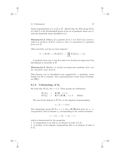chosen representation of f as  $\sum a_i X_i^2$ . (Recall that the Witt group  $W(L)$ of a field  $L$  is the Grothendieck group of the set of quadratic forms over  $L$ , with the hyperbolic forms identified to 0.)

**Theorem 9.1.2** (Milnor) *If a quadratic form* f *over* K(T) *has second residue* 0 *at all places of*  $K(T)$  *except*  $\infty$ *, then* f *is equivalent to a quadratic form over* K*.*

(More precisely, one has an exact sequence:

$$
0 \longrightarrow W(K) \longrightarrow W(K(T)) \longrightarrow \coprod_{v \neq \infty} W(K(v)) \longrightarrow 0.)
$$

A quadratic form over a ring R is said to be *strictly non-degenerate* if its discriminant is invertible in R.

**Theorem 9.1.3** (Harder) *A strictly non-degenerate quadratic form over the ring*  $K[T]$  *comes from*  $K$ *.* 

This theorem can be formulated more suggestively: a quadratic vector bundle over  $A<sup>1</sup>$  is constant. (For a generalization to other types of bundles, see [RR].)

## 9.1.3 Cohomology of  $S_n$

We need only  $H^i(S_n)$  for  $i = 1, 2$ . These groups are well-known:

$$
H1(Sn) = \mathbf{Z}/2\mathbf{Z}, \quad n \ge 2,
$$
  
\n
$$
H2(Sn) = \mathbf{Z}/2 \oplus \mathbf{Z}/2\mathbf{Z}, \quad n \ge 4
$$
 (Schur).

The non-trivial element in  $H^1(S_n)$  is the signature homomorphism

$$
\epsilon_n:S_n\longrightarrow \{\pm 1\}.
$$

The cohomology group  $H^2(S_n)$ ,  $n \geq 4$ , has a **Z**/2**Z**-basis given by  $\epsilon_n \cdot \epsilon_n$ (cup-product) and an element  $s_n$  corresponding to the central extension

$$
1 \longrightarrow C_2 \longrightarrow \tilde{S}_n \longrightarrow S_n \longrightarrow 1
$$

which is characterized by the properties:

1. A transposition in  $S_n$  lifts to an element of order 2 in  $S_n$ .

2. A product of two disjoint transpositions lifts to an element of order 4 in  $S_n$ .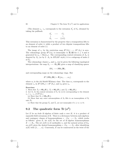(The element  $\epsilon_n \cdot \epsilon_n$  corresponds to the extension  $S'_n$  of  $S_n$  obtained by taking the pullback:



This extension is characterized by the property that a transposition lifts to an element of order 4, while a product of two disjoint transpositions lifts to an element of order 2.)

The image of  $\epsilon_n$  by the restriction map  $H^1(S_n) \longrightarrow H^1(A_n)$  is zero. The cohomology group  $H^2(A_n)$  is isomorphic to **Z**/2**Z** for  $n \geq 4$  and is generated by  $a_n = \text{Res}(s_n)$ . The corresponding central extension of  $A_n$  is denoted by  $\tilde{A}_n$  (or by  $2 \cdot A_n$  in ATLAS' style); it is a subgroup of index 2 of  $S_n$ .

The cohomology classes  $\epsilon_n$  and  $s_n$  can be given the following topological interpretations: the map  $S_n \longrightarrow \mathbf{O}_n(\mathbf{R})$  gives a map of classifying spaces

$$
BS_n \longrightarrow B\mathbf{O}_n(\mathbf{R}),
$$

and corresponding maps on the cohomology rings. But

$$
H^*(B\mathbf{O}_n(\mathbf{R})) = \mathbf{F}_2[w_1, \ldots, w_n],
$$

where  $w_i$  is the *i*th Stiefel-Whitney class. The class  $w_1$  corresponds to the element  $\epsilon_n$  in  $H^1(BS_n) = H^1(S_n)$ , and  $w_2$  gives  $s_n$ .

#### **Exercises:**

1. Show that  $\tilde{A}_4 \simeq \mathbf{SL}_2(\mathbf{F}_3)$ ,  $\tilde{A}_5 \simeq \mathbf{SL}_2(\mathbf{F}_5)$ , and  $\tilde{A}_6 \simeq \mathbf{SL}_2(\mathbf{F}_9)$ .

2. Let  $\hat{S}_n$  be the central extension of  $S_n$  by  $\{\pm 1\}$  corresponding to the element  $s_n + \epsilon_n \cdot \epsilon_n$  of  $H^2(S_n)$ .

(a) Show that  $\tilde{S}_4 \simeq \mathbf{GL}_2(\mathbf{F}_3)$ .

(b) Show that any outer automorphism of  $S_6$  lifts to an isomorphism of  $\hat{S}_6$ onto  $S_6$ .

(c) Show that the groups  $\hat{S}_n$  and  $\tilde{S}_n$  are not isomorphic if  $n \geq 4$ ,  $n \neq 6$ .

## **9.2** The quadratic form  $\text{Tr}(x^2)$

Let E be an étale K-algebra of finite rank n over  $K$ ; it is a product of separable field extensions of  $K$ . There is a dictionary between such algebras and conjugacy classes of homomorphisms  $e: G_K \longrightarrow S_n$ , which works as follows: given E, let  $\phi(E)$  be the set of K-algebra homomorphisms  $E \longrightarrow K_s$ . The set  $\phi(E)$  is of cardinality n, and the natural action of  $G_K$ on  $\phi(E)$  gives the desired homomorphism  $e: G_K \longrightarrow S_n$ , after identifying  $\phi(E)$  with  $\{1,\ldots,n\}$ . Conversely, E can be constructed as the twist of the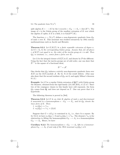split algebra  $K \times \cdots \times K$  by the 1-cocycle  $e : G_K \longrightarrow S_n = \text{Aut}(K^n)$ . The image of  $e$  is the Galois group of the smallest extension of  $K$  over which the algebra E splits; if E is a field, it is  $Gal(E<sup>gal</sup>/K)$ .

The function  $x \mapsto \text{Tr}(x^2)$  defines a non-degenerate quadratic form  $Q_E$ of rank  $n$  over  $K$ . This invariant was studied extensively by 19th century mathematicians such as Jacobi and Hermite.

**Theorem 9.2.1** *Let*  $E/K(T)$  *be a finite separable extension of degree n.* Let  $G \subset S_n$  be the corresponding Galois group. Assume that, for all places v of  $K(T)$  not equal to  $\infty$ , the order of the inertia group at v is odd. Then Q<sup>E</sup> *is constant, i.e., comes from a form over* K*.*

Let  $\Lambda$  be the integral closure of  $K[T]$  in E, and denote by  $D$  the different. Using the fact that the inertia groups are of odd order, one can show that  $\mathcal{D}^{-1}$  is the square of a fractional ideal,

$$
\mathcal{D}^{-1}=\mathcal{A}^2.
$$

One checks that  $Q_F$  induces a strictly non-degenerate quadratic form over  $K[T]$  on the  $K[T]$ -module A. By th. 9.1.3 the result follows. (One may also show that the second residues of  $Q_E$  are 0, and apply Milnor's theorem 9.1.2.)

**Example:** Let E be a regular Galois extension of  $\mathbf{Q}(T)$  with Galois group the Monster, obtained from the rigid family (2A, 3B, 29A), cf. §7.4.7. Since two of the conjugacy classes in this family have odd exponent, the form  $Q_E$  comes from  $Q$ , and does not depend on  $T$ . One can prove that it is hyperbolic.

The following theorem is proved in [Se6].

**Theorem 9.2.2** *Let* E *be an étale* K-algebra of rank n and discriminant d associated to a homomorphism  $e: G_K \longrightarrow S_n$ , and let  $Q_E$  denote the *trace form of* E*. Then* :

1. 
$$
w_1(Q_E) = e^* \epsilon_n
$$
,  
2.  $w_2(Q_E) = e^* s_n + (2)(d)$ 

Suppose that  $G = e(G_K)$  is contained in  $A_n$ , i.e., that d is a square. By th. 9.2.2, we have  $w_1(Q_E) = 0$  and  $w_2(Q_E) = e^* a_n$ . The element  $e^* a_n$  is the obstruction to lifting the homomorphism  $G_K \longrightarrow A_n$  to a homomorphism  $G_K \longrightarrow A_n$ . Hence, we have

**Corollary 9.2.3** *The homomorphism*  $e: G_K \longrightarrow A_n$  *lifts to a homomorphism*  $G_K \longrightarrow A_n$  *if and only if the Witt invariant*  $w_2(Q_E)$  *is* 0*.*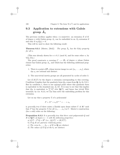## **9.3 Application to extensions with Galois**  $\lim_{n \to \infty} A_n$

The previous corollary applies when  $e$  is surjective: an extension  $E$  of  $K$ of degree n with Galois group  $A_n$  can be embedded in an  $\tilde{A}_n$ -extension if and only if  $w_2(Q_E) = 0$ .

This will be used to show the following result:

**Theorem 9.3.1** (Mestre, [Me2]) *The group*  $\tilde{A}_n$  *has the* Gal<sub>T</sub>-property *for all* n*.*

(This was already shown for  $n \equiv 0, 1 \pmod{8}$ , and for some other n, by Vila [Vi].)

The proof constructs a covering  $C \longrightarrow \mathbf{P}_1$  of degree n whose Galois closure has Galois group  $A_n$ , and which has the following additional properties:

- 1. There is a point of  $P_1$  whose inverse image is a set  $\{a_1, \ldots, a_n\}$ , where the  $a_i$  are rational and distinct.
- 2. The non-trivial inertia groups are all generated by cycles of order 3.

Let  $E/K(T)$  be the degree *n* extension corresponding to this covering. Condition 2 implies that the quadratic form  $Q_E$  comes from **Q**, by th. 9.2.1. But by condition 1, there is one rational point where this quadratic form is equivalent to the standard one,  $\sum X_i^2$ . It is easy to see that this implies that  $Q_E$  is equivalent to  $\sum X_i^2$  over  $\mathbf{Q}(T)$ , and hence has trivial Witt invariant; by cor. 9.2.3, we can thus solve the embedding problem for this extension.

Let us say that a property  $\Sigma$  of a polynomial

$$
P = X^n + s_1 X^{n-1} + \dots + s_n
$$

is *generally true* if there exists a Zariski open dense subset  $U$  of  $\mathbf{A}^n$  such that P has the property  $\Sigma$  for all  $(s_1,\ldots,s_n)$  in U. Mestre's construction (for  $n$  odd) relies on the following:

**Proposition 9.3.2** *It is generally true that there exist polynomials* Q *and* R in  $\mathbf{Q}[T]$  *of degree*  $n-1$  *with the following properties*:

- a)  $Q'P P'Q = R^2$  (i.e.,  $(Q/P)' = (R/P)^2$ ).
- b) P, Q, R *are pairwise relatively prime.*
- c) The zeros  $b_1, \ldots, b_{n-1}$  of R in  $\bar{Q}$  are distinct.
- d) The values of  $P/Q$  at the  $b_i$  are distinct.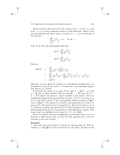### 9.3. Application to extensions with Galois group  $A_n$  101

*Sketch of proof:* The matrix M with ij-entry  $1/(a_i - a_j)$  for  $i \neq j$  and 0 for  $i = j$  is a skew symmetric matrix of odd dimension. Hence it has zero determinant and there exists a non-zero  $(c_1, \ldots, c_n)$  in the kernel of M. We have:

$$
\sum_{\substack{j=1 \ j \neq i}}^{n}{\frac{c_j}{a_i - a_j}} = 0 \quad \text{for all } i.
$$

Now, let  $Q$ ,  $R$  be the polynomials such that:

$$
Q/P = \sum_{i=1}^{n} \frac{-c_i^2}{X - a_i}.
$$

$$
R/P = \sum_{i=1}^{n} \frac{c_i}{X - a_i}.
$$

One has:

$$
(R/P)^2 = \sum_{\substack{i,j=1 \ i,j}}^{n} \frac{c_i c_j}{(X - a_i)(X - a_j)}
$$
  
= 
$$
\sum_{i=1}^{n} \frac{c_i^2}{(X - a_i)^2} + \sum_{i \neq j} \frac{c_i c_j}{a_i - a_j} (\frac{1}{X - a_i} - \frac{1}{X - a_j})
$$
  
= 
$$
(Q/P)^{'}
$$

Moreover, one can check (by looking at a well-chosen example) that it is generally true that M has rank  $n-1$  (so that the  $c_i$  are essentially unique) and that  $b$ , c), d) hold.

If  $(P, Q, R)$  are chosen as in prop. 9.3.2, with  $P = \prod (X - a_i)$  with  $a_i \in \mathbf{Q}$ , the  $a_i$  being distinct, then the map  $\mathbf{P}_1 \longrightarrow \mathbf{P}_1$  given by  $X \mapsto$  $T = P(X)/Q(X)$  has degree n, and is ramified at the zeros  $b_i$  of R, the ramification groups being generated by 3-cycles. Let  $G \subset S_n$  (resp.  $G \subset$  $S_n$ ) be the Galois group of the corresponding Galois extension of  $\mathbf{Q}(T)$ (resp. of  $\mathbf{Q}(T)$ ). The group G is transitive and generated by 3-cycles (cf. prop. 4.4.6). By lemma 4.4.4, it is equal to  $A_n$ . Hence G is equal to  $A_n$  or  $S_n$ . However, we have seen that the Tr  $(x^2)$  form attached to the extension is the standard form  $\sum X_i^2$ . In particular, its discriminant is a square. This shows that G is contained in  $A_n$ , hence  $G = \overline{G} = A_n$ , QED.

There is a similar, but more complicated, construction when  $n$  is even. Exercise 2 below proves that  $A_n$  has the Gal<sub>T</sub> property for n even by reducing to the case of odd n.

### **Remarks:**

1. One may also prove Mestre's theorem by showing that the Witt invariant  $w_2 \in Br_2(Q(T))$  of the trace form has "no poles" (because all the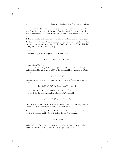ramification is odd), and hence is constant, i.e., belongs to  $\text{Br}_2(\mathbf{Q})$ . Since it is 0 at the base point, it is zero. Another possibility is to prove by a direct construction that the trace form of  $E/K(T)$  is constant, cf. exerc. 1.

2. For explicit formulas related to the above constructions, see [Cr], [Schn].

3. For  $n = 6, 7$ , the Schur multiplier of  $A_n$  is cyclic of order 6. The corresponding groups  $6 \cdot A_6$  and  $6 \cdot A_7$  also have property  $Gal_T$ . This has been proved by J-F. Mestre [Me3].

#### **Exercises:**

1. Assume  $P, Q, R$  are as in prop. 9.3.2 (*n* odd). Put

$$
E = K(X) \text{ and } T = P(X)/Q(X),
$$

so that  $[E:K(T)]=n$ .

a) Let  $\Lambda$  be the integral closure of  $K[T]$  in E. Show that  $\Lambda = K[X, 1/Q(X)]$ and that the different of  $\Lambda$  over  $K[T]$  is the principal ideal generated by  $R(X)^2$ .

b) Let

$$
Tr: E \longrightarrow K(T)
$$

be the trace map. If  $f \in K[X]$ , show that  $\text{Tr} (f(X)/R(X)^2)$  belongs to  $K[T]$  and that:

$$
\deg_T \operatorname{Tr} \left(f(X)/R(X)^2\right) \le \sup(0, \deg(f) - 2n + 2).
$$

In particular,  $\text{Tr}(f(X)/R(X)^2)$  belongs to K if  $\deg(f) \leq 2n-2$ .

c) Let V be the *n*-dimensional K-subspace of E spanned by

$$
1/R(X), X/R(X), \ldots, X^{n-1}/R(X).
$$

One has  $E = V \otimes_K K(X)$ . Show, using b), that if  $v_1, v_2 \in V$ , then  $\text{Tr}(v_1v_2) \in K$ . Conclude that the trace form of  $E/K(T)$  comes from K.

2. Let *n* be even, let  $f : \mathbf{P}_1 \longrightarrow \mathbf{P}_1$  be an  $n + 1$ -covering given by Mestre's construction above, and let  $C_f$  be it Galois closure. One has maps

$$
C_f \stackrel{g}{\longrightarrow} \mathbf{P}_1 \stackrel{f}{\longrightarrow} \mathbf{P}_1,
$$

and  $g: C_f \longrightarrow \mathbf{P}_1$  is a regular  $A_n$ -covering. Show that this covering lifts to a regular  $\tilde{A}_n$ -covering of  $\mathbf{P}_1$  (hence  $\tilde{A}_n$  also has property  $Gal_T$ ).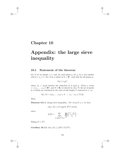## **Chapter 10**

# **Appendix: the large sieve inequality**

## **10.1 Statement of the theorem**

Let N be an integer  $\geq 1$ , and, for each prime p, let  $\nu_p$  be a real number with  $0 < \nu_p \leq 1$ . Let A be a subset of  $\Lambda = \mathbf{Z}^n$ , such that for all primes p,

$$
|A_p| \le \nu_p p^n,
$$

where  $A_p \,\subset \,\Lambda/p\Lambda$  denotes the reduction of A mod p. Given a vector  $x = (x_1, \ldots, x_n) \in \mathbb{R}^n$ , and  $N \in \mathbb{R}$ , we denote by  $A(x, N)$  the set of points in A which are contained in the cube of side length  $N$  centered at  $x$ , i.e.,

$$
A(x, N) = \{ (a_1, \ldots, a_n) \in A \quad | \quad |x_i - a_i| \le N/2 \}.
$$

Then:

**Theorem 10.1.1** (Large sieve inequality) *For every*  $D \geq 1$ *, we have* 

$$
|A(x,N)| \le 2^n \sup(N, D^2)^n / L(D),
$$

*where*

$$
L(D) = \sum_{\substack{1 \leq d \leq D \\ d \text{ square-free}}} \prod_{p|d} \left( \frac{1 - \nu_p}{\nu_p} \right).
$$

Taking  $D = N^{\frac{1}{2}}$ :

**Corollary 10.1.2**  $|A(x,N)| \leq (2N)^n / L(N^{\frac{1}{2}})$ .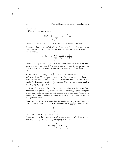### **Examples:**

1. If  $\nu_p = \frac{1}{2}$  for every p, then

$$
L(D) = (\sum_{\substack{1 \le d \le D \\ d \text{ square-free}}} 1) \sim \frac{6}{\pi^2} D.
$$

Hence  $|A(x,N)| \ll N^{n-\frac{1}{2}}$ . This is a typical "large sieve" situation.

2. Assume there is a set S of primes of density  $> 0$ , such that  $\nu_p = C$  for  $p \in S$ , with  $0 < C < 1$ . One may estimate  $L(D)$  from below by summing over primes  $\leq D$ :

$$
L(D) \ge 1 + \sum_{\substack{p \le D \\ p \text{ prime}}} \frac{1 - \nu_p}{\nu_p} \gg \frac{D}{\log D}.
$$

Hence  $|A(x,N)| \ll N^{n-\frac{1}{2}} \log N$ . A more careful estimate of  $L(D)$  by summing over all square-free  $d \leq D$  allows one to replace the factor  $\log N$  by  $(\log N)^\gamma$ , with  $\gamma < 1$ , under a mild extra condition on S, cf. [Se9], chap. 13.

3. Suppose  $n = 1$ , and  $\nu_p = 1 - \frac{1}{p}$ . Then one can show that  $L(D) \sim \log D$ , and hence  $|A(x,N)| \ll \frac{N}{\log N}$ , a weak form of the prime number theorem: however, the method also allows one to conclude that in *any* interval of length N, there are at most  $O(\frac{N}{\log N})$  primes. (More precisely, their number is  $\leq 2N/\log N$ , cf. [MoV].)

Historically, a weaker form of the sieve inequality was discovered first, where the sum giving  $L(D)$  was taken over the *primes*  $\leq D$ ; this only gave interesting results in large sieve situations (hence the name "large sieve inequality"). The possibility of using square-free d's was pointed out by Montgomery, [Mo1].

**Exercise:** Use th. 10.1.1 to show that the number of "twin primes" (primes p such that  $p + 2$  is also prime)  $\leq N$  is asymptotically  $\ll \frac{N}{(\log N)^2}$ . Conclude that

$$
\sum_{\substack{p \text{ twin prime}}} \frac{1}{p} < \infty.
$$

### **Proof of th. 10.1.1: preliminaries**

Let us assume without loss of generality that  $A = A(x, N)$ . Given vectors  $a = (a_1, \ldots, a_n), t = (t_1, \ldots, t_n)$  belonging to  $\mathbb{R}^n$ , put

$$
\chi_a(t) = \exp\left(2\pi i \sum_{j=1}^n a_j t_j\right).
$$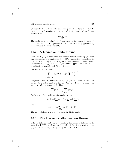We identify  $\Lambda = \mathbf{Z}^N$  with the character group of the torus  $T = \mathbf{R}^n / \mathbf{Z}^n$ by  $a \mapsto \chi_a$ , and associate to  $A = A(x, N)$  the function  $\phi$  whose Fourier expansion is:

$$
\phi = \sum_{a \in A} \chi_a.
$$

The condition on the reduction of A mod  $p$  and the fact that A is contained in a cube of side length N give rise to inequalities satisfied by  $\phi$ ; combining these will give the sieve inequality.

## **10.2 A lemma on finite groups**

Let  $C_i$  for  $1 \leq i \leq h$  be finite abelian groups (written additively),  $\hat{C}_i$  their character groups,  $\phi$  a function on  $C = \prod C_i$ . Suppose there are subsets  $\Omega_i$ of  $C_i$  with  $|\Omega_i| \leq \nu_i |C_i|$ , such that the Fourier coefficient of  $\phi$  relative to the character  $\chi = (\chi_i) \in \hat{C} = \prod \hat{C}_i$  is 0 outside  $\prod \Omega_i$ . Let us call  $x \in C$ *primitive* if its image in each  $C_i$  is  $\neq 0$ . Then:

**Lemma 10.2.1** *We have* :

$$
\sum_{\substack{x \in C \\ x \text{ primitive}}} |\phi(x)|^2 \ge |\phi(0)|^2 \prod_i \left( \frac{1 - \nu_i}{\nu_i} \right).
$$

We give the proof in the case of a single group  $C$ : the general case follows by induction on the number of factors. Write  $\phi = \sum c_{\chi} \chi$ , the sum being taken over all characters  $\chi \in \Omega$ . Then:

$$
\sum |c_{\chi}|^2 = \frac{1}{|C|} \sum_{x \in C} |\phi(x)|^2.
$$

Applying the Cauchy-Schwarz inequality, we get

$$
|\phi(0)|^2 = |\sum c_{\chi} \cdot 1|^2 \le \sum |c_{\chi}|^2 \sum_{\chi \in \Omega} 1,
$$

and hence

$$
|\phi(0)|^2 \le \nu_1 (\sum_{x \neq 0} |\phi(x)|^2 + |\phi(0)|^2).
$$

The lemma follows by rearranging terms in this inequality.

## **10.3 The Davenport-Halberstam theorem**

Define a distance on  $\mathbb{R}^n$  by  $|x| = \sup |x_i|$ ; this defines a distance on the torus  $T = \mathbb{R}^n / \mathbb{Z}^n$ , which we also denote by ||. Let  $\delta > 0$ ; a set of points  $\{t_i\}$  in T is called  $\delta$ -spaced if  $|t_i - t_j| \geq \delta$  for all  $i \neq j$ .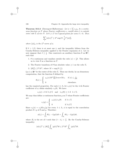**Theorem 10.3.1** (Davenport-Halberstam) Let  $\phi = \sum c_{\lambda} \chi_{\lambda}$  be a contin*uous function on* T *whose Fourier coefficients*  $c_{\lambda}$  *vanish when*  $\lambda$  *is outside some cube*  $\Sigma$  *of size*  $N$ *. Let*  $t_i \in T$  *be*  $\delta$ -*spaced points for some*  $\delta > 0$ *. Then* 

$$
\sum_{i} |\phi(t_i)|^2 \le 2^n \sup(N, \frac{1}{\delta})^n ||\phi||_2^2,
$$

*where*  $||\phi||_2$  *is the*  $L^2$ *-norm of*  $\phi$ *.* 

If  $\delta > 1/2$ , there is at most one  $t_i$  and the inequality follows from the Cauchy-Schwarz inequality applied to the Fourier expansion of  $\phi$ . Let us now suppose that  $\delta \leq \frac{1}{2}$ . One constructs an auxiliary function  $\theta$  on  $\mathbb{R}^n$ , such that

- 1.  $\theta$  is continuous and vanishes outside the cube  $|x| < \frac{1}{2}\delta$ . This allows us to view  $\theta$  as a function on T.
- 2. The Fourier transform of  $\theta$  has absolute value  $\geq 1$  on the cube  $\Sigma$ .
- 3.  $||\theta||_2^2 \le 2^n M^n$ , where  $M = \sup(N, \frac{1}{\delta})$ .

Let  $\lambda \in \mathbb{R}^n$  be the center of the cube  $\Sigma$ . Then one checks, by an elementary computation, that the function  $\theta$  defined by

$$
\theta(x) = \begin{cases} \chi_{\lambda}(x)M^n \prod 2 \cos \pi M x_i & \text{if } |x| \le \frac{1}{2M} \\ 0 & \text{elsewhere.} \end{cases}
$$

has the required properties. For each  $\lambda \in \Lambda$ , let  $c_{\lambda}(\phi)$  be the  $\lambda$ -th Fourier coefficient of  $\phi$ ; define similarly  $c_{\lambda}(\theta)$ . We have:

$$
c_{\lambda}(\phi) = 0
$$
 if  $\lambda \notin \Sigma$  and  $|c_{\lambda}(\theta)| \ge 1$  if  $\lambda \in \Sigma$ .

We may thus define a continuous function q on  $T$  whose Fourier coefficients are:

$$
c_{\lambda}(g) = \begin{cases} c_{\lambda}(\phi)/c_{\lambda}(\theta) & \text{if } \lambda \in \Sigma \\ 0 & \text{if } \lambda \notin \Sigma \end{cases}
$$

Since  $c_{\lambda}(\phi) = c_{\lambda}(\theta) c_{\lambda}(g)$  for every  $\lambda \in \Lambda$ ,  $\phi$  is equal to the convolution product  $\theta * g$  of  $\theta$  and g. Therefore:

$$
\phi(t_i) = \int_T \theta(t_i - t)g(t)dt = \int_{B_i} \theta(t_i - t)g(t)dt,
$$

where  $B_i$  is the set of t such that  $|t - t_i| < \frac{\delta}{2}$ . By the Cauchy-Schwarz inequality:

$$
|\phi(t_i)|^2 \le ||\theta||_2^2 \int_{B_i} |g(t)|^2 dt \le 2^n M^n \int_{B_i} |g(t)|^2 dt.
$$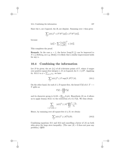Since the  $t_i$  are  $\delta$ -spaced, the  $B_i$  are disjoint. Summing over i then gives

$$
\sum_i |\phi(t_i)|^2 \le 2^n M^n ||g||_2^2 \le 2^n M^n ||\phi||_2^2,
$$

because

$$
||g||_2^2 = \sum \left| \frac{c_{\lambda}(\phi)}{c_{\lambda}(\theta)} \right|^2 \le ||\phi||_2^2.
$$

This completes the proof.

**Remark:** In the case  $n = 1$ , the factor  $2 \sup(N, \frac{1}{\delta})$  can be improved to  $N + \frac{1}{\delta}$  (Selberg, see e.g. [Mo2]); it is likely that a similar improvement holds for any  $n$ .

## **10.4 Combining the information**

Let D be given; the set  $\{t_i\}$  of all d-division points of T, where d ranges over positive square-free integers  $\leq D$ , is  $\delta$ -spaced, for  $\delta = 1/D^2$ . Applying th. 10.3.1 to  $\phi = \sum_{a \in A} \chi_a$ , we have

$$
\sum_{i} |\phi(t_i)|^2 \le 2^n \sup(N, D^2)^n |A|. \tag{10.1}
$$

On the other hand, for each  $d \leq D$  square-free, the kernel  $T[d]$  of  $d : T \longrightarrow$ T splits as

$$
T[d] = \prod_{p|d} T[p]
$$

and its character group is  $\Lambda/d\Lambda = \prod_{p|d} \Lambda/p\Lambda$ . Hypothesis (2) on A allows us to apply lemma 10.2.1 to the restriction of  $\phi$  to T[d]. We thus obtain

$$
\sum_{\substack{t \in T[d] \\ t \text{ of order } d}} |\phi(t)|^2 \ge |A|^2 \prod_{p|d} \frac{1 - \nu_p}{\nu_p}.
$$

Hence, by summing over all square-free  $d \leq D$ , we obtain:

$$
\sum_{i} |\phi(t_i)|^2 \ge |A|^2 L(D). \tag{10.2}
$$

Combining equations 10.1 and 10.2 and cancelling a factor of  $|A|$  on both sides gives the large sieve inequality. (The case  $|A| = 0$  does not pose any problem.) QED.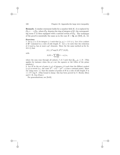**Remark:** A similar statement holds for a number field  $K$ ;  $\Lambda$  is replaced by  $\mathcal{O}_K \times \cdots \times \mathcal{O}_K$ , where  $\mathcal{O}_K$  denotes the ring of integers of K; the corresponding torus T is then equipped with a natural action of  $\mathcal{O}_K$ . The technique of the proof is essentially the same as in the case  $K = \mathbf{Q}$ , see [Se9], ch. 12.

#### **Exercises:**

1. Let  $p_i$   $(i \in I)$  be integers  $\geq 1$  such that  $(p_i, p_j) = 1$  if  $i \neq j$ . Let A be a subset of  $\mathbb{Z}^n$  contained in a cube of side length N. Let  $\nu_i$  be such that the reduction of A mod  $p_i$  has at most  $\nu_i p_i^n$  elements. Show (by the same method as for th. 10.1.1) that

with

$$
|A| \le 2^n \sup(N, D^2)^n / L(D),
$$

$$
L(D) = \sum_{J} \prod_{i \in J} (1 - \nu_i) / \nu_i,
$$

where the sum runs through all subsets J of I such that  $\prod_{i \in J} p_i \leq D$ . (This applies for instance when the  $p_i$ 's are the squares or the cubes of the prime numbers.)

2. Let H be the set of pairs  $(x, y)$  of integers  $\neq 0$  such that the Hilbert symbol  $(x, y)$  is trivial (i.e., the conic  $Z^2 - xX^2 - yY^2 = 0$  has a rational point). Show (by using exerc. 1.) that the number of points of  $H$  in a cube of side length  $N$  is  $<< N^2/\log N$ . (This bound is sharp: this has been proved by C. Hooley [Hoo] and C. R. Guo [Guo].)

For generalizations, see [Se10].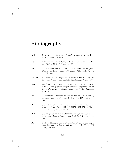- [Ab1] S. Abhyankar. *Coverings of algebraic curves*, Amer. J. of Math. 79 (1957), 825-856.
- [Ab2] S. Abhyankar. *Galois theory on the line in nonzero characteristic*, Bull. A.M.S., 27 (1992), 68-133.
- [AS] M. Aschbacher and S.D. Smith. *The Classification of Quasi-Thin Groups* (two volumes, 1221 pages), AMS Math. Surveys 111-112, 2004.
- [ANVERS] B.J. Birch and W. Kuyk (edit.). *Modular Functions of One Variable IV*, Lect. Notes in Math. 476, Springer-Verlag, 1975.
- [ATLAS] J.H. Conway, R.T. Curtis, S.P. Norton, R.A. Parker, and R.A. Wilson. *Atlas of finite groups: maximal subgroups and ordinary characters for simple groups.* New York: Clarendon press, 1985.
- [Bc] S. Beckmann. *Ramified primes in the field of moduli of branched coverings of curves*, J. of Algebra 125 (1989), 236- 255.
- [Be1] G.V. Belyi. *On Galois extensions of a maximal cyclotomic field*, Izv. Akad. Nauk SSSR 43 (1979), 267-276 (= Math. USSR Izv. 14 (1980), 247-256).
- [Be2] G.V. Belyi. *On extensions of the maximal cyclotomic field having a given classical Galois group*, J. Crelle 341 (1983), 147- 156.
- [BL] E. Bayer-Fluckiger and H.W. Lenstra. *Forms in odd degree extensions and self-dual normal bases*, Amer. J. of Math. 112 (1990), 359-373.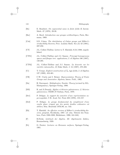| 110 | Bibliography |
|-----|--------------|
|-----|--------------|

| [Bo]        | E. Bombieri. On exponential sums in finite fields II, Invent.<br>Math. 47 (1978), 29-39.                                                                                               |
|-------------|----------------------------------------------------------------------------------------------------------------------------------------------------------------------------------------|
| [Bor]       | A. Borel. Introduction aux groupes arithmétiques, Paris, Her-<br>mann, 1969.                                                                                                           |
| [Coh]       | S.D. Cohen. The distribution of Galois groups and Hilbert's<br><i>irreducibility theorem</i> , Proc. London Math. Soc. (3) 43 (1981),<br>227-250.                                      |
| [CT]        | J-L. Colliot-Thélène. Letter to T. Ekedahl, 9/21/1988, unpub-<br>lished.                                                                                                               |
| [CTS1]      | J-L. Colliot-Thélène and J-J. Sansuc. Principal homogeneous<br>spaces and flasque tori: applications, J. of Algebra 106 (1987),<br>148-205.                                            |
| [CTS2]      | J-L. Colliot-Thélène and J-J. Sansuc. La descente sur les<br>variétés rationnelles, II, Duke Math. J. 54 (1987), 375-492.                                                              |
| [Cr]        | T. Crespo. Explicit construction of $\tilde{A}_n$ -type fields, J. of Algebra<br>127 (1989), 452-461.                                                                                  |
| [CR]        | C.W. Curtis and I. Reiner. Representation Theory of Finite<br>Groups and Associative Algebras, Inters. Publ., 1962.                                                                    |
| [Da]        | H. Davenport. <i>Multiplicative Number Theory</i> (revised by H.L.<br>Montgomery), Springer-Verlag, 1980.                                                                              |
| [DD]        | R. and A.Douady. Algèbre et théories galoisiennes; 2/ théories<br>galoisiennes, CEDIC/F.Nathan, Paris, 1979.                                                                           |
| [De1]       | P. Deligne. Le support du caractère d'une représentation su-<br>percuspidale, C.R. Acad. Sci. Paris 283 (1976), 155-157.                                                               |
| [De2]       | P. Deligne. Le groupe fondamental du complément d'une<br>courbe plane n'ayant que des points doubles ordinaires est<br>abélien, Sém. Bourbaki 1979/80, no. 543.                        |
| [Ek]        | T. Ekedahl. An effective version of Hilbert's irreducibility the-<br>orem, preprint, Stockholm, 1987. (cf. sém. Théorie des Nom-<br>bres, Paris 1988-1989, Birkhäuser, 1990, 241-248). |
| $[{\rm F}]$ | R.Fricke. Lehrbuch der Algebra. III. Algebraische Zahlen,<br>Braunschweig, 1928.                                                                                                       |
| $ F_{O} $   | O. Forster. Lectures on Riemann surfaces, Springer-Verlag,<br>1981.                                                                                                                    |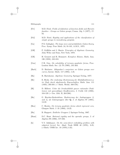| [Fr1]           | M.D. Fried. Fields of definition of function fields and Hurwitz<br>families - Groups as Galois groups, Comm. Alg. 5 (1977), 17-<br>82.                                  |
|-----------------|-------------------------------------------------------------------------------------------------------------------------------------------------------------------------|
| [Fr2]           | M.D. Fried. Rigidity and applications of the classification of<br><i>simple groups to monodromy</i> , preprint.                                                         |
| [Ga]            | P.X. Gallagher. The large sieve and probabilistic Galois theory.<br>Proc. Symp. Pure Math. 24, 91-101, A.M.S., 1973.                                                    |
| [GH]            | P. Griffiths and J. Harris. Principles of Algebraic Geometry.<br>John Wiley and Sons, New York, 1978.                                                                   |
| [GR]            | H. Grauert and R. Remmert. Komplexe Räume, Math. Ann.<br>136 (1958), 245-318.                                                                                           |
| [Guo]           | C.R. Guo. On solvability of ternary quadratic forms, Proc.<br>London Math. Soc. (3) 70 (1995), 241-263.                                                                 |
| [Harb]          | D. Harbater. Abhyankar's conjecture on Galois groups over<br>curves, Invent. Math. 117 (1994), 1-25.                                                                    |
| [Ha]            | R. Hartshorne. Algebraic Geometry, Springer-Verlag, 1977.                                                                                                               |
| [He]            | E. Hecke. Die eindeutige Bestimmung der Modulfunktionen q-<br>ter Stufe durch algebraische Eigenschaften, Math. Ann. 111<br>$(1935), 293-301$ (= Math. Werke, 568-576). |
| [Hi]            | D. Hilbert. Ueber die Irreduzibilität ganzer rationaler Funk-<br>tionen mit ganzzahligen Koeffizienten, J. Crelle 110 (1892),<br>104-129 (= Ges. Abh. II, 264-286).     |
| $[\mathrm{Ho}]$ | G. Hoyden-Siedersleben. Realisierung der Jankogruppen J <sub>1</sub><br>und $J_2$ als Galoisgruppen über Q, J. of Algebra 97 (1985),<br>14-22.                          |
| $[\text{Hoo}]$  | C. Hooley, On ternary quadratic forms which represent zero,<br>Glasgow Math. J. 35 (1993), 13-23.                                                                       |
| [Hu]            | B. Huppert. <i>Endliche Gruppen I</i> , Springer-Verlag, 1967.                                                                                                          |
| [Hunt]          | D.C. Hunt. Rational rigidity and the sporadic groups, J. of<br>Algebra 99 (1986), 577-592.                                                                              |

[Is] V.V. Ishkhanov. *On the semi-direct embedding problem with nilpotent kernel*, Izv. Akad. Nauk SSSR 40 (1976), 3-25, (=Math. USSR Izv. 10 (1976),1-23).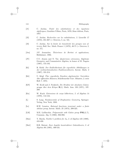| [J1]           | substitutions<br>Traité<br>des<br>des<br>équations<br>C.<br>Jordan.<br>et<br>algébriques, Gauthier-Villars, Paris, 1870; 2ème édition, Paris,<br>1957. |
|----------------|--------------------------------------------------------------------------------------------------------------------------------------------------------|
| [J2]           | C. Jordan. Recherches sur les substitutions, J. Liouville 17<br>$(1872), 351-367$ (= Oeuvres, I, no. 52).                                              |
| [J3]           | C. Jordan. Sur la limite de transitivité des groupes non al-<br>ternés, Bull. Soc. Math. France 1 (1873), 40-71 (= Oeuvres, I,<br>no. 57).             |
| $[\text{Jou}]$ | Théorèmes de Bertini<br>J-P.<br>Jouanolou.<br><i>et</i> applications,<br>Birkhäuser, 1983.                                                             |
| [JY]           | C.U. Jensen and N. Yui. Quaternion extensions, Algebraic<br>Geometry and Commutative Algebra, in honor of M. Nagata<br>$(1987), 155-182.$              |
| [Ki]           | R. Kiehl. Der Endlichkeitsatz für eigentliche Abbildungen in<br>der nichtarchimedischen Funktionentheorie, Invent. Math. 2<br>$(1967), 191-214.$       |
| $[K\ddot{o}]$  | U. Köpf. Uber eigentliche Familien algebraischer Varietäten<br>über affinoiden Räumen, Schriftenreihe Univ. Münster, 2. serie<br>Heft 7, 1974.         |
| [KN]           | W. Krull and J. Neukirch. Die Struktur der absoluten Galois-<br>gruppe über dem Körper $\mathbf{R}(t)$ , Math. Ann. 193 (1971), 197-<br>209.           |
| [Ku]           | W. Kuyk. Extensions de corps hilbertiens, J. of Algebra 14<br>$(1970), 112-124.$                                                                       |
| $[{\rm L}]$    | S. Lang. Fundamentals of Diophantine Geometry, Springer-<br>Verlag, New York, 1983.                                                                    |
| [Le]           | H.W. Lenstra. Rational functions invariant under a finite<br>abelian group, Invent. Math. 25 (1974), 299-325.                                          |
| [LM]           | M.E. LaMacchia. Polynomials with Galois group $\mathrm{PSL}(2,7)$ ,<br>Commun. Alg. 8 (1980), 983-992.                                                 |
| [Mae]          | T. Maeda. Noether's problem for $A_5$ , J. of Algebra 125 (1989),<br>418-430.                                                                          |
| [Ma1]          | B.H. Matzat. Zwei Aspekte konstruktiver Galoistheorie, J. of<br>Algebra 96 (1985), 499-531.                                                            |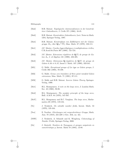| [Ma2] | B.H. Matzat. Topologische Automorphismen in der konstruk-<br>tiver Galoistheorie, J. Crelle 371 (1986), 16-45.                              |
|-------|---------------------------------------------------------------------------------------------------------------------------------------------|
| [Ma3] | B.H. Matzat. Konstruktive Galoistheorie, Lect. Notes in Math.<br>1284, Springer-Verlag, 1987.                                               |
| [Ma4] | B.H. Matzat. Konstruktion von Zahlkörpern mit der Galois-<br>gruppe $M_{11}$ über $\mathbf{Q}(\sqrt{-11})$ , Man. Math. 27 (1979), 103-111. |
| [Me1] | J-F. Mestre. Courbes hyperelliptiques à multiplications réelles.<br>C.R.Acad.Sci.Paris 307 (1988), 721-724.                                 |
| [Me2] | J-F. Mestre. Extensions régulières de $\mathbf{Q}(T)$ de groupe de Ga-<br><i>lois</i> $A_n$ , J. of Algebra 131 (1990), 483-495.            |
| [Me3] | J-F. Mestre. Extensions <b>Q</b> -régulières de $\mathbf{Q}(T)$ de groupe de<br>Galois 6.A6 et 6.A7, Israel J. Math. 107 (1998), 333-341.   |
| [M11] | G. Malle. Exceptional groups of Lie type as Galois groups, J.<br>Crelle 392 (1988), 70-109.                                                 |
| [M12] | G. Malle. Genus zero translates of three point ramified Galois<br>extensions, Man. Math. 71 (1991), 97-111.                                 |
| [MM]  | G. Malle and B.H. Matzat. <i>Inverse Galois Theory</i> , Springer-<br>Verlag, 1999.                                                         |
| [Mo1] | H.L. Montgomery. A note on the large sieve, J. London Math.<br>Soc. 43 (1968), 93-98.                                                       |
| [Mo2] | H.L. Montgomery. The analytic principle of the large sieve.<br>Bull. A.M.S. 84 (1978), 547-567.                                             |
| [MoV] | H.L. Mongomery and R.C. Vaughan. The large sieve, Mathe-<br>matica 20 (1973), 119-134.                                                      |
| [Ne]  | J. Neukirch. On solvable number fields, Invent. Math. 53<br>$(1979), 135-164.$                                                              |
| [Noe] | E. Noether. Gleichungen mit vorgeschriebener Gruppe, Math.<br>Ann. 78 (1918), 221-229 (=Ges. Abh. no. 42).                                  |
| [NSW] | J. Neukirch, A. Schmidt and K. Wingberg. Cohomology of<br>Number Fields, Springer-Verlag, 2000.                                             |
| [Oe]  | J. Oesterlé. Nombres de Tamagawa et groupes unipotents en<br>$\text{caractéristique } p$ , Invent. Math 78 (1984), 13-88.                   |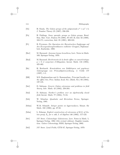| 114    | Bibliography                                                                                                                                                                          |
|--------|---------------------------------------------------------------------------------------------------------------------------------------------------------------------------------------|
| [Os]   | H. Osada. The Galois groups of the polynomials $x^n + ax^l + b$ ,<br>J. Number Theory 25 (1987), 230-238.                                                                             |
| [Pa]   | H. Pahlings. Some sporadic groups as Galois groups, Rend.<br>Sem. Mat. Univ. Padova 79 (1988), 97-107; II, ibid. 82 (1989),<br>163-171; correction, ibid. 85 (1991), 309-310.         |
| [Pr]   | B. Pryzwara. Die Operation der Hurwitzschen Zopfgruppe auf<br>den Erzeugendensystemklassen endlicher Gruppen, Diplomar-<br>beit, Karlsruhe, 1988.                                     |
| [Ra1]  | M. Raynaud. Anneaux locaux henséliens, Lect. Notes in Math.<br>169, Springer-Verlag, 1970.                                                                                            |
| [Ra2]  | M. Raynaud. Revêtements de la droite affine en caractéristique<br>$p > 0$ et conjecture d'Abhyankar, Invent. Math. 116 (1994),<br>425-462.                                            |
| [Re]   | H. Reichardt. Konstruktion von Zahlkörpern mit gegebener<br>Galoisgruppe von Primzahlpotenzordnung, J. Crelle 177<br>$(1937), 1-5.$                                                   |
| [RR]   | M.S. Raghunathan and A. Ramanathan. Principal bundles on<br>the affine line, Proc. Indian Acad. Sci. (Math. Sci.) 93 (1984),<br>137-145.                                              |
| [Sa1]  | D. Saltman. Generic Galois extensions and problems in field<br><i>theory</i> , Adv. Math. 43 (1982), 250-283.                                                                         |
| [Sa2]  | D. Saltman. Noether's problem over an algebraically closed<br><i>field</i> , Invent. Math. 77 (1984), 71-84.                                                                          |
| [Sch]  | W. Scharlau. <i>Quadratic and Hermitian Forms</i> , Springer-<br>Verlag, 1985.                                                                                                        |
| [Schm] | W.M. Schmidt. Integer points on hypersurfaces, Monat. für<br>Math. 102 (1986), pp. 27-58.                                                                                             |
| [Schn] | L. Schneps. Explicit construction of extensions of $K(t)$ of Ga-<br><i>lois group</i> $A_n$ <i>for n odd</i> , J. of Algebra 146 (1992), 117-123.                                     |
| [Se1]  | J-P. Serre. Cohomologie Galoisienne, Lect. Notes in Math. 5,<br>Springer-Verlag, 1994 (5th revised edition); English transla-<br>tion: Galois Cohomology, SMM, Springer-Verlag, 2002. |
| Se2    | J-P. Serre. Local Fields, GTM 67, Springer-Verlag, 1979.                                                                                                                              |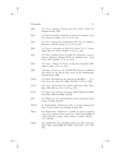| [Se3]  | J-P. Serre. Algebraic Groups and Class Fields, GTM 117,<br>Springer-Verlag, 1988.                                                                                                                             |
|--------|---------------------------------------------------------------------------------------------------------------------------------------------------------------------------------------------------------------|
| [Se4]  | J-P. Serre. Géométrie algébrique et géométrie analytique, Ann.<br>Inst. Fourier 6 (1956), 1-42 (=C.P. no. 32).                                                                                                |
| [Se5]  | J-P. Serre. Extensions icosaédriques, Sém. Th. des Nombres,<br>Bordeaux, 1979-80, exposé 19 (= C.P. no. 123).                                                                                                 |
| [Se6]  | J-P. Serre. L'invariant de Witt de la forme $\text{Tr}(x^2)$ , Comm.<br>Math. Helv. 59 (1984), 651-679. (=C.P. no. 131).                                                                                      |
| [Se7]  | J-P. Serre. Modular forms of weight one and Galois represen-<br>tations, Algebraic Number Fields (A. Fröhlich edit.) Acad.<br>Press, 1977, 193-268. (=C.P. no. 110).                                          |
| [Se8]  | J-P. Serre. Groupes de Galois sur Q, Sém. Bourbaki 1987-<br>1988, no. 689. $(=C.P.$ no. 147).                                                                                                                 |
| [Se9]  | J-P. Serre. Lectures on the Mordell-Weil theorem, translated<br>and edited by M. Brown from notes by M. Waldschmidt,<br>Vieweg-Verlag, 1989.                                                                  |
| [Se10] | J-P. Serre. Spécialisation des éléments de $Br_2(Q(T_1, \ldots, T_n)),$<br>C.R. Acad. Sci. Paris 311 (1990), 397-402. (=C.P. no. 150).                                                                        |
| [Se11] | J-P. Serre. Revêtements des courbes algébriques, Sém. Bour-<br>baki, 1991-1992, no. 749. $(=C.P.$ no. 157).                                                                                                   |
| [Se12] | J-P. Serre. On a theorem of Jordan, Math. Medley 29 (2002),<br>3-18; Bull. AMS 40 (2003), 429-440.                                                                                                            |
| [Sel]  | E.S. Selmer. On the irreducibility of certain trinomials, Math.<br>Scand. 4 (1956), 287-302.                                                                                                                  |
| [SGA1] | A. Grothendieck. Revêtement étales et groupe fondamental,<br>Lect. Notes in Math. 224, Springer-Verlag, 1971.                                                                                                 |
| [Sha1] | I.R. Shafarevich. Construction of fields of algebraic numbers<br>with given solvable Galois group, Izv. Akad. Nauk SSSR 18<br>$(1954)$ , 525-578 (=Amer. Math. Transl. 4 (1956), 185-237 =<br>C.P., 139-191). |
| [Sha2] | I.R. Shafarevich. The embedding problem for split extensions,<br>Dokl. Akad. Nauk SSSR 120 (1958), 1217-1219 (=C.P., 205-<br>207).                                                                            |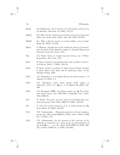| 116 | Bibliography |
|-----|--------------|
|-----|--------------|

| [Sha3]                    | I.R. Shafarevich. On the factors of a descending central series<br>(in Russian), Mat.Zam. 45 (1989), 114-117.                                                                                                                                              |
|---------------------------|------------------------------------------------------------------------------------------------------------------------------------------------------------------------------------------------------------------------------------------------------------|
| [Shih1]                   | K-y. Shih. On the construction of Galois extensions of function<br>fields and number fields, Math. Ann. 207 (1974), 99-120.                                                                                                                                |
| [Shih2]                   | K-y. Shih. p-division points on certain elliptic curves, Comp.<br>Math. 36 (1978), 113-129.                                                                                                                                                                |
| [Shim]                    | G. Shimura. Introduction to the arithmetic theory of automor-<br>phic functions, Publ. Math.Soc.Japan 11, Iwanami Shoten and<br>Princeton University Press, 1971.                                                                                          |
| [Sie]                     | C.L. Siegel. Topics in complex function theory, vol. 2, Wiley-<br>Interscience, New York, 1971.                                                                                                                                                            |
| [Sw1]                     | R. Swan. Invariant rational functions and a problem of Steen-<br>rod, Invent. Math. 7 (1969), 148-158.                                                                                                                                                     |
| [Sw2]                     | R. Swan. Noether's problem in Galois theory, Emmy Noether<br>in Bryn Mawr (J.D. Sally and B. Srinivasan edit.), 21-40,<br>Springer-Verlag, 1983.                                                                                                           |
| [Th1]                     | J.G. Thompson. A non-duality theorem for finite groups, J. of<br>Algebra 14 (1970), 1-4.                                                                                                                                                                   |
| [Th2]                     | J.G. Thompson. Some finite groups which<br>$appear$ as<br>$Gal(L/K)$ , where $K \subseteq \mathbf{Q}(\mu_n)$ , J. of Algebra 89 (1984), 437-<br>499.                                                                                                       |
| [Th3]                     | J.G. Thompson. PSL <sub>3</sub> and Galois groups over Q, Proc. Rut-<br>gers group theory year 1983-1984, Cambridge Univ. Press,<br>1984, 309-319.                                                                                                         |
| $\lceil \text{To} \rceil$ | D. Toledo. Projective varieties with non-residually finite fun-<br>damental group, Publ. Math. IHES 77 (1993), 103-119.                                                                                                                                    |
| [Vi]                      | N. Vila. On central extensions of $A_n$ as Galois group over $\mathbf{Q}_n$ ,<br>Arch. Math. 44 (1985), 424-437.                                                                                                                                           |
| [Vol]                     | Birational properties of linear algebraic<br>V.E. Voskresenskii.<br><i>groups</i> , Izv. Akad. Nauk SSSR 34 (1970), 3-19 (= Math. USSR<br>Izv. $4(1970), 1-17$ .                                                                                           |
| [Vo2]                     | V.E. Voskresenskii. On the question of the structure of the<br>subfields of invariants of a cyclic group of automorphisms of<br>the field $\mathbf{Q}(x_1,\ldots,x_n)$ , Izv. Akad. Nauk SSSR 34 (1970), 366-<br>375 (=Math. USSR Izv. 4 (1970), 371-380). |